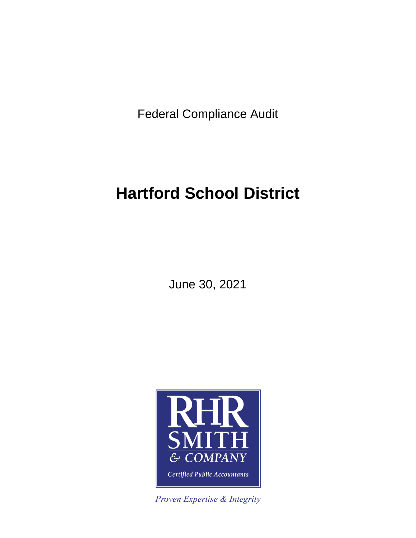Federal Compliance Audit

# **Hartford School District**

June 30, 2021



Proven Expertise & Integrity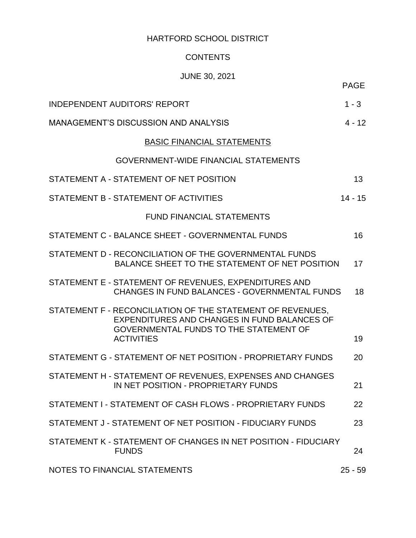# **CONTENTS**

# JUNE 30, 2021

| <b>INDEPENDENT AUDITORS' REPORT</b>                                                                                                                                       | $1 - 3$         |
|---------------------------------------------------------------------------------------------------------------------------------------------------------------------------|-----------------|
| <b>MANAGEMENT'S DISCUSSION AND ANALYSIS</b>                                                                                                                               | $4 - 12$        |
| <b>BASIC FINANCIAL STATEMENTS</b>                                                                                                                                         |                 |
| <b>GOVERNMENT-WIDE FINANCIAL STATEMENTS</b>                                                                                                                               |                 |
| STATEMENT A - STATEMENT OF NET POSITION                                                                                                                                   | 13 <sup>°</sup> |
| STATEMENT B - STATEMENT OF ACTIVITIES                                                                                                                                     | $14 - 15$       |
| <b>FUND FINANCIAL STATEMENTS</b>                                                                                                                                          |                 |
| STATEMENT C - BALANCE SHEET - GOVERNMENTAL FUNDS                                                                                                                          | 16 <sup>°</sup> |
| STATEMENT D - RECONCILIATION OF THE GOVERNMENTAL FUNDS<br>BALANCE SHEET TO THE STATEMENT OF NET POSITION                                                                  | 17              |
| STATEMENT E - STATEMENT OF REVENUES, EXPENDITURES AND<br>CHANGES IN FUND BALANCES - GOVERNMENTAL FUNDS                                                                    | 18              |
| STATEMENT F - RECONCILIATION OF THE STATEMENT OF REVENUES,<br>EXPENDITURES AND CHANGES IN FUND BALANCES OF<br>GOVERNMENTAL FUNDS TO THE STATEMENT OF<br><b>ACTIVITIES</b> | 19              |
| STATEMENT G - STATEMENT OF NET POSITION - PROPRIETARY FUNDS                                                                                                               | 20              |
| STATEMENT H - STATEMENT OF REVENUES, EXPENSES AND CHANGES<br>IN NET POSITION - PROPRIETARY FUNDS                                                                          | 21              |
| STATEMENT I - STATEMENT OF CASH FLOWS - PROPRIETARY FUNDS                                                                                                                 | 22              |
| STATEMENT J - STATEMENT OF NET POSITION - FIDUCIARY FUNDS                                                                                                                 | 23              |
| STATEMENT K - STATEMENT OF CHANGES IN NET POSITION - FIDUCIARY<br><b>FUNDS</b>                                                                                            | 24              |
| NOTES TO FINANCIAL STATEMENTS                                                                                                                                             | $25 - 59$       |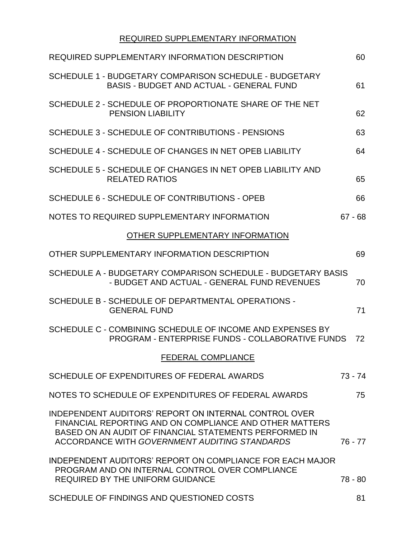# REQUIRED SUPPLEMENTARY INFORMATION

| REQUIRED SUPPLEMENTARY INFORMATION DESCRIPTION                                                                                                                                                                              | 60        |
|-----------------------------------------------------------------------------------------------------------------------------------------------------------------------------------------------------------------------------|-----------|
| SCHEDULE 1 - BUDGETARY COMPARISON SCHEDULE - BUDGETARY<br><b>BASIS - BUDGET AND ACTUAL - GENERAL FUND</b>                                                                                                                   | 61        |
| SCHEDULE 2 - SCHEDULE OF PROPORTIONATE SHARE OF THE NET<br><b>PENSION LIABILITY</b>                                                                                                                                         | 62        |
| SCHEDULE 3 - SCHEDULE OF CONTRIBUTIONS - PENSIONS                                                                                                                                                                           | 63        |
| SCHEDULE 4 - SCHEDULE OF CHANGES IN NET OPEB LIABILITY                                                                                                                                                                      | 64        |
| SCHEDULE 5 - SCHEDULE OF CHANGES IN NET OPEB LIABILITY AND<br><b>RELATED RATIOS</b>                                                                                                                                         | 65        |
| SCHEDULE 6 - SCHEDULE OF CONTRIBUTIONS - OPEB                                                                                                                                                                               | 66        |
| NOTES TO REQUIRED SUPPLEMENTARY INFORMATION                                                                                                                                                                                 | $67 - 68$ |
| OTHER SUPPLEMENTARY INFORMATION                                                                                                                                                                                             |           |
| OTHER SUPPLEMENTARY INFORMATION DESCRIPTION                                                                                                                                                                                 | 69        |
| SCHEDULE A - BUDGETARY COMPARISON SCHEDULE - BUDGETARY BASIS<br>- BUDGET AND ACTUAL - GENERAL FUND REVENUES                                                                                                                 | 70        |
| SCHEDULE B - SCHEDULE OF DEPARTMENTAL OPERATIONS -<br><b>GENERAL FUND</b>                                                                                                                                                   | 71        |
| SCHEDULE C - COMBINING SCHEDULE OF INCOME AND EXPENSES BY<br>PROGRAM - ENTERPRISE FUNDS - COLLABORATIVE FUNDS                                                                                                               | 72        |
| <b>FEDERAL COMPLIANCE</b>                                                                                                                                                                                                   |           |
| SCHEDULE OF EXPENDITURES OF FEDERAL AWARDS                                                                                                                                                                                  | $73 - 74$ |
| NOTES TO SCHEDULE OF EXPENDITURES OF FEDERAL AWARDS                                                                                                                                                                         | 75        |
| INDEPENDENT AUDITORS' REPORT ON INTERNAL CONTROL OVER<br>FINANCIAL REPORTING AND ON COMPLIANCE AND OTHER MATTERS<br>BASED ON AN AUDIT OF FINANCIAL STATEMENTS PERFORMED IN<br>ACCORDANCE WITH GOVERNMENT AUDITING STANDARDS | $76 - 77$ |
| <b>INDEPENDENT AUDITORS' REPORT ON COMPLIANCE FOR EACH MAJOR</b><br>PROGRAM AND ON INTERNAL CONTROL OVER COMPLIANCE<br><b>REQUIRED BY THE UNIFORM GUIDANCE</b>                                                              | $78 - 80$ |
| SCHEDULE OF FINDINGS AND QUESTIONED COSTS                                                                                                                                                                                   | 81        |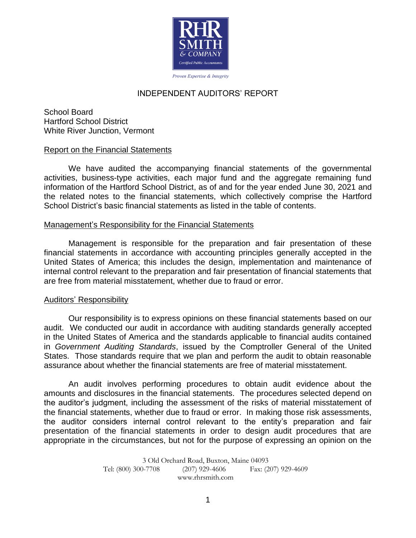

# INDEPENDENT AUDITORS' REPORT

School Board Hartford School District White River Junction, Vermont

### Report on the Financial Statements

We have audited the accompanying financial statements of the governmental activities, business-type activities, each major fund and the aggregate remaining fund information of the Hartford School District, as of and for the year ended June 30, 2021 and the related notes to the financial statements, which collectively comprise the Hartford School District's basic financial statements as listed in the table of contents.

#### Management's Responsibility for the Financial Statements

Management is responsible for the preparation and fair presentation of these financial statements in accordance with accounting principles generally accepted in the United States of America; this includes the design, implementation and maintenance of internal control relevant to the preparation and fair presentation of financial statements that are free from material misstatement, whether due to fraud or error.

### Auditors' Responsibility

Our responsibility is to express opinions on these financial statements based on our audit. We conducted our audit in accordance with auditing standards generally accepted in the United States of America and the standards applicable to financial audits contained in *Government Auditing Standards*, issued by the Comptroller General of the United States. Those standards require that we plan and perform the audit to obtain reasonable assurance about whether the financial statements are free of material misstatement.

An audit involves performing procedures to obtain audit evidence about the amounts and disclosures in the financial statements. The procedures selected depend on the auditor's judgment, including the assessment of the risks of material misstatement of the financial statements, whether due to fraud or error. In making those risk assessments, the auditor considers internal control relevant to the entity's preparation and fair presentation of the financial statements in order to design audit procedures that are appropriate in the circumstances, but not for the purpose of expressing an opinion on the

> 3 Old Orchard Road, Buxton, Maine 04093 Tel: (800) 300-7708 (207) 929-4606 Fax: (207) 929-4609 www.rhrsmith.com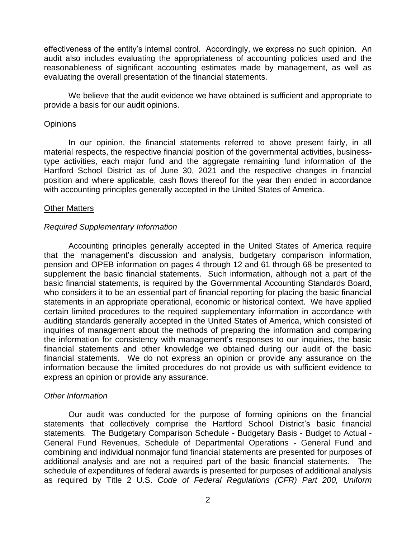effectiveness of the entity's internal control. Accordingly, we express no such opinion. An audit also includes evaluating the appropriateness of accounting policies used and the reasonableness of significant accounting estimates made by management, as well as evaluating the overall presentation of the financial statements.

We believe that the audit evidence we have obtained is sufficient and appropriate to provide a basis for our audit opinions.

### **Opinions**

In our opinion, the financial statements referred to above present fairly, in all material respects, the respective financial position of the governmental activities, businesstype activities, each major fund and the aggregate remaining fund information of the Hartford School District as of June 30, 2021 and the respective changes in financial position and where applicable, cash flows thereof for the year then ended in accordance with accounting principles generally accepted in the United States of America.

### Other Matters

### *Required Supplementary Information*

Accounting principles generally accepted in the United States of America require that the management's discussion and analysis, budgetary comparison information, pension and OPEB information on pages 4 through 12 and 61 through 68 be presented to supplement the basic financial statements. Such information, although not a part of the basic financial statements, is required by the Governmental Accounting Standards Board, who considers it to be an essential part of financial reporting for placing the basic financial statements in an appropriate operational, economic or historical context. We have applied certain limited procedures to the required supplementary information in accordance with auditing standards generally accepted in the United States of America, which consisted of inquiries of management about the methods of preparing the information and comparing the information for consistency with management's responses to our inquiries, the basic financial statements and other knowledge we obtained during our audit of the basic financial statements. We do not express an opinion or provide any assurance on the information because the limited procedures do not provide us with sufficient evidence to express an opinion or provide any assurance.

### *Other Information*

Our audit was conducted for the purpose of forming opinions on the financial statements that collectively comprise the Hartford School District's basic financial statements. The Budgetary Comparison Schedule - Budgetary Basis - Budget to Actual - General Fund Revenues, Schedule of Departmental Operations - General Fund and combining and individual nonmajor fund financial statements are presented for purposes of additional analysis and are not a required part of the basic financial statements. The schedule of expenditures of federal awards is presented for purposes of additional analysis as required by Title 2 U.S. *Code of Federal Regulations (CFR) Part 200, Uniform*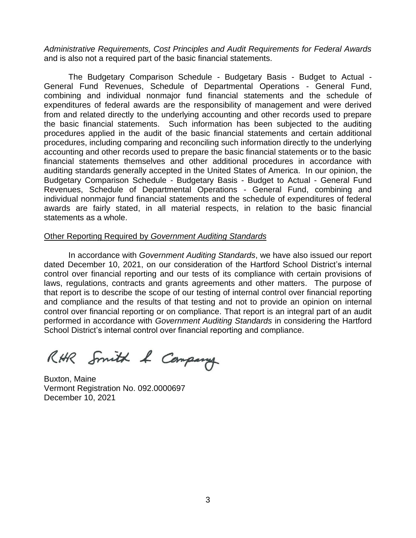*Administrative Requirements, Cost Principles and Audit Requirements for Federal Awards* and is also not a required part of the basic financial statements.

The Budgetary Comparison Schedule - Budgetary Basis - Budget to Actual - General Fund Revenues, Schedule of Departmental Operations - General Fund, combining and individual nonmajor fund financial statements and the schedule of expenditures of federal awards are the responsibility of management and were derived from and related directly to the underlying accounting and other records used to prepare the basic financial statements. Such information has been subjected to the auditing procedures applied in the audit of the basic financial statements and certain additional procedures, including comparing and reconciling such information directly to the underlying accounting and other records used to prepare the basic financial statements or to the basic financial statements themselves and other additional procedures in accordance with auditing standards generally accepted in the United States of America. In our opinion, the Budgetary Comparison Schedule - Budgetary Basis - Budget to Actual - General Fund Revenues, Schedule of Departmental Operations - General Fund, combining and individual nonmajor fund financial statements and the schedule of expenditures of federal awards are fairly stated, in all material respects, in relation to the basic financial statements as a whole.

#### Other Reporting Required by *Government Auditing Standards*

In accordance with *Government Auditing Standards*, we have also issued our report dated December 10, 2021, on our consideration of the Hartford School District's internal control over financial reporting and our tests of its compliance with certain provisions of laws, regulations, contracts and grants agreements and other matters. The purpose of that report is to describe the scope of our testing of internal control over financial reporting and compliance and the results of that testing and not to provide an opinion on internal control over financial reporting or on compliance. That report is an integral part of an audit performed in accordance with *Government Auditing Standards* in considering the Hartford School District's internal control over financial reporting and compliance.

RHR Smith & Company

Buxton, Maine Vermont Registration No. 092.0000697 December 10, 2021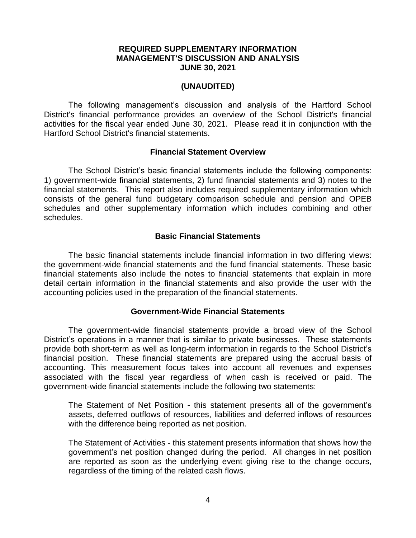### **REQUIRED SUPPLEMENTARY INFORMATION MANAGEMENT'S DISCUSSION AND ANALYSIS JUNE 30, 2021**

### **(UNAUDITED)**

The following management's discussion and analysis of the Hartford School District's financial performance provides an overview of the School District's financial activities for the fiscal year ended June 30, 2021. Please read it in conjunction with the Hartford School District's financial statements.

#### **Financial Statement Overview**

The School District's basic financial statements include the following components: 1) government-wide financial statements, 2) fund financial statements and 3) notes to the financial statements. This report also includes required supplementary information which consists of the general fund budgetary comparison schedule and pension and OPEB schedules and other supplementary information which includes combining and other schedules.

#### **Basic Financial Statements**

The basic financial statements include financial information in two differing views: the government-wide financial statements and the fund financial statements. These basic financial statements also include the notes to financial statements that explain in more detail certain information in the financial statements and also provide the user with the accounting policies used in the preparation of the financial statements.

#### **Government-Wide Financial Statements**

The government-wide financial statements provide a broad view of the School District's operations in a manner that is similar to private businesses. These statements provide both short-term as well as long-term information in regards to the School District's financial position. These financial statements are prepared using the accrual basis of accounting. This measurement focus takes into account all revenues and expenses associated with the fiscal year regardless of when cash is received or paid. The government-wide financial statements include the following two statements:

The Statement of Net Position - this statement presents all of the government's assets, deferred outflows of resources, liabilities and deferred inflows of resources with the difference being reported as net position.

The Statement of Activities - this statement presents information that shows how the government's net position changed during the period. All changes in net position are reported as soon as the underlying event giving rise to the change occurs, regardless of the timing of the related cash flows.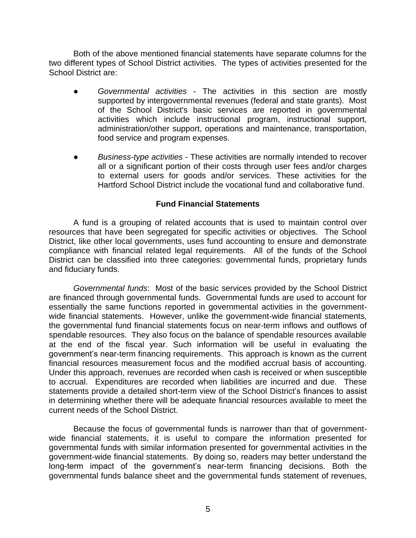Both of the above mentioned financial statements have separate columns for the two different types of School District activities. The types of activities presented for the School District are:

- *Governmental activities* The activities in this section are mostly supported by intergovernmental revenues (federal and state grants). Most of the School District's basic services are reported in governmental activities which include instructional program, instructional support, administration/other support, operations and maintenance, transportation, food service and program expenses.
- *Business-type activities* These activities are normally intended to recover all or a significant portion of their costs through user fees and/or charges to external users for goods and/or services. These activities for the Hartford School District include the vocational fund and collaborative fund.

### **Fund Financial Statements**

A fund is a grouping of related accounts that is used to maintain control over resources that have been segregated for specific activities or objectives. The School District, like other local governments, uses fund accounting to ensure and demonstrate compliance with financial related legal requirements. All of the funds of the School District can be classified into three categories: governmental funds, proprietary funds and fiduciary funds.

*Governmental funds*: Most of the basic services provided by the School District are financed through governmental funds. Governmental funds are used to account for essentially the same functions reported in governmental activities in the governmentwide financial statements. However, unlike the government-wide financial statements, the governmental fund financial statements focus on near-term inflows and outflows of spendable resources. They also focus on the balance of spendable resources available at the end of the fiscal year. Such information will be useful in evaluating the government's near-term financing requirements. This approach is known as the current financial resources measurement focus and the modified accrual basis of accounting. Under this approach, revenues are recorded when cash is received or when susceptible to accrual. Expenditures are recorded when liabilities are incurred and due. These statements provide a detailed short-term view of the School District's finances to assist in determining whether there will be adequate financial resources available to meet the current needs of the School District.

Because the focus of governmental funds is narrower than that of governmentwide financial statements, it is useful to compare the information presented for governmental funds with similar information presented for governmental activities in the government-wide financial statements. By doing so, readers may better understand the long-term impact of the government's near-term financing decisions. Both the governmental funds balance sheet and the governmental funds statement of revenues,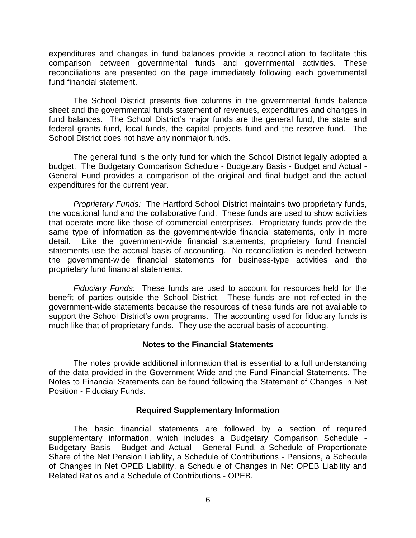expenditures and changes in fund balances provide a reconciliation to facilitate this comparison between governmental funds and governmental activities. These reconciliations are presented on the page immediately following each governmental fund financial statement.

The School District presents five columns in the governmental funds balance sheet and the governmental funds statement of revenues, expenditures and changes in fund balances. The School District's major funds are the general fund, the state and federal grants fund, local funds, the capital projects fund and the reserve fund. The School District does not have any nonmajor funds.

The general fund is the only fund for which the School District legally adopted a budget. The Budgetary Comparison Schedule - Budgetary Basis - Budget and Actual - General Fund provides a comparison of the original and final budget and the actual expenditures for the current year.

*Proprietary Funds:* The Hartford School District maintains two proprietary funds, the vocational fund and the collaborative fund. These funds are used to show activities that operate more like those of commercial enterprises. Proprietary funds provide the same type of information as the government-wide financial statements, only in more detail. Like the government-wide financial statements, proprietary fund financial statements use the accrual basis of accounting. No reconciliation is needed between the government-wide financial statements for business-type activities and the proprietary fund financial statements.

*Fiduciary Funds:* These funds are used to account for resources held for the benefit of parties outside the School District. These funds are not reflected in the government-wide statements because the resources of these funds are not available to support the School District's own programs. The accounting used for fiduciary funds is much like that of proprietary funds. They use the accrual basis of accounting.

### **Notes to the Financial Statements**

The notes provide additional information that is essential to a full understanding of the data provided in the Government-Wide and the Fund Financial Statements. The Notes to Financial Statements can be found following the Statement of Changes in Net Position - Fiduciary Funds.

### **Required Supplementary Information**

The basic financial statements are followed by a section of required supplementary information, which includes a Budgetary Comparison Schedule - Budgetary Basis - Budget and Actual - General Fund, a Schedule of Proportionate Share of the Net Pension Liability, a Schedule of Contributions - Pensions, a Schedule of Changes in Net OPEB Liability, a Schedule of Changes in Net OPEB Liability and Related Ratios and a Schedule of Contributions - OPEB.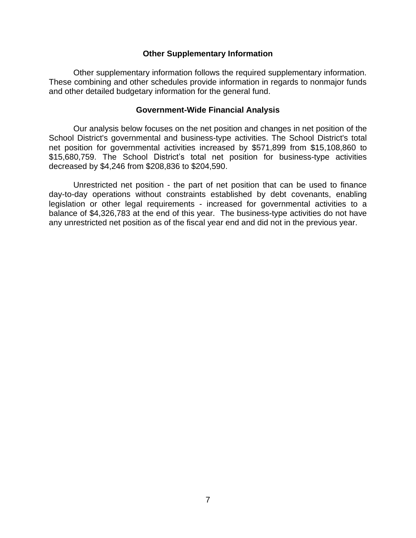#### **Other Supplementary Information**

Other supplementary information follows the required supplementary information. These combining and other schedules provide information in regards to nonmajor funds and other detailed budgetary information for the general fund.

#### **Government-Wide Financial Analysis**

Our analysis below focuses on the net position and changes in net position of the School District's governmental and business-type activities. The School District's total net position for governmental activities increased by \$571,899 from \$15,108,860 to \$15,680,759. The School District's total net position for business-type activities decreased by \$4,246 from \$208,836 to \$204,590.

Unrestricted net position - the part of net position that can be used to finance day-to-day operations without constraints established by debt covenants, enabling legislation or other legal requirements - increased for governmental activities to a balance of \$4,326,783 at the end of this year. The business-type activities do not have any unrestricted net position as of the fiscal year end and did not in the previous year.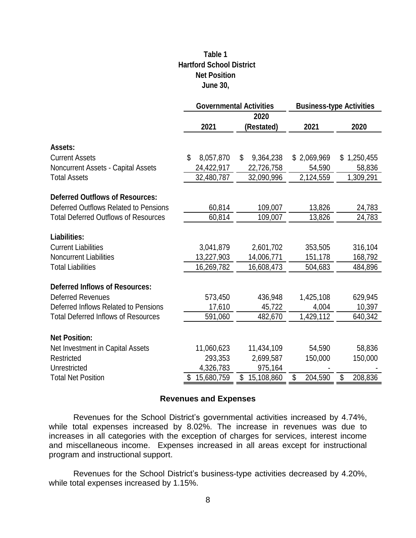# **Table 1 Net Position June 30, Hartford School District**

|                                             |                  | <b>Governmental Activities</b> | <b>Business-type Activities</b> |               |  |  |  |
|---------------------------------------------|------------------|--------------------------------|---------------------------------|---------------|--|--|--|
|                                             |                  | 2020                           |                                 |               |  |  |  |
|                                             | 2021             | (Restated)                     | 2021                            | 2020          |  |  |  |
| Assets:                                     |                  |                                |                                 |               |  |  |  |
| <b>Current Assets</b>                       | \$<br>8,057,870  | 9,364,238<br>\$                | \$2,069,969                     | \$1,250,455   |  |  |  |
| <b>Noncurrent Assets - Capital Assets</b>   | 24,422,917       | 22,726,758                     | 54,590                          | 58,836        |  |  |  |
| <b>Total Assets</b>                         | 32,480,787       | 32,090,996                     | 2,124,559                       | 1,309,291     |  |  |  |
|                                             |                  |                                |                                 |               |  |  |  |
| <b>Deferred Outflows of Resources:</b>      |                  |                                |                                 |               |  |  |  |
| Deferred Outflows Related to Pensions       | 60,814           | 109,007                        | 13,826                          | 24,783        |  |  |  |
| <b>Total Deferred Outflows of Resources</b> | 60,814           | 109,007                        | 13,826                          | 24,783        |  |  |  |
|                                             |                  |                                |                                 |               |  |  |  |
| <b>Liabilities:</b>                         |                  |                                |                                 |               |  |  |  |
| <b>Current Liabilities</b>                  | 3,041,879        | 2,601,702                      | 353,505                         | 316,104       |  |  |  |
| <b>Noncurrent Liabilities</b>               | 13,227,903       | 14,006,771                     | 151,178                         | 168,792       |  |  |  |
| <b>Total Liabilities</b>                    | 16,269,782       | 16,608,473                     | 504,683                         | 484,896       |  |  |  |
| <b>Deferred Inflows of Resources:</b>       |                  |                                |                                 |               |  |  |  |
| <b>Deferred Revenues</b>                    | 573,450          | 436,948                        | 1,425,108                       | 629,945       |  |  |  |
| Deferred Inflows Related to Pensions        | 17,610           | 45,722                         | 4,004                           | 10,397        |  |  |  |
| <b>Total Deferred Inflows of Resources</b>  | 591,060          | 482,670                        | 1,429,112                       | 640,342       |  |  |  |
|                                             |                  |                                |                                 |               |  |  |  |
| <b>Net Position:</b>                        |                  |                                |                                 |               |  |  |  |
| Net Investment in Capital Assets            | 11,060,623       | 11,434,109                     | 54,590                          | 58,836        |  |  |  |
| Restricted                                  | 293,353          | 2,699,587                      | 150,000                         | 150,000       |  |  |  |
| Unrestricted                                | 4,326,783        | 975,164                        |                                 |               |  |  |  |
| <b>Total Net Position</b>                   | \$<br>15,680,759 | \$<br>15,108,860               | \$<br>204,590                   | \$<br>208,836 |  |  |  |

### **Revenues and Expenses**

Revenues for the School District's governmental activities increased by 4.74%, while total expenses increased by 8.02%. The increase in revenues was due to increases in all categories with the exception of charges for services, interest income and miscellaneous income. Expenses increased in all areas except for instructional program and instructional support.

Revenues for the School District's business-type activities decreased by 4.20%, while total expenses increased by 1.15%.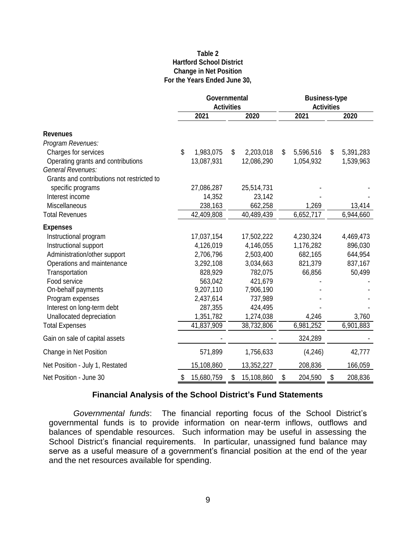#### **Table 2 Hartford School District Change in Net Position For the Years Ended June 30,**

|                                            | Governmental<br><b>Activities</b> |                  | <b>Business-type</b><br><b>Activities</b> |                 |  |  |  |
|--------------------------------------------|-----------------------------------|------------------|-------------------------------------------|-----------------|--|--|--|
|                                            | 2021                              | 2020             | 2021                                      | 2020            |  |  |  |
| <b>Revenues</b>                            |                                   |                  |                                           |                 |  |  |  |
| Program Revenues:                          |                                   |                  |                                           |                 |  |  |  |
| Charges for services                       | \$<br>1,983,075                   | \$<br>2,203,018  | \$<br>5,596,516                           | \$<br>5,391,283 |  |  |  |
| Operating grants and contributions         | 13,087,931                        | 12,086,290       | 1,054,932                                 | 1,539,963       |  |  |  |
| General Revenues:                          |                                   |                  |                                           |                 |  |  |  |
| Grants and contributions not restricted to |                                   |                  |                                           |                 |  |  |  |
| specific programs                          | 27,086,287                        | 25,514,731       |                                           |                 |  |  |  |
| Interest income                            | 14,352                            | 23,142           |                                           |                 |  |  |  |
| Miscellaneous                              | 238,163                           | 662,258          | 1,269                                     | 13,414          |  |  |  |
| <b>Total Revenues</b>                      | 42,409,808                        | 40,489,439       | 6,652,717                                 | 6,944,660       |  |  |  |
| <b>Expenses</b>                            |                                   |                  |                                           |                 |  |  |  |
| Instructional program                      | 17,037,154                        | 17,502,222       | 4,230,324                                 | 4,469,473       |  |  |  |
| Instructional support                      | 4,126,019                         | 4,146,055        | 1,176,282                                 | 896,030         |  |  |  |
| Administration/other support               | 2,706,796                         | 2,503,400        | 682,165                                   | 644,954         |  |  |  |
| Operations and maintenance                 | 3,292,108                         | 3,034,663        | 821,379                                   | 837,167         |  |  |  |
| Transportation                             | 828,929                           | 782,075          | 66,856                                    | 50,499          |  |  |  |
| Food service                               | 563,042                           | 421,679          |                                           |                 |  |  |  |
| On-behalf payments                         | 9,207,110                         | 7,906,190        |                                           |                 |  |  |  |
| Program expenses                           | 2,437,614                         | 737,989          |                                           |                 |  |  |  |
| Interest on long-term debt                 | 287,355                           | 424,495          |                                           |                 |  |  |  |
| Unallocated depreciation                   | 1,351,782                         | 1,274,038        | 4,246                                     | 3,760           |  |  |  |
| <b>Total Expenses</b>                      | 41,837,909                        | 38,732,806       | 6,981,252                                 | 6,901,883       |  |  |  |
| Gain on sale of capital assets             |                                   |                  | 324,289                                   |                 |  |  |  |
| Change in Net Position                     | 571,899                           | 1,756,633        | (4, 246)                                  | 42,777          |  |  |  |
| Net Position - July 1, Restated            | 15,108,860                        | 13,352,227       | 208,836                                   | 166,059         |  |  |  |
| Net Position - June 30                     | \$<br>15,680,759                  | \$<br>15,108,860 | \$<br>204,590                             | \$<br>208,836   |  |  |  |

# **Financial Analysis of the School District's Fund Statements**

*Governmental funds*: The financial reporting focus of the School District's governmental funds is to provide information on near-term inflows, outflows and balances of spendable resources. Such information may be useful in assessing the School District's financial requirements. In particular, unassigned fund balance may serve as a useful measure of a government's financial position at the end of the year and the net resources available for spending.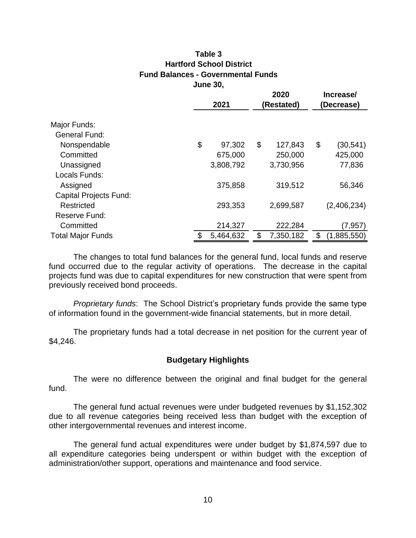### **Table 3 Hartford School District Fund Balances - Governmental Funds June 30,**

|                                                                                                                                                                                                                                                                             |                             | 2020            | Increase/ |             |  |  |  |
|-----------------------------------------------------------------------------------------------------------------------------------------------------------------------------------------------------------------------------------------------------------------------------|-----------------------------|-----------------|-----------|-------------|--|--|--|
|                                                                                                                                                                                                                                                                             | 2021                        | (Restated)      |           | (Decrease)  |  |  |  |
|                                                                                                                                                                                                                                                                             |                             |                 |           |             |  |  |  |
| Major Funds:                                                                                                                                                                                                                                                                |                             |                 |           |             |  |  |  |
| <b>General Fund:</b>                                                                                                                                                                                                                                                        |                             |                 |           |             |  |  |  |
| Nonspendable                                                                                                                                                                                                                                                                | \$<br>97,302                | \$<br>127,843   | \$        | (30, 541)   |  |  |  |
| Committed                                                                                                                                                                                                                                                                   | 675,000                     | 250,000         |           | 425,000     |  |  |  |
| Unassigned                                                                                                                                                                                                                                                                  | 3,808,792                   | 3,730,956       |           | 77,836      |  |  |  |
| Locals Funds:                                                                                                                                                                                                                                                               |                             |                 |           |             |  |  |  |
| Assigned                                                                                                                                                                                                                                                                    | 375,858                     | 319,512         |           | 56,346      |  |  |  |
| <b>Capital Projects Fund:</b>                                                                                                                                                                                                                                               |                             |                 |           |             |  |  |  |
| Restricted                                                                                                                                                                                                                                                                  | 293,353                     | 2,699,587       |           | (2,406,234) |  |  |  |
| Reserve Fund:                                                                                                                                                                                                                                                               |                             |                 |           |             |  |  |  |
| Committed                                                                                                                                                                                                                                                                   | 214,327                     | 222,284         |           | (7, 957)    |  |  |  |
| <b>Total Major Funds</b>                                                                                                                                                                                                                                                    | \$<br>5,464,632             | \$<br>7,350,182 | \$        | (1,885,550) |  |  |  |
| Proprietary funds: The School District's proprietary funds provide the same type<br>of information found in the government-wide financial statements, but in more detail.<br>The proprietary funds had a total decrease in net position for the current year of<br>\$4,246. |                             |                 |           |             |  |  |  |
|                                                                                                                                                                                                                                                                             | <b>Budgetary Highlights</b> |                 |           |             |  |  |  |
|                                                                                                                                                                                                                                                                             |                             |                 |           |             |  |  |  |
| The were no difference between the original and final budget for the general<br>fund.                                                                                                                                                                                       |                             |                 |           |             |  |  |  |
| The general fund actual revenues were under budgeted revenues by \$1,152,302<br>due to all revenue categories being received less than budget with the exception of<br>other intergovernmental revenues and interest income.                                                |                             |                 |           |             |  |  |  |
| The general fund actual expenditures were under budget by \$1,874,597 due to<br>all expenditure categories being underspent or within budget with the exception of<br>administration/other support, operations and maintenance and food service.                            |                             |                 |           |             |  |  |  |
|                                                                                                                                                                                                                                                                             |                             |                 |           |             |  |  |  |
|                                                                                                                                                                                                                                                                             |                             |                 |           |             |  |  |  |
|                                                                                                                                                                                                                                                                             | 10                          |                 |           |             |  |  |  |

### **Budgetary Highlights**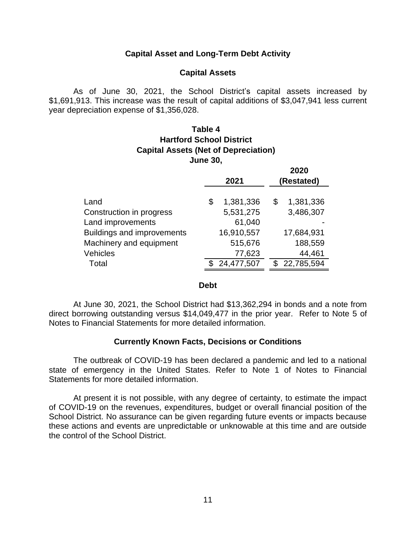### **Capital Asset and Long-Term Debt Activity**

#### **Capital Assets**

As of June 30, 2021, the School District's capital assets increased by \$1,691,913. This increase was the result of capital additions of \$3,047,941 less current year depreciation expense of \$1,356,028.

# **Table 4 Hartford School District Capital Assets (Net of Depreciation) June 30,**

**2020**

|                                   | 2021            | ZUZU<br>(Restated) |
|-----------------------------------|-----------------|--------------------|
|                                   |                 |                    |
| Land                              | 1,381,336<br>\$ | 1,381,336<br>\$    |
| Construction in progress          | 5,531,275       | 3,486,307          |
| Land improvements                 | 61,040          |                    |
| <b>Buildings and improvements</b> | 16,910,557      | 17,684,931         |
| Machinery and equipment           | 515,676         | 188,559            |
| <b>Vehicles</b>                   | 77,623          | 44,461             |
| Total                             | 24,477,507      | 22,785,594         |

#### **Debt**

At June 30, 2021, the School District had \$13,362,294 in bonds and a note from direct borrowing outstanding versus \$14,049,477 in the prior year. Refer to Note 5 of Notes to Financial Statements for more detailed information.

### **Currently Known Facts, Decisions or Conditions**

The outbreak of COVID-19 has been declared a pandemic and led to a national state of emergency in the United States. Refer to Note 1 of Notes to Financial Statements for more detailed information.

At present it is not possible, with any degree of certainty, to estimate the impact of COVID-19 on the revenues, expenditures, budget or overall financial position of the School District. No assurance can be given regarding future events or impacts because these actions and events are unpredictable or unknowable at this time and are outside the control of the School District.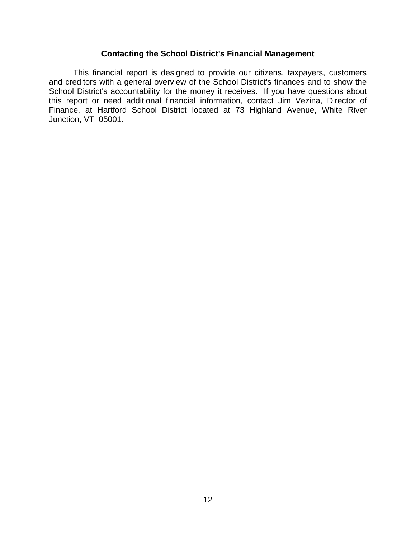## **Contacting the School District's Financial Management**

This financial report is designed to provide our citizens, taxpayers, customers and creditors with a general overview of the School District's finances and to show the School District's accountability for the money it receives. If you have questions about this report or need additional financial information, contact Jim Vezina, Director of Finance, at Hartford School District located at 73 Highland Avenue, White River Junction, VT 05001.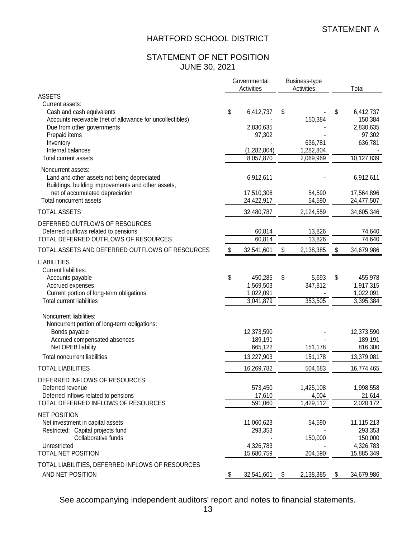## STATEMENT OF NET POSITION JUNE 30, 2021

|                                                                                                                                                                       |                            | Governmental<br>Activities        | Business-type<br>Activities |    | Total                                                  |
|-----------------------------------------------------------------------------------------------------------------------------------------------------------------------|----------------------------|-----------------------------------|-----------------------------|----|--------------------------------------------------------|
| <b>ASSETS</b>                                                                                                                                                         |                            |                                   |                             |    |                                                        |
| Current assets:<br>Cash and cash equivalents<br>Accounts receivable (net of allowance for uncollectibles)<br>Due from other governments<br>Prepaid items<br>Inventory | \$                         | 6,412,737<br>2,830,635<br>97,302  | \$<br>150,384<br>636,781    | S  | 6,412,737<br>150,384<br>2,830,635<br>97,302<br>636,781 |
| Internal balances                                                                                                                                                     |                            | (1, 282, 804)                     | 1,282,804                   |    |                                                        |
| <b>Total current assets</b>                                                                                                                                           |                            | 8,057,870                         | 2,069,969                   |    | 10,127,839                                             |
| Noncurrent assets:<br>Land and other assets not being depreciated<br>Buildings, building improvements and other assets,                                               |                            | 6,912,611                         |                             |    | 6,912,611                                              |
| net of accumulated depreciation<br>Total noncurrent assets                                                                                                            |                            | 17,510,306<br>24,422,917          | 54,590<br>54,590            |    | 17,564,896<br>24,477,507                               |
| <b>TOTAL ASSETS</b>                                                                                                                                                   |                            | 32,480,787                        | 2,124,559                   |    | 34,605,346                                             |
| DEFERRED OUTFLOWS OF RESOURCES<br>Deferred outflows related to pensions<br>TOTAL DEFERRED OUTFLOWS OF RESOURCES                                                       |                            | 60,814<br>60,814                  | 13,826<br>13,826            |    | 74,640<br>74,640                                       |
| TOTAL ASSETS AND DEFERRED OUTFLOWS OF RESOURCES                                                                                                                       | $\boldsymbol{\mathsf{\$}}$ | 32,541,601                        | \$<br>2,138,385             | \$ | 34,679,986                                             |
| <b>LIABILITIES</b><br><b>Current liabilities:</b>                                                                                                                     |                            |                                   |                             |    |                                                        |
| Accounts payable<br>Accrued expenses<br>Current portion of long-term obligations                                                                                      | \$                         | 450,285<br>1,569,503<br>1,022,091 | \$<br>5,693<br>347,812      | \$ | 455,978<br>1,917,315<br>1,022,091                      |
| <b>Total current liabilities</b>                                                                                                                                      |                            | 3,041,879                         | 353,505                     |    | 3,395,384                                              |
| Noncurrent liabilities:<br>Noncurrent portion of long-term obligations:<br>Bonds payable                                                                              |                            | 12,373,590                        |                             |    | 12,373,590                                             |
| Accrued compensated absences                                                                                                                                          |                            | 189,191                           |                             |    | 189,191                                                |
| Net OPEB liability                                                                                                                                                    |                            | 665,122                           | 151,178                     |    | 816,300                                                |
| <b>Total noncurrent liabilities</b>                                                                                                                                   |                            | 13,227,903                        | 151,178                     |    | 13,379,081                                             |
| <b>TOTAL LIABILITIES</b>                                                                                                                                              |                            | 16,269,782                        | 504,683                     |    | 16,774,465                                             |
| DEFERRED INFLOWS OF RESOURCES<br>Deferred revenue<br>Deferred inflows related to pensions                                                                             |                            | 573,450<br>17,610                 | 1,425,108<br>4,004          |    | 1,998,558<br>21,614                                    |
| TOTAL DEFERRED INFLOWS OF RESOURCES                                                                                                                                   |                            | 591,060                           | 1,429,112                   |    | 2,020,172                                              |
| <b>NET POSITION</b><br>Net investment in capital assets<br>Restricted: Capital projects fund<br>Collaborative funds<br>Unrestricted                                   |                            | 11,060,623<br>293,353             | 54,590<br>150,000           |    | 11,115,213<br>293,353<br>150,000                       |
| TOTAL NET POSITION                                                                                                                                                    |                            | 4,326,783<br>15,680,759           | 204,590                     |    | 4,326,783<br>15,885,349                                |
| TOTAL LIABILITIES, DEFERRED INFLOWS OF RESOURCES<br>AND NET POSITION                                                                                                  | \$                         | 32,541,601                        | \$<br>2,138,385             | \$ | 34,679,986                                             |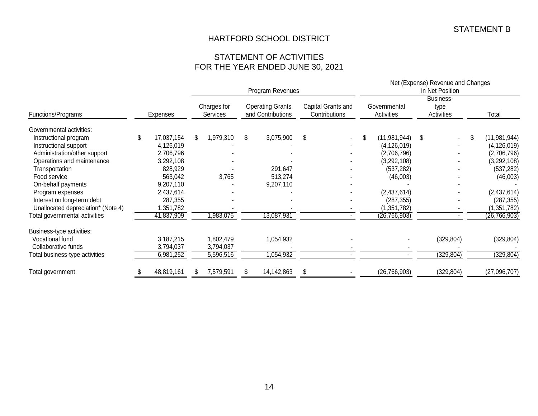### STATEMENT OF ACTIVITIES FOR THE YEAR ENDED JUNE 30, 2021

|                                    |    |            |    |                                |                                              | Program Revenues |                                     |  | Net (Expense) Revenue and Changes<br>in Net Position |                            |    |                                        |    |                |
|------------------------------------|----|------------|----|--------------------------------|----------------------------------------------|------------------|-------------------------------------|--|------------------------------------------------------|----------------------------|----|----------------------------------------|----|----------------|
| Functions/Programs                 |    | Expenses   |    | Charges for<br><b>Services</b> | <b>Operating Grants</b><br>and Contributions |                  | Capital Grants and<br>Contributions |  |                                                      | Governmental<br>Activities |    | <b>Business-</b><br>type<br>Activities |    | Total          |
| Governmental activities:           |    |            |    |                                |                                              |                  |                                     |  |                                                      |                            |    |                                        |    |                |
| Instructional program              | \$ | 17,037,154 | \$ | 1,979,310                      | \$                                           | 3,075,900        | \$                                  |  | \$                                                   | (11, 981, 944)             | \$ | ۰.                                     | \$ | (11, 981, 944) |
| Instructional support              |    | 4,126,019  |    |                                |                                              |                  |                                     |  |                                                      | (4, 126, 019)              |    |                                        |    | (4, 126, 019)  |
| Administration/other support       |    | 2,706,796  |    |                                |                                              |                  |                                     |  |                                                      | (2,706,796)                |    |                                        |    | (2,706,796)    |
| Operations and maintenance         |    | 3,292,108  |    |                                |                                              |                  |                                     |  |                                                      | (3,292,108)                |    |                                        |    | (3,292,108)    |
| Transportation                     |    | 828,929    |    |                                |                                              | 291,647          |                                     |  |                                                      | (537, 282)                 |    |                                        |    | (537, 282)     |
| Food service                       |    | 563,042    |    | 3,765                          |                                              | 513,274          |                                     |  |                                                      | (46,003)                   |    |                                        |    | (46,003)       |
| On-behalf payments                 |    | 9,207,110  |    |                                |                                              | 9,207,110        |                                     |  |                                                      |                            |    |                                        |    |                |
| Program expenses                   |    | 2,437,614  |    |                                |                                              |                  |                                     |  |                                                      | (2,437,614)                |    |                                        |    | (2,437,614)    |
| Interest on long-term debt         |    | 287,355    |    |                                |                                              |                  |                                     |  |                                                      | (287, 355)                 |    |                                        |    | (287, 355)     |
| Unallocated depreciation* (Note 4) |    | 1,351,782  |    |                                |                                              |                  |                                     |  |                                                      | (1, 351, 782)              |    |                                        |    | (1, 351, 782)  |
| Total governmental activities      |    | 41,837,909 |    | ,983,075                       |                                              | 13,087,931       |                                     |  |                                                      | (26, 766, 903)             |    |                                        |    | (26, 766, 903) |
| Business-type activities:          |    |            |    |                                |                                              |                  |                                     |  |                                                      |                            |    |                                        |    |                |
| Vocational fund                    |    | 3,187,215  |    | 1,802,479                      |                                              | 1,054,932        |                                     |  |                                                      |                            |    | (329, 804)                             |    | (329, 804)     |
| Collaborative funds                |    | 3,794,037  |    | 3,794,037                      |                                              |                  |                                     |  |                                                      |                            |    |                                        |    |                |
| Total business-type activities     |    | 6,981,252  |    | 5,596,516                      |                                              | 1,054,932        |                                     |  |                                                      |                            |    | (329, 804)                             |    | (329, 804)     |
| Total government                   |    | 48,819,161 |    | 7,579,591                      |                                              | 14,142,863       | \$.                                 |  |                                                      | (26, 766, 903)             |    | (329, 804)                             |    | (27,096,707)   |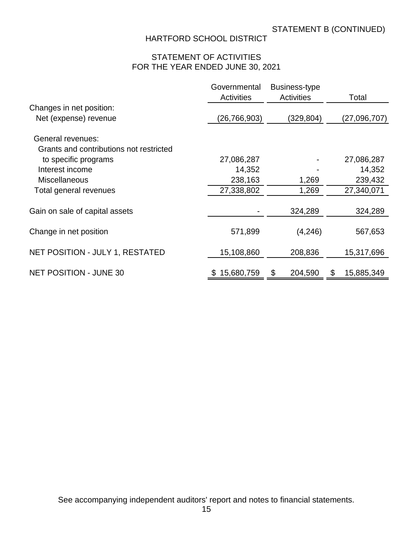# STATEMENT OF ACTIVITIES FOR THE YEAR ENDED JUNE 30, 2021

|                                         | Governmental<br><b>Activities</b> | Business-type<br><b>Activities</b> | Total            |
|-----------------------------------------|-----------------------------------|------------------------------------|------------------|
| Changes in net position:                |                                   |                                    |                  |
| Net (expense) revenue                   | (26, 766, 903)                    | (329, 804)                         | (27,096,707)     |
| General revenues:                       |                                   |                                    |                  |
| Grants and contributions not restricted |                                   |                                    |                  |
| to specific programs                    | 27,086,287                        |                                    | 27,086,287       |
| Interest income                         | 14,352                            |                                    | 14,352           |
| <b>Miscellaneous</b>                    | 238,163                           | 1,269                              | 239,432          |
| Total general revenues                  | 27,338,802                        | 1,269                              | 27,340,071       |
| Gain on sale of capital assets          |                                   | 324,289                            | 324,289          |
| Change in net position                  | 571,899                           | (4,246)                            | 567,653          |
| NET POSITION - JULY 1, RESTATED         | 15,108,860                        | 208,836                            | 15,317,696       |
| <b>NET POSITION - JUNE 30</b>           | \$15,680,759                      | \$<br>204,590                      | \$<br>15,885,349 |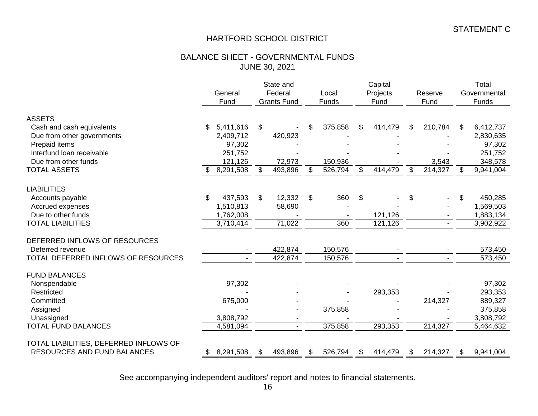### BALANCE SHEET - GOVERNMENTAL FUNDS JUNE 30, 2021

|                                        |     | General<br>Fund | State and<br>Federal<br><b>Grants Fund</b> |         | Local<br>Funds            |         | Capital<br>Projects<br>Fund |         | Reserve<br>Fund |         |    | Total<br>Governmental<br>Funds |
|----------------------------------------|-----|-----------------|--------------------------------------------|---------|---------------------------|---------|-----------------------------|---------|-----------------|---------|----|--------------------------------|
| <b>ASSETS</b>                          |     |                 |                                            |         |                           |         |                             |         |                 |         |    |                                |
| Cash and cash equivalents              | \$  | 5,411,616       | \$                                         |         | \$                        | 375,858 | S                           | 414,479 | S               | 210,784 | S. | 6,412,737                      |
| Due from other governments             |     | 2,409,712       |                                            | 420,923 |                           |         |                             |         |                 |         |    | 2,830,635                      |
| Prepaid items                          |     | 97,302          |                                            |         |                           |         |                             |         |                 |         |    | 97,302                         |
| Interfund loan receivable              |     | 251,752         |                                            |         |                           |         |                             |         |                 |         |    | 251,752                        |
| Due from other funds                   |     | 121,126         |                                            | 72,973  |                           | 150,936 |                             |         |                 | 3,543   |    | 348,578                        |
| <b>TOTAL ASSETS</b>                    | \$. | 8,291,508       | \$                                         | 493,896 | \$                        | 526,794 | \$                          | 414,479 | \$              | 214,327 | \$ | 9,941,004                      |
|                                        |     |                 |                                            |         |                           |         |                             |         |                 |         |    |                                |
| <b>LIABILITIES</b>                     |     |                 |                                            |         |                           |         |                             |         |                 |         |    |                                |
| Accounts payable                       | \$  | 437,593         | \$                                         | 12,332  | $\boldsymbol{\mathsf{S}}$ | 360     | \$                          |         | \$              |         | \$ | 450,285                        |
| Accrued expenses                       |     | 1,510,813       |                                            | 58,690  |                           |         |                             |         |                 |         |    | 1,569,503                      |
| Due to other funds                     |     | 1,762,008       |                                            |         |                           |         |                             | 121,126 |                 |         |    | 1,883,134                      |
| <b>TOTAL LIABILITIES</b>               |     | 3,710,414       |                                            | 71,022  |                           | 360     |                             | 121,126 |                 |         |    | 3,902,922                      |
| DEFERRED INFLOWS OF RESOURCES          |     |                 |                                            |         |                           |         |                             |         |                 |         |    |                                |
| Deferred revenue                       |     |                 |                                            | 422,874 |                           | 150,576 |                             |         |                 |         |    | 573,450                        |
| TOTAL DEFERRED INFLOWS OF RESOURCES    |     |                 |                                            | 422,874 |                           | 150,576 |                             |         |                 |         |    | 573,450                        |
|                                        |     |                 |                                            |         |                           |         |                             |         |                 |         |    |                                |
| <b>FUND BALANCES</b>                   |     |                 |                                            |         |                           |         |                             |         |                 |         |    |                                |
| Nonspendable                           |     | 97,302          |                                            |         |                           |         |                             |         |                 |         |    | 97,302                         |
| Restricted                             |     |                 |                                            |         |                           |         |                             | 293,353 |                 |         |    | 293,353                        |
| Committed                              |     | 675,000         |                                            |         |                           |         |                             |         |                 | 214,327 |    | 889,327                        |
| Assigned                               |     |                 |                                            |         |                           | 375,858 |                             |         |                 |         |    | 375,858                        |
| Unassigned                             |     | 3,808,792       |                                            |         |                           |         |                             |         |                 |         |    | 3,808,792                      |
| <b>TOTAL FUND BALANCES</b>             |     | 4,581,094       |                                            |         |                           | 375,858 |                             | 293,353 |                 | 214,327 |    | 5,464,632                      |
|                                        |     |                 |                                            |         |                           |         |                             |         |                 |         |    |                                |
| TOTAL LIABILITIES, DEFERRED INFLOWS OF |     |                 |                                            |         |                           |         |                             |         |                 |         |    |                                |
| RESOURCES AND FUND BALANCES            |     | 8,291,508       | \$                                         | 493,896 | \$.                       | 526,794 | \$                          | 414,479 | \$              | 214,327 | \$ | 9,941,004                      |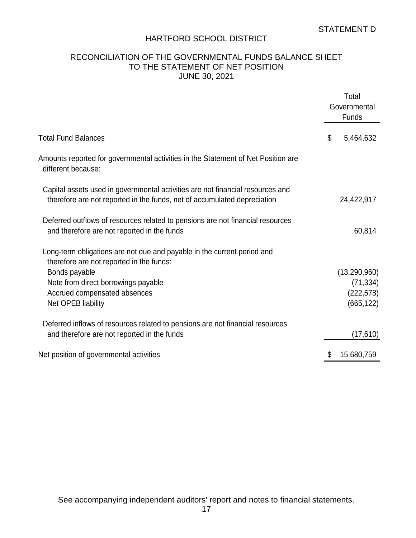### RECONCILIATION OF THE GOVERNMENTAL FUNDS BALANCE SHEET TO THE STATEMENT OF NET POSITION JUNE 30, 2021

|                                                                                                                                                            | Total<br>Governmental<br>Funds |
|------------------------------------------------------------------------------------------------------------------------------------------------------------|--------------------------------|
| <b>Total Fund Balances</b>                                                                                                                                 | \$<br>5,464,632                |
| Amounts reported for governmental activities in the Statement of Net Position are<br>different because:                                                    |                                |
| Capital assets used in governmental activities are not financial resources and<br>therefore are not reported in the funds, net of accumulated depreciation | 24,422,917                     |
| Deferred outflows of resources related to pensions are not financial resources<br>and therefore are not reported in the funds                              | 60,814                         |
| Long-term obligations are not due and payable in the current period and<br>therefore are not reported in the funds:                                        |                                |
| Bonds payable                                                                                                                                              | (13, 290, 960)                 |
| Note from direct borrowings payable                                                                                                                        | (71, 334)                      |
| Accrued compensated absences                                                                                                                               | (222, 578)                     |
| Net OPEB liability                                                                                                                                         | (665, 122)                     |
| Deferred inflows of resources related to pensions are not financial resources                                                                              |                                |
| and therefore are not reported in the funds                                                                                                                | (17,610)                       |
| Net position of governmental activities                                                                                                                    | 15,680,759                     |
|                                                                                                                                                            |                                |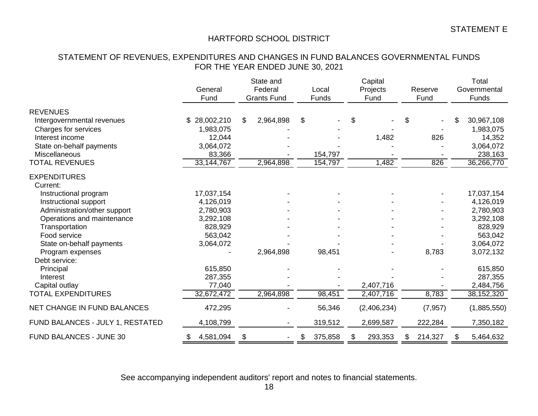### STATEMENT OF REVENUES, EXPENDITURES AND CHANGES IN FUND BALANCES GOVERNMENTAL FUNDS FOR THE YEAR ENDED JUNE 30, 2021

|                                                    | General<br>Fund           | State and<br>Federal<br><b>Grants Fund</b> |           |    | Local<br>Funds | Capital<br>Projects<br>Fund | Reserve<br>Fund |          |    | Total<br>Governmental<br>Funds |
|----------------------------------------------------|---------------------------|--------------------------------------------|-----------|----|----------------|-----------------------------|-----------------|----------|----|--------------------------------|
| <b>REVENUES</b>                                    |                           |                                            |           |    |                |                             |                 |          |    |                                |
| Intergovernmental revenues<br>Charges for services | \$28,002,210<br>1,983,075 | \$                                         | 2,964,898 | \$ |                | \$                          | \$              |          |    | 30,967,108<br>1,983,075        |
| Interest income                                    | 12,044                    |                                            |           |    |                | 1,482                       |                 | 826      |    | 14,352                         |
| State on-behalf payments                           | 3,064,072                 |                                            |           |    |                |                             |                 |          |    | 3,064,072                      |
| Miscellaneous                                      | 83,366                    |                                            |           |    | 154,797        |                             |                 |          |    | 238,163                        |
| <b>TOTAL REVENUES</b>                              | 33, 144, 767              |                                            | 2,964,898 |    | 154,797        | 1,482                       |                 | 826      |    | 36,266,770                     |
| <b>EXPENDITURES</b>                                |                           |                                            |           |    |                |                             |                 |          |    |                                |
| Current:                                           |                           |                                            |           |    |                |                             |                 |          |    |                                |
| Instructional program                              | 17,037,154                |                                            |           |    |                |                             |                 |          |    | 17,037,154                     |
| Instructional support                              | 4,126,019                 |                                            |           |    |                |                             |                 |          |    | 4,126,019                      |
| Administration/other support                       | 2,780,903                 |                                            |           |    |                |                             |                 |          |    | 2,780,903                      |
| Operations and maintenance                         | 3,292,108                 |                                            |           |    |                |                             |                 |          |    | 3,292,108                      |
| Transportation                                     | 828,929                   |                                            |           |    |                |                             |                 |          |    | 828,929                        |
| Food service                                       | 563,042                   |                                            |           |    |                |                             |                 |          |    | 563,042                        |
| State on-behalf payments                           | 3,064,072                 |                                            |           |    |                |                             |                 |          |    | 3,064,072                      |
| Program expenses                                   |                           |                                            | 2,964,898 |    | 98,451         |                             |                 | 8,783    |    | 3,072,132                      |
| Debt service:                                      |                           |                                            |           |    |                |                             |                 |          |    |                                |
| Principal                                          | 615,850                   |                                            |           |    |                |                             |                 |          |    | 615,850                        |
| Interest                                           | 287,355                   |                                            |           |    |                |                             |                 |          |    | 287,355                        |
| Capital outlay<br><b>TOTAL EXPENDITURES</b>        | 77,040<br>32,672,472      |                                            | 2,964,898 |    | 98,451         | 2,407,716<br>2,407,716      |                 | 8,783    |    | 2,484,756<br>38, 152, 320      |
|                                                    |                           |                                            |           |    |                |                             |                 |          |    |                                |
| <b>NET CHANGE IN FUND BALANCES</b>                 | 472,295                   |                                            |           |    | 56,346         | (2,406,234)                 |                 | (7, 957) |    | (1,885,550)                    |
| FUND BALANCES - JULY 1, RESTATED                   | 4,108,799                 |                                            |           |    | 319,512        | 2,699,587                   |                 | 222,284  |    | 7,350,182                      |
| FUND BALANCES - JUNE 30                            | 4,581,094<br>\$           | \$                                         |           |    | 375,858        | \$<br>293,353               | \$              | 214,327  | S. | 5,464,632                      |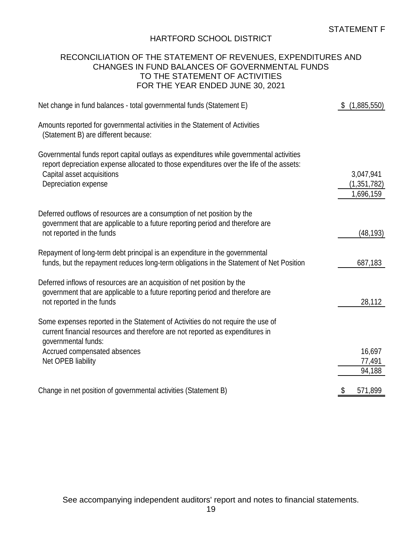### RECONCILIATION OF THE STATEMENT OF REVENUES, EXPENDITURES AND CHANGES IN FUND BALANCES OF GOVERNMENTAL FUNDS TO THE STATEMENT OF ACTIVITIES FOR THE YEAR ENDED JUNE 30, 2021

| Net change in fund balances - total governmental funds (Statement E)                                                                                                                                                                      | (1,885,550)                             |
|-------------------------------------------------------------------------------------------------------------------------------------------------------------------------------------------------------------------------------------------|-----------------------------------------|
| Amounts reported for governmental activities in the Statement of Activities<br>(Statement B) are different because:                                                                                                                       |                                         |
| Governmental funds report capital outlays as expenditures while governmental activities<br>report depreciation expense allocated to those expenditures over the life of the assets:<br>Capital asset acquisitions<br>Depreciation expense | 3,047,941<br>(1, 351, 782)<br>1,696,159 |
| Deferred outflows of resources are a consumption of net position by the<br>government that are applicable to a future reporting period and therefore are<br>not reported in the funds                                                     | (48, 193)                               |
| Repayment of long-term debt principal is an expenditure in the governmental<br>funds, but the repayment reduces long-term obligations in the Statement of Net Position                                                                    | 687,183                                 |
| Deferred inflows of resources are an acquisition of net position by the<br>government that are applicable to a future reporting period and therefore are<br>not reported in the funds                                                     | 28,112                                  |
| Some expenses reported in the Statement of Activities do not require the use of<br>current financial resources and therefore are not reported as expenditures in<br>governmental funds:                                                   |                                         |
| Accrued compensated absences<br>Net OPEB liability                                                                                                                                                                                        | 16,697<br>77,491<br>94,188              |
| Change in net position of governmental activities (Statement B)                                                                                                                                                                           | 571,899<br>\$                           |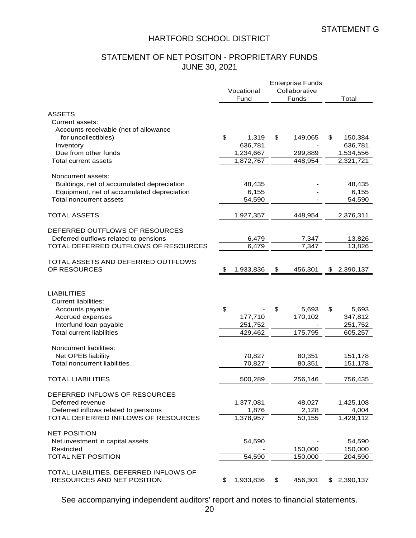# STATEMENT OF NET POSITON - PROPRIETARY FUNDS JUNE 30, 2021

|                                                                       | <b>Enterprise Funds</b> |                 |                    |  |
|-----------------------------------------------------------------------|-------------------------|-----------------|--------------------|--|
|                                                                       | Vocational              | Collaborative   |                    |  |
|                                                                       | Fund                    | Funds           | Total              |  |
| <b>ASSETS</b>                                                         |                         |                 |                    |  |
| Current assets:                                                       |                         |                 |                    |  |
| Accounts receivable (net of allowance                                 |                         |                 |                    |  |
| for uncollectibles)                                                   | \$<br>1,319             | \$<br>149,065   | 150,384<br>\$      |  |
| Inventory                                                             | 636,781                 |                 | 636,781            |  |
| Due from other funds                                                  | 1,234,667               | 299,889         | 1,534,556          |  |
| Total current assets                                                  | 1,872,767               | 448,954         | 2,321,721          |  |
| Noncurrent assets:                                                    |                         |                 |                    |  |
|                                                                       |                         |                 |                    |  |
| Buildings, net of accumulated depreciation                            | 48,435                  |                 | 48,435             |  |
| Equipment, net of accumulated depreciation                            | 6,155                   |                 | 6,155              |  |
| Total noncurrent assets                                               | 54,590                  |                 | 54,590             |  |
| <b>TOTAL ASSETS</b>                                                   | 1,927,357               | 448,954         | 2,376,311          |  |
| DEFERRED OUTFLOWS OF RESOURCES                                        |                         |                 |                    |  |
| Deferred outflows related to pensions                                 | 6,479                   | 7,347           | 13,826             |  |
| TOTAL DEFERRED OUTFLOWS OF RESOURCES                                  | 6,479                   | 7,347           | 13,826             |  |
|                                                                       |                         |                 |                    |  |
| TOTAL ASSETS AND DEFERRED OUTFLOWS                                    |                         |                 |                    |  |
| OF RESOURCES                                                          | 1,933,836<br>\$         | \$<br>456,301   | 2,390,137<br>\$    |  |
| <b>LIABILITIES</b><br><b>Current liabilities:</b><br>Accounts payable | \$                      | \$<br>5,693     | \$<br>5,693        |  |
| Accrued expenses                                                      | 177,710                 | 170,102         | 347,812            |  |
| Interfund loan payable                                                | 251,752                 |                 | 251,752            |  |
| <b>Total current liabilities</b>                                      | 429,462                 | 175,795         | 605,257            |  |
|                                                                       |                         |                 |                    |  |
| Noncurrent liabilities:<br>Net OPEB liability                         | 70,827                  | 80,351          | 151,178            |  |
| Total noncurrent liabilities                                          | 70,827                  | 80,351          | 151,178            |  |
|                                                                       |                         |                 |                    |  |
| <b>TOTAL LIABILITIES</b>                                              | 500,289                 | 256,146         | 756,435            |  |
| DEFERRED INFLOWS OF RESOURCES<br>Deferred revenue                     | 1,377,081               |                 | 1,425,108          |  |
| Deferred inflows related to pensions                                  |                         | 48,027          |                    |  |
| TOTAL DEFERRED INFLOWS OF RESOURCES                                   | 1,876<br>1,378,957      | 2,128<br>50,155 | 4,004<br>1,429,112 |  |
|                                                                       |                         |                 |                    |  |
| <b>NET POSITION</b>                                                   |                         |                 |                    |  |
| Net investment in capital assets                                      | 54,590                  |                 | 54,590             |  |
| Restricted                                                            |                         | 150,000         | 150,000            |  |
| TOTAL NET POSITION                                                    | 54,590                  | 150,000         | 204,590            |  |
| TOTAL LIABILITIES, DEFERRED INFLOWS OF<br>RESOURCES AND NET POSITION  | \$<br>1,933,836         | \$<br>456,301   | 2,390,137<br>\$    |  |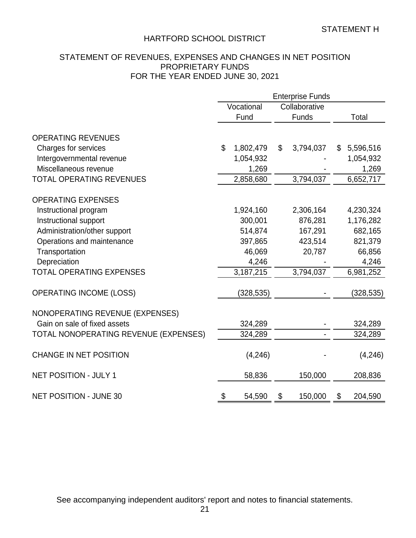# STATEMENT OF REVENUES, EXPENSES AND CHANGES IN NET POSITION PROPRIETARY FUNDS FOR THE YEAR ENDED JUNE 30, 2021

|                                       | <b>Enterprise Funds</b> |            |    |               |    |            |
|---------------------------------------|-------------------------|------------|----|---------------|----|------------|
|                                       |                         | Vocational |    | Collaborative |    |            |
|                                       |                         | Fund       |    | Funds         |    | Total      |
| <b>OPERATING REVENUES</b>             |                         |            |    |               |    |            |
| Charges for services                  | \$                      | 1,802,479  | \$ | 3,794,037     | \$ | 5,596,516  |
| Intergovernmental revenue             |                         | 1,054,932  |    |               |    | 1,054,932  |
| Miscellaneous revenue                 |                         | 1,269      |    |               |    | 1,269      |
| <b>TOTAL OPERATING REVENUES</b>       |                         | 2,858,680  |    | 3,794,037     |    | 6,652,717  |
|                                       |                         |            |    |               |    |            |
| <b>OPERATING EXPENSES</b>             |                         |            |    |               |    |            |
| Instructional program                 |                         | 1,924,160  |    | 2,306,164     |    | 4,230,324  |
| Instructional support                 |                         | 300,001    |    | 876,281       |    | 1,176,282  |
| Administration/other support          |                         | 514,874    |    | 167,291       |    | 682,165    |
| Operations and maintenance            |                         | 397,865    |    | 423,514       |    | 821,379    |
| Transportation                        |                         | 46,069     |    | 20,787        |    | 66,856     |
| Depreciation                          |                         | 4,246      |    |               |    | 4,246      |
| <b>TOTAL OPERATING EXPENSES</b>       |                         | 3,187,215  |    | 3,794,037     |    | 6,981,252  |
|                                       |                         |            |    |               |    |            |
| <b>OPERATING INCOME (LOSS)</b>        |                         | (328, 535) |    |               |    | (328, 535) |
| NONOPERATING REVENUE (EXPENSES)       |                         |            |    |               |    |            |
| Gain on sale of fixed assets          |                         | 324,289    |    |               |    | 324,289    |
| TOTAL NONOPERATING REVENUE (EXPENSES) |                         | 324,289    |    |               |    | 324,289    |
|                                       |                         |            |    |               |    |            |
| <b>CHANGE IN NET POSITION</b>         |                         | (4,246)    |    |               |    | (4,246)    |
| <b>NET POSITION - JULY 1</b>          |                         | 58,836     |    | 150,000       |    | 208,836    |
| <b>NET POSITION - JUNE 30</b>         | \$                      | 54,590     | \$ | 150,000       | \$ | 204,590    |
|                                       |                         |            |    |               |    |            |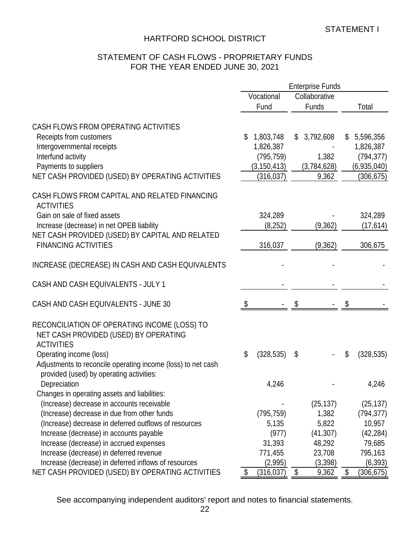# STATEMENT OF CASH FLOWS - PROPRIETARY FUNDS FOR THE YEAR ENDED JUNE 30, 2021

|                                                                                                                                     |    |                         | <b>Enterprise Funds</b> |                         |
|-------------------------------------------------------------------------------------------------------------------------------------|----|-------------------------|-------------------------|-------------------------|
|                                                                                                                                     |    | Vocational              | Collaborative           |                         |
|                                                                                                                                     |    | Fund                    | Funds                   | Total                   |
| CASH FLOWS FROM OPERATING ACTIVITIES                                                                                                | \$ | 1,803,748               | \$<br>3,792,608         | \$                      |
| Receipts from customers                                                                                                             |    |                         |                         | 5,596,356               |
| Intergovernmental receipts<br>Interfund activity                                                                                    |    | 1,826,387<br>(795, 759) | 1,382                   | 1,826,387<br>(794, 377) |
| Payments to suppliers                                                                                                               |    |                         |                         |                         |
| NET CASH PROVIDED (USED) BY OPERATING ACTIVITIES                                                                                    |    | (3, 150, 413)           | (3,784,628)             | (6,935,040)             |
|                                                                                                                                     |    | (316, 037)              | 9,362                   | (306, 675)              |
| CASH FLOWS FROM CAPITAL AND RELATED FINANCING<br><b>ACTIVITIES</b>                                                                  |    |                         |                         |                         |
| Gain on sale of fixed assets                                                                                                        |    | 324,289                 |                         | 324,289                 |
| Increase (decrease) in net OPEB liability                                                                                           |    | (8,252)                 | (9,362)                 | (17, 614)               |
| NET CASH PROVIDED (USED) BY CAPITAL AND RELATED                                                                                     |    |                         |                         |                         |
| <b>FINANCING ACTIVITIES</b>                                                                                                         |    | 316,037                 | (9, 362)                | 306,675                 |
| INCREASE (DECREASE) IN CASH AND CASH EQUIVALENTS                                                                                    |    |                         |                         |                         |
| CASH AND CASH EQUIVALENTS - JULY 1                                                                                                  |    |                         |                         |                         |
| CASH AND CASH EQUIVALENTS - JUNE 30                                                                                                 | S. |                         |                         |                         |
| RECONCILIATION OF OPERATING INCOME (LOSS) TO<br>NET CASH PROVIDED (USED) BY OPERATING<br><b>ACTIVITIES</b>                          |    |                         |                         |                         |
| Operating income (loss)<br>Adjustments to reconcile operating income (loss) to net cash<br>provided (used) by operating activities: | \$ | (328, 535)              | \$                      | \$<br>(328, 535)        |
| Depreciation                                                                                                                        |    | 4,246                   |                         | 4,246                   |
| Changes in operating assets and liabilities:                                                                                        |    |                         |                         |                         |
| (Increase) decrease in accounts receivable                                                                                          |    |                         | (25, 137)               | (25, 137)               |
| (Increase) decrease in due from other funds                                                                                         |    | (795, 759)              | 1,382                   | (794, 377)              |
| (Increase) decrease in deferred outflows of resources                                                                               |    | 5,135                   | 5,822                   | 10,957                  |
| Increase (decrease) in accounts payable                                                                                             |    | (977)                   | (41, 307)               | (42, 284)               |
| Increase (decrease) in accrued expenses                                                                                             |    | 31,393                  | 48,292                  | 79,685                  |
| Increase (decrease) in deferred revenue                                                                                             |    | 771,455                 | 23,708                  | 795,163                 |
| Increase (decrease) in deferred inflows of resources                                                                                |    | (2,995)                 | (3,398)                 | (6, 393)                |
| NET CASH PROVIDED (USED) BY OPERATING ACTIVITIES                                                                                    | \$ | (316, 037)              | \$<br>9,362             | \$<br>(306, 675)        |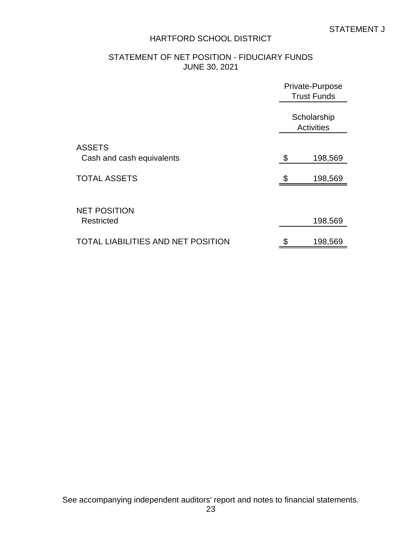# STATEMENT OF NET POSITION - FIDUCIARY FUNDS JUNE 30, 2021

|                                            | Private-Purpose<br><b>Trust Funds</b> |  |  |
|--------------------------------------------|---------------------------------------|--|--|
|                                            | Scholarship<br><b>Activities</b>      |  |  |
| <b>ASSETS</b><br>Cash and cash equivalents | \$<br>198,569                         |  |  |
| <b>TOTAL ASSETS</b>                        | \$<br>198,569                         |  |  |
| <b>NET POSITION</b><br><b>Restricted</b>   | 198,569                               |  |  |
| LIABILITIES AND NET POSITION<br>TOTAI      | \$<br>198,569                         |  |  |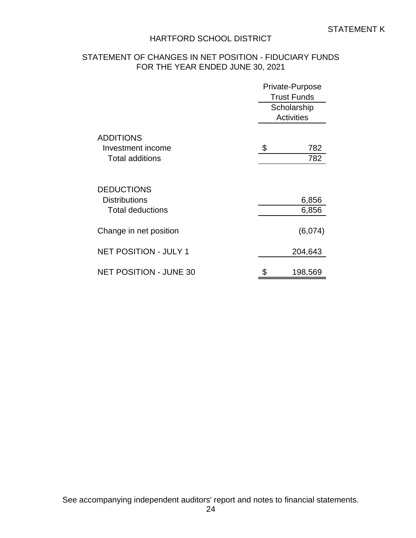# STATEMENT OF CHANGES IN NET POSITION - FIDUCIARY FUNDS FOR THE YEAR ENDED JUNE 30, 2021

|                               | Private-Purpose    |  |  |
|-------------------------------|--------------------|--|--|
|                               | <b>Trust Funds</b> |  |  |
|                               | Scholarship        |  |  |
|                               | <b>Activities</b>  |  |  |
| <b>ADDITIONS</b>              |                    |  |  |
| Investment income             | \$<br>782          |  |  |
| <b>Total additions</b>        | 782                |  |  |
|                               |                    |  |  |
| <b>DEDUCTIONS</b>             |                    |  |  |
| <b>Distributions</b>          | 6,856              |  |  |
| <b>Total deductions</b>       | 6,856              |  |  |
| Change in net position        | (6,074)            |  |  |
| <b>NET POSITION - JULY 1</b>  | 204,643            |  |  |
| <b>NET POSITION - JUNE 30</b> | \$<br>198,569      |  |  |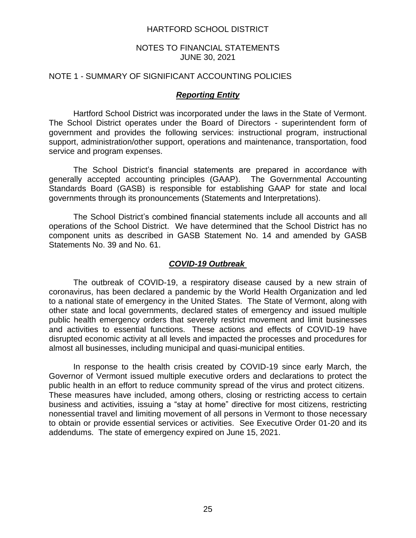### NOTES TO FINANCIAL STATEMENTS JUNE 30, 2021

#### NOTE 1 - SUMMARY OF SIGNIFICANT ACCOUNTING POLICIES

### *Reporting Entity*

Hartford School District was incorporated under the laws in the State of Vermont. The School District operates under the Board of Directors - superintendent form of government and provides the following services: instructional program, instructional support, administration/other support, operations and maintenance, transportation, food service and program expenses.

The School District's financial statements are prepared in accordance with generally accepted accounting principles (GAAP). The Governmental Accounting Standards Board (GASB) is responsible for establishing GAAP for state and local governments through its pronouncements (Statements and Interpretations).

The School District's combined financial statements include all accounts and all operations of the School District. We have determined that the School District has no component units as described in GASB Statement No. 14 and amended by GASB Statements No. 39 and No. 61.

#### *COVID-19 Outbreak*

The outbreak of COVID-19, a respiratory disease caused by a new strain of coronavirus, has been declared a pandemic by the World Health Organization and led to a national state of emergency in the United States. The State of Vermont, along with other state and local governments, declared states of emergency and issued multiple public health emergency orders that severely restrict movement and limit businesses and activities to essential functions. These actions and effects of COVID-19 have disrupted economic activity at all levels and impacted the processes and procedures for almost all businesses, including municipal and quasi-municipal entities.

In response to the health crisis created by COVID-19 since early March, the Governor of Vermont issued multiple executive orders and declarations to protect the public health in an effort to reduce community spread of the virus and protect citizens. These measures have included, among others, closing or restricting access to certain business and activities, issuing a "stay at home" directive for most citizens, restricting nonessential travel and limiting movement of all persons in Vermont to those necessary to obtain or provide essential services or activities. See Executive Order 01-20 and its addendums. The state of emergency expired on June 15, 2021.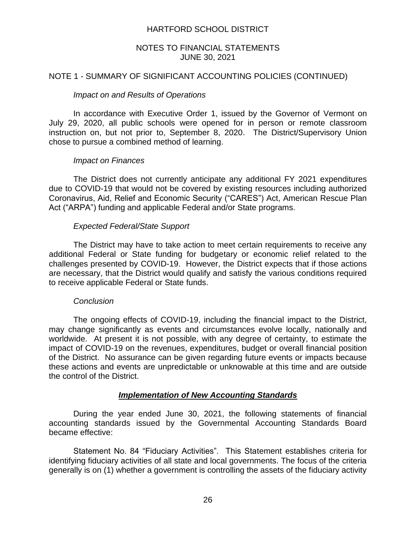### NOTES TO FINANCIAL STATEMENTS JUNE 30, 2021

### NOTE 1 - SUMMARY OF SIGNIFICANT ACCOUNTING POLICIES (CONTINUED)

#### *Impact on and Results of Operations*

In accordance with Executive Order 1, issued by the Governor of Vermont on July 29, 2020, all public schools were opened for in person or remote classroom instruction on, but not prior to, September 8, 2020. The District/Supervisory Union chose to pursue a combined method of learning.

#### *Impact on Finances*

The District does not currently anticipate any additional FY 2021 expenditures due to COVID-19 that would not be covered by existing resources including authorized Coronavirus, Aid, Relief and Economic Security ("CARES") Act, American Rescue Plan Act ("ARPA") funding and applicable Federal and/or State programs.

#### *Expected Federal/State Support*

The District may have to take action to meet certain requirements to receive any additional Federal or State funding for budgetary or economic relief related to the challenges presented by COVID-19. However, the District expects that if those actions are necessary, that the District would qualify and satisfy the various conditions required to receive applicable Federal or State funds.

#### *Conclusion*

The ongoing effects of COVID-19, including the financial impact to the District, may change significantly as events and circumstances evolve locally, nationally and worldwide. At present it is not possible, with any degree of certainty, to estimate the impact of COVID-19 on the revenues, expenditures, budget or overall financial position of the District. No assurance can be given regarding future events or impacts because these actions and events are unpredictable or unknowable at this time and are outside the control of the District.

### *Implementation of New Accounting Standards*

During the year ended June 30, 2021, the following statements of financial accounting standards issued by the Governmental Accounting Standards Board became effective:

Statement No. 84 "Fiduciary Activities". This Statement establishes criteria for identifying fiduciary activities of all state and local governments. The focus of the criteria generally is on (1) whether a government is controlling the assets of the fiduciary activity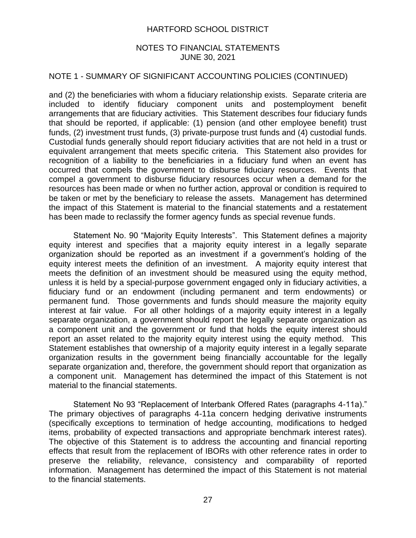### NOTES TO FINANCIAL STATEMENTS JUNE 30, 2021

### NOTE 1 - SUMMARY OF SIGNIFICANT ACCOUNTING POLICIES (CONTINUED)

and (2) the beneficiaries with whom a fiduciary relationship exists. Separate criteria are included to identify fiduciary component units and postemployment benefit arrangements that are fiduciary activities. This Statement describes four fiduciary funds that should be reported, if applicable: (1) pension (and other employee benefit) trust funds, (2) investment trust funds, (3) private-purpose trust funds and (4) custodial funds. Custodial funds generally should report fiduciary activities that are not held in a trust or equivalent arrangement that meets specific criteria. This Statement also provides for recognition of a liability to the beneficiaries in a fiduciary fund when an event has occurred that compels the government to disburse fiduciary resources. Events that compel a government to disburse fiduciary resources occur when a demand for the resources has been made or when no further action, approval or condition is required to be taken or met by the beneficiary to release the assets. Management has determined the impact of this Statement is material to the financial statements and a restatement has been made to reclassify the former agency funds as special revenue funds.

Statement No. 90 "Majority Equity Interests". This Statement defines a majority equity interest and specifies that a majority equity interest in a legally separate organization should be reported as an investment if a government's holding of the equity interest meets the definition of an investment. A majority equity interest that meets the definition of an investment should be measured using the equity method, unless it is held by a special-purpose government engaged only in fiduciary activities, a fiduciary fund or an endowment (including permanent and term endowments) or permanent fund. Those governments and funds should measure the majority equity interest at fair value. For all other holdings of a majority equity interest in a legally separate organization, a government should report the legally separate organization as a component unit and the government or fund that holds the equity interest should report an asset related to the majority equity interest using the equity method. This Statement establishes that ownership of a majority equity interest in a legally separate organization results in the government being financially accountable for the legally separate organization and, therefore, the government should report that organization as a component unit. Management has determined the impact of this Statement is not material to the financial statements.

Statement No 93 "Replacement of Interbank Offered Rates (paragraphs 4-11a)." The primary objectives of paragraphs 4-11a concern hedging derivative instruments (specifically exceptions to termination of hedge accounting, modifications to hedged items, probability of expected transactions and appropriate benchmark interest rates). The objective of this Statement is to address the accounting and financial reporting effects that result from the replacement of IBORs with other reference rates in order to preserve the reliability, relevance, consistency and comparability of reported information. Management has determined the impact of this Statement is not material to the financial statements.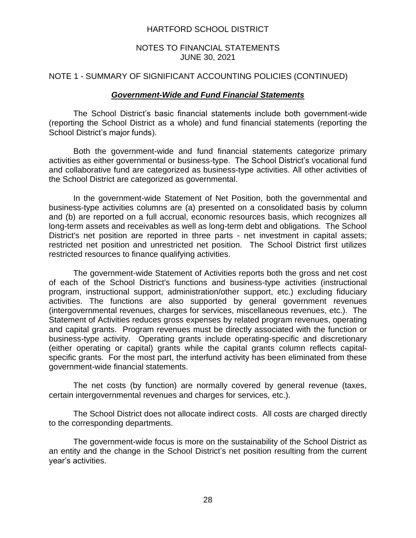### NOTES TO FINANCIAL STATEMENTS JUNE 30, 2021

### NOTE 1 - SUMMARY OF SIGNIFICANT ACCOUNTING POLICIES (CONTINUED)

### *Government-Wide and Fund Financial Statements*

The School District's basic financial statements include both government-wide (reporting the School District as a whole) and fund financial statements (reporting the School District's major funds).

Both the government-wide and fund financial statements categorize primary activities as either governmental or business-type. The School District's vocational fund and collaborative fund are categorized as business-type activities. All other activities of the School District are categorized as governmental.

In the government-wide Statement of Net Position, both the governmental and business-type activities columns are (a) presented on a consolidated basis by column and (b) are reported on a full accrual, economic resources basis, which recognizes all long-term assets and receivables as well as long-term debt and obligations. The School District's net position are reported in three parts - net investment in capital assets; restricted net position and unrestricted net position. The School District first utilizes restricted resources to finance qualifying activities.

The government-wide Statement of Activities reports both the gross and net cost of each of the School District's functions and business-type activities (instructional program, instructional support, administration/other support, etc.) excluding fiduciary activities. The functions are also supported by general government revenues (intergovernmental revenues, charges for services, miscellaneous revenues, etc.). The Statement of Activities reduces gross expenses by related program revenues, operating and capital grants. Program revenues must be directly associated with the function or business-type activity. Operating grants include operating-specific and discretionary (either operating or capital) grants while the capital grants column reflects capitalspecific grants. For the most part, the interfund activity has been eliminated from these government-wide financial statements.

The net costs (by function) are normally covered by general revenue (taxes, certain intergovernmental revenues and charges for services, etc.).

The School District does not allocate indirect costs. All costs are charged directly to the corresponding departments.

The government-wide focus is more on the sustainability of the School District as an entity and the change in the School District's net position resulting from the current year's activities.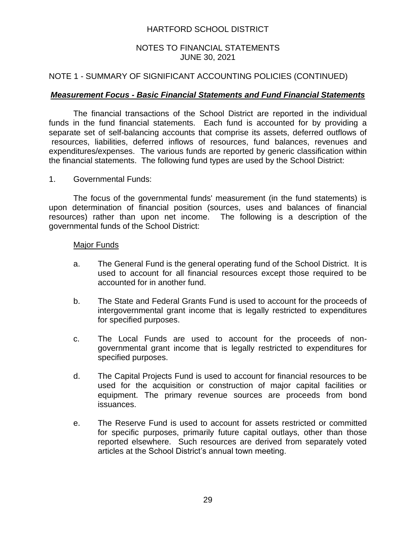### NOTES TO FINANCIAL STATEMENTS JUNE 30, 2021

### NOTE 1 - SUMMARY OF SIGNIFICANT ACCOUNTING POLICIES (CONTINUED)

### *Measurement Focus - Basic Financial Statements and Fund Financial Statements*

The financial transactions of the School District are reported in the individual funds in the fund financial statements. Each fund is accounted for by providing a separate set of self-balancing accounts that comprise its assets, deferred outflows of resources, liabilities, deferred inflows of resources, fund balances, revenues and expenditures/expenses. The various funds are reported by generic classification within the financial statements. The following fund types are used by the School District:

1. Governmental Funds:

The focus of the governmental funds' measurement (in the fund statements) is upon determination of financial position (sources, uses and balances of financial resources) rather than upon net income. The following is a description of the governmental funds of the School District:

### Major Funds

- a. The General Fund is the general operating fund of the School District. It is used to account for all financial resources except those required to be accounted for in another fund.
- b. The State and Federal Grants Fund is used to account for the proceeds of intergovernmental grant income that is legally restricted to expenditures for specified purposes.
- c. The Local Funds are used to account for the proceeds of nongovernmental grant income that is legally restricted to expenditures for specified purposes.
- d. The Capital Projects Fund is used to account for financial resources to be used for the acquisition or construction of major capital facilities or equipment. The primary revenue sources are proceeds from bond issuances.
- e. The Reserve Fund is used to account for assets restricted or committed for specific purposes, primarily future capital outlays, other than those reported elsewhere. Such resources are derived from separately voted articles at the School District's annual town meeting.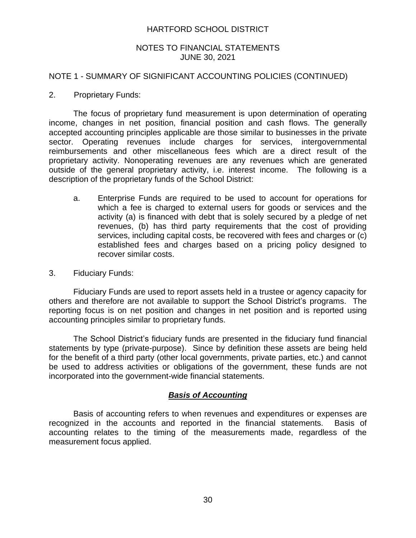### NOTES TO FINANCIAL STATEMENTS JUNE 30, 2021

### NOTE 1 - SUMMARY OF SIGNIFICANT ACCOUNTING POLICIES (CONTINUED)

2. Proprietary Funds:

The focus of proprietary fund measurement is upon determination of operating income, changes in net position, financial position and cash flows. The generally accepted accounting principles applicable are those similar to businesses in the private sector. Operating revenues include charges for services, intergovernmental reimbursements and other miscellaneous fees which are a direct result of the proprietary activity. Nonoperating revenues are any revenues which are generated outside of the general proprietary activity, i.e. interest income. The following is a description of the proprietary funds of the School District:

- a. Enterprise Funds are required to be used to account for operations for which a fee is charged to external users for goods or services and the activity (a) is financed with debt that is solely secured by a pledge of net revenues, (b) has third party requirements that the cost of providing services, including capital costs, be recovered with fees and charges or (c) established fees and charges based on a pricing policy designed to recover similar costs.
- 3. Fiduciary Funds:

Fiduciary Funds are used to report assets held in a trustee or agency capacity for others and therefore are not available to support the School District's programs. The reporting focus is on net position and changes in net position and is reported using accounting principles similar to proprietary funds.

The School District's fiduciary funds are presented in the fiduciary fund financial statements by type (private-purpose). Since by definition these assets are being held for the benefit of a third party (other local governments, private parties, etc.) and cannot be used to address activities or obligations of the government, these funds are not incorporated into the government-wide financial statements.

### *Basis of Accounting*

Basis of accounting refers to when revenues and expenditures or expenses are recognized in the accounts and reported in the financial statements. Basis of accounting relates to the timing of the measurements made, regardless of the measurement focus applied.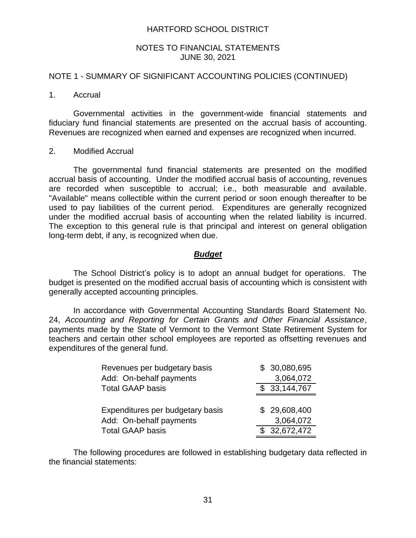### NOTES TO FINANCIAL STATEMENTS JUNE 30, 2021

### NOTE 1 - SUMMARY OF SIGNIFICANT ACCOUNTING POLICIES (CONTINUED)

#### 1. Accrual

Governmental activities in the government-wide financial statements and fiduciary fund financial statements are presented on the accrual basis of accounting. Revenues are recognized when earned and expenses are recognized when incurred.

#### 2. Modified Accrual

The governmental fund financial statements are presented on the modified accrual basis of accounting. Under the modified accrual basis of accounting, revenues are recorded when susceptible to accrual; i.e., both measurable and available. "Available" means collectible within the current period or soon enough thereafter to be used to pay liabilities of the current period. Expenditures are generally recognized under the modified accrual basis of accounting when the related liability is incurred. The exception to this general rule is that principal and interest on general obligation long-term debt, if any, is recognized when due.

#### *Budget*

The School District's policy is to adopt an annual budget for operations. The budget is presented on the modified accrual basis of accounting which is consistent with generally accepted accounting principles.

In accordance with Governmental Accounting Standards Board Statement No. 24, *Accounting and Reporting for Certain Grants and Other Financial Assistance*, payments made by the State of Vermont to the Vermont State Retirement System for teachers and certain other school employees are reported as offsetting revenues and expenditures of the general fund.

| Revenues per budgetary basis     | \$ 30,080,695              |
|----------------------------------|----------------------------|
| Add: On-behalf payments          | 3,064,072                  |
| <b>Total GAAP basis</b>          | \$33,144,767               |
|                                  |                            |
| Expenditures per budgetary basis | \$29,608,400               |
| Add: On-behalf payments          | 3,064,072                  |
| <b>Total GAAP basis</b>          | $\overline{\$}$ 32,672,472 |

The following procedures are followed in establishing budgetary data reflected in the financial statements: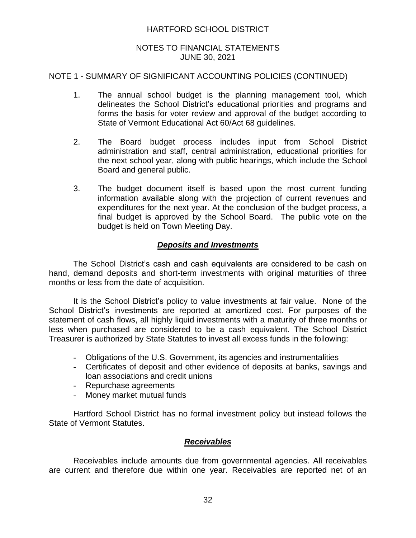### NOTES TO FINANCIAL STATEMENTS JUNE 30, 2021

### NOTE 1 - SUMMARY OF SIGNIFICANT ACCOUNTING POLICIES (CONTINUED)

- 1. The annual school budget is the planning management tool, which delineates the School District's educational priorities and programs and forms the basis for voter review and approval of the budget according to State of Vermont Educational Act 60/Act 68 guidelines.
- 2. The Board budget process includes input from School District administration and staff, central administration, educational priorities for the next school year, along with public hearings, which include the School Board and general public.
- 3. The budget document itself is based upon the most current funding information available along with the projection of current revenues and expenditures for the next year. At the conclusion of the budget process, a final budget is approved by the School Board. The public vote on the budget is held on Town Meeting Day.

### *Deposits and Investments*

The School District's cash and cash equivalents are considered to be cash on hand, demand deposits and short-term investments with original maturities of three months or less from the date of acquisition.

It is the School District's policy to value investments at fair value. None of the School District's investments are reported at amortized cost. For purposes of the statement of cash flows, all highly liquid investments with a maturity of three months or less when purchased are considered to be a cash equivalent. The School District Treasurer is authorized by State Statutes to invest all excess funds in the following:

- Obligations of the U.S. Government, its agencies and instrumentalities
- Certificates of deposit and other evidence of deposits at banks, savings and loan associations and credit unions
- Repurchase agreements
- Money market mutual funds

Hartford School District has no formal investment policy but instead follows the State of Vermont Statutes.

### *Receivables*

Receivables include amounts due from governmental agencies. All receivables are current and therefore due within one year. Receivables are reported net of an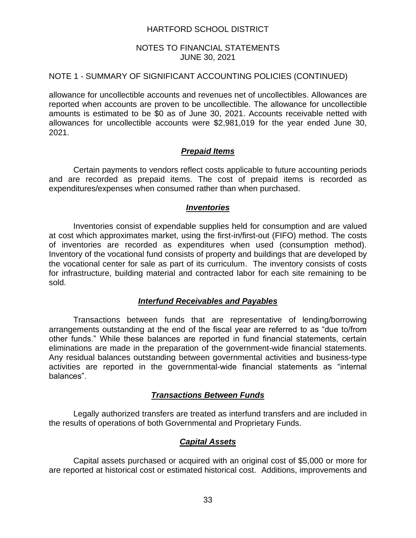### NOTES TO FINANCIAL STATEMENTS JUNE 30, 2021

### NOTE 1 - SUMMARY OF SIGNIFICANT ACCOUNTING POLICIES (CONTINUED)

allowance for uncollectible accounts and revenues net of uncollectibles. Allowances are reported when accounts are proven to be uncollectible. The allowance for uncollectible amounts is estimated to be \$0 as of June 30, 2021. Accounts receivable netted with allowances for uncollectible accounts were \$2,981,019 for the year ended June 30, 2021.

### *Prepaid Items*

Certain payments to vendors reflect costs applicable to future accounting periods and are recorded as prepaid items. The cost of prepaid items is recorded as expenditures/expenses when consumed rather than when purchased.

### *Inventories*

Inventories consist of expendable supplies held for consumption and are valued at cost which approximates market, using the first-in/first-out (FIFO) method. The costs of inventories are recorded as expenditures when used (consumption method). Inventory of the vocational fund consists of property and buildings that are developed by the vocational center for sale as part of its curriculum. The inventory consists of costs for infrastructure, building material and contracted labor for each site remaining to be sold.

### *Interfund Receivables and Payables*

Transactions between funds that are representative of lending/borrowing arrangements outstanding at the end of the fiscal year are referred to as "due to/from other funds." While these balances are reported in fund financial statements, certain eliminations are made in the preparation of the government-wide financial statements. Any residual balances outstanding between governmental activities and business-type activities are reported in the governmental-wide financial statements as "internal balances".

### *Transactions Between Funds*

Legally authorized transfers are treated as interfund transfers and are included in the results of operations of both Governmental and Proprietary Funds.

# *Capital Assets*

Capital assets purchased or acquired with an original cost of \$5,000 or more for are reported at historical cost or estimated historical cost. Additions, improvements and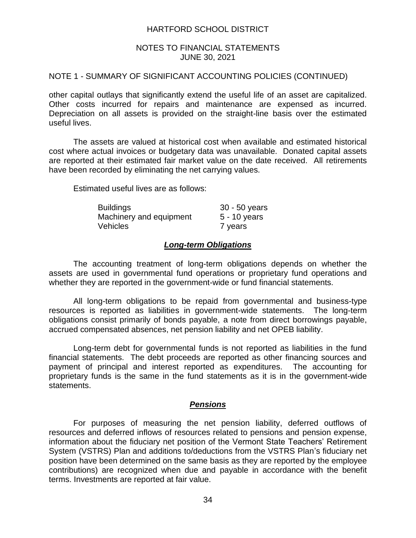### NOTES TO FINANCIAL STATEMENTS JUNE 30, 2021

#### NOTE 1 - SUMMARY OF SIGNIFICANT ACCOUNTING POLICIES (CONTINUED)

other capital outlays that significantly extend the useful life of an asset are capitalized. Other costs incurred for repairs and maintenance are expensed as incurred. Depreciation on all assets is provided on the straight-line basis over the estimated useful lives.

The assets are valued at historical cost when available and estimated historical cost where actual invoices or budgetary data was unavailable. Donated capital assets are reported at their estimated fair market value on the date received. All retirements have been recorded by eliminating the net carrying values.

Estimated useful lives are as follows:

| <b>Buildings</b>        | 30 - 50 years  |
|-------------------------|----------------|
| Machinery and equipment | $5 - 10$ years |
| <b>Vehicles</b>         | 7 years        |

### *Long-term Obligations*

The accounting treatment of long-term obligations depends on whether the assets are used in governmental fund operations or proprietary fund operations and whether they are reported in the government-wide or fund financial statements.

All long-term obligations to be repaid from governmental and business-type resources is reported as liabilities in government-wide statements. The long-term obligations consist primarily of bonds payable, a note from direct borrowings payable, accrued compensated absences, net pension liability and net OPEB liability.

Long-term debt for governmental funds is not reported as liabilities in the fund financial statements. The debt proceeds are reported as other financing sources and payment of principal and interest reported as expenditures. The accounting for proprietary funds is the same in the fund statements as it is in the government-wide statements.

#### *Pensions*

For purposes of measuring the net pension liability, deferred outflows of resources and deferred inflows of resources related to pensions and pension expense, information about the fiduciary net position of the Vermont State Teachers' Retirement System (VSTRS) Plan and additions to/deductions from the VSTRS Plan's fiduciary net position have been determined on the same basis as they are reported by the employee contributions) are recognized when due and payable in accordance with the benefit terms. Investments are reported at fair value.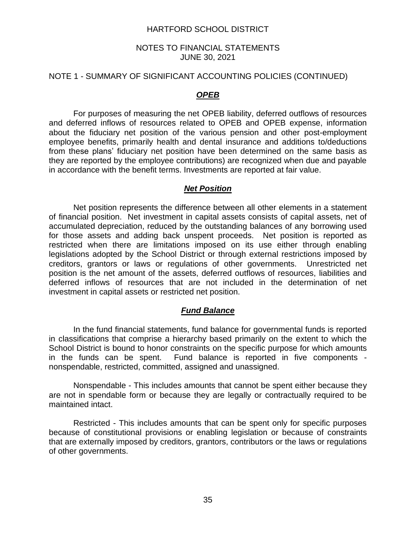#### NOTES TO FINANCIAL STATEMENTS JUNE 30, 2021

#### NOTE 1 - SUMMARY OF SIGNIFICANT ACCOUNTING POLICIES (CONTINUED)

## *OPEB*

For purposes of measuring the net OPEB liability, deferred outflows of resources and deferred inflows of resources related to OPEB and OPEB expense, information about the fiduciary net position of the various pension and other post-employment employee benefits, primarily health and dental insurance and additions to/deductions from these plans' fiduciary net position have been determined on the same basis as they are reported by the employee contributions) are recognized when due and payable in accordance with the benefit terms. Investments are reported at fair value.

### *Net Position*

Net position represents the difference between all other elements in a statement of financial position. Net investment in capital assets consists of capital assets, net of accumulated depreciation, reduced by the outstanding balances of any borrowing used for those assets and adding back unspent proceeds. Net position is reported as restricted when there are limitations imposed on its use either through enabling legislations adopted by the School District or through external restrictions imposed by creditors, grantors or laws or regulations of other governments. Unrestricted net position is the net amount of the assets, deferred outflows of resources, liabilities and deferred inflows of resources that are not included in the determination of net investment in capital assets or restricted net position.

## *Fund Balance*

In the fund financial statements, fund balance for governmental funds is reported in classifications that comprise a hierarchy based primarily on the extent to which the School District is bound to honor constraints on the specific purpose for which amounts in the funds can be spent. Fund balance is reported in five components nonspendable, restricted, committed, assigned and unassigned.

Nonspendable - This includes amounts that cannot be spent either because they are not in spendable form or because they are legally or contractually required to be maintained intact.

Restricted - This includes amounts that can be spent only for specific purposes because of constitutional provisions or enabling legislation or because of constraints that are externally imposed by creditors, grantors, contributors or the laws or regulations of other governments.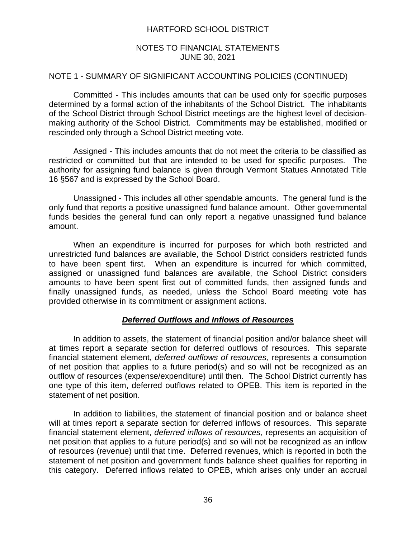## NOTES TO FINANCIAL STATEMENTS JUNE 30, 2021

### NOTE 1 - SUMMARY OF SIGNIFICANT ACCOUNTING POLICIES (CONTINUED)

Committed - This includes amounts that can be used only for specific purposes determined by a formal action of the inhabitants of the School District. The inhabitants of the School District through School District meetings are the highest level of decisionmaking authority of the School District. Commitments may be established, modified or rescinded only through a School District meeting vote.

Assigned - This includes amounts that do not meet the criteria to be classified as restricted or committed but that are intended to be used for specific purposes. The authority for assigning fund balance is given through Vermont Statues Annotated Title 16 §567 and is expressed by the School Board.

Unassigned - This includes all other spendable amounts. The general fund is the only fund that reports a positive unassigned fund balance amount. Other governmental funds besides the general fund can only report a negative unassigned fund balance amount.

When an expenditure is incurred for purposes for which both restricted and unrestricted fund balances are available, the School District considers restricted funds to have been spent first. When an expenditure is incurred for which committed, assigned or unassigned fund balances are available, the School District considers amounts to have been spent first out of committed funds, then assigned funds and finally unassigned funds, as needed, unless the School Board meeting vote has provided otherwise in its commitment or assignment actions.

## *Deferred Outflows and Inflows of Resources*

In addition to assets, the statement of financial position and/or balance sheet will at times report a separate section for deferred outflows of resources. This separate financial statement element, *deferred outflows of resources*, represents a consumption of net position that applies to a future period(s) and so will not be recognized as an outflow of resources (expense/expenditure) until then. The School District currently has one type of this item, deferred outflows related to OPEB. This item is reported in the statement of net position.

In addition to liabilities, the statement of financial position and or balance sheet will at times report a separate section for deferred inflows of resources. This separate financial statement element, *deferred inflows of resources*, represents an acquisition of net position that applies to a future period(s) and so will not be recognized as an inflow of resources (revenue) until that time. Deferred revenues, which is reported in both the statement of net position and government funds balance sheet qualifies for reporting in this category. Deferred inflows related to OPEB, which arises only under an accrual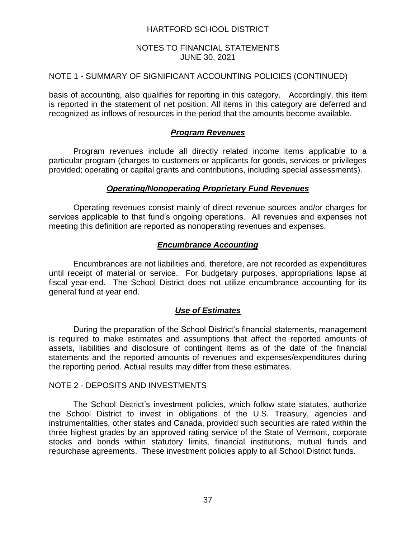## NOTES TO FINANCIAL STATEMENTS JUNE 30, 2021

## NOTE 1 - SUMMARY OF SIGNIFICANT ACCOUNTING POLICIES (CONTINUED)

basis of accounting, also qualifies for reporting in this category. Accordingly, this item is reported in the statement of net position. All items in this category are deferred and recognized as inflows of resources in the period that the amounts become available.

## *Program Revenues*

Program revenues include all directly related income items applicable to a particular program (charges to customers or applicants for goods, services or privileges provided; operating or capital grants and contributions, including special assessments).

### *Operating/Nonoperating Proprietary Fund Revenues*

Operating revenues consist mainly of direct revenue sources and/or charges for services applicable to that fund's ongoing operations. All revenues and expenses not meeting this definition are reported as nonoperating revenues and expenses.

## *Encumbrance Accounting*

Encumbrances are not liabilities and, therefore, are not recorded as expenditures until receipt of material or service. For budgetary purposes, appropriations lapse at fiscal year-end. The School District does not utilize encumbrance accounting for its general fund at year end.

## *Use of Estimates*

During the preparation of the School District's financial statements, management is required to make estimates and assumptions that affect the reported amounts of assets, liabilities and disclosure of contingent items as of the date of the financial statements and the reported amounts of revenues and expenses/expenditures during the reporting period. Actual results may differ from these estimates.

### NOTE 2 - DEPOSITS AND INVESTMENTS

The School District's investment policies, which follow state statutes, authorize the School District to invest in obligations of the U.S. Treasury, agencies and instrumentalities, other states and Canada, provided such securities are rated within the three highest grades by an approved rating service of the State of Vermont, corporate stocks and bonds within statutory limits, financial institutions, mutual funds and repurchase agreements. These investment policies apply to all School District funds.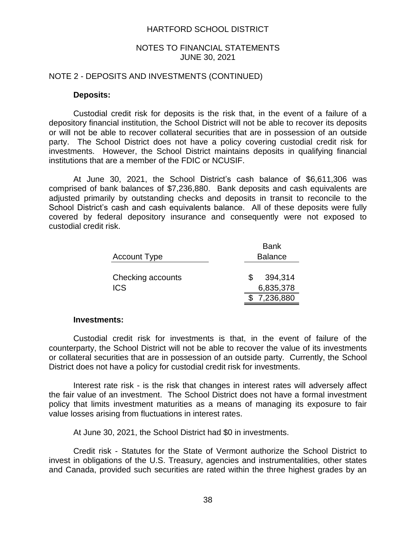#### NOTES TO FINANCIAL STATEMENTS JUNE 30, 2021

#### NOTE 2 - DEPOSITS AND INVESTMENTS (CONTINUED)

### **Deposits:**

Custodial credit risk for deposits is the risk that, in the event of a failure of a depository financial institution, the School District will not be able to recover its deposits or will not be able to recover collateral securities that are in possession of an outside party. The School District does not have a policy covering custodial credit risk for investments. However, the School District maintains deposits in qualifying financial institutions that are a member of the FDIC or NCUSIF.

At June 30, 2021, the School District's cash balance of \$6,611,306 was comprised of bank balances of \$7,236,880. Bank deposits and cash equivalents are adjusted primarily by outstanding checks and deposits in transit to reconcile to the School District's cash and cash equivalents balance. All of these deposits were fully covered by federal depository insurance and consequently were not exposed to custodial credit risk.

|                                 | <b>Bank</b>                              |  |
|---------------------------------|------------------------------------------|--|
| <b>Account Type</b>             | <b>Balance</b>                           |  |
| Checking accounts<br><b>ICS</b> | 394,314<br>S<br>6,835,378<br>\$7,236,880 |  |
|                                 |                                          |  |

#### **Investments:**

Custodial credit risk for investments is that, in the event of failure of the counterparty, the School District will not be able to recover the value of its investments or collateral securities that are in possession of an outside party. Currently, the School District does not have a policy for custodial credit risk for investments.

Interest rate risk - is the risk that changes in interest rates will adversely affect the fair value of an investment. The School District does not have a formal investment policy that limits investment maturities as a means of managing its exposure to fair value losses arising from fluctuations in interest rates.

At June 30, 2021, the School District had \$0 in investments.

Credit risk - Statutes for the State of Vermont authorize the School District to invest in obligations of the U.S. Treasury, agencies and instrumentalities, other states and Canada, provided such securities are rated within the three highest grades by an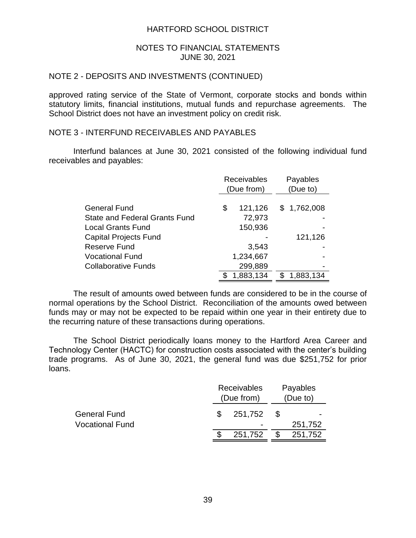### NOTES TO FINANCIAL STATEMENTS JUNE 30, 2021

## NOTE 2 - DEPOSITS AND INVESTMENTS (CONTINUED)

approved rating service of the State of Vermont, corporate stocks and bonds within statutory limits, financial institutions, mutual funds and repurchase agreements. The School District does not have an investment policy on credit risk.

## NOTE 3 - INTERFUND RECEIVABLES AND PAYABLES

Interfund balances at June 30, 2021 consisted of the following individual fund receivables and payables:

|                                      | <b>Receivables</b><br>(Due from) | Payables<br>(Due to) |
|--------------------------------------|----------------------------------|----------------------|
|                                      |                                  |                      |
| General Fund                         | \$<br>121,126                    | \$1,762,008          |
| <b>State and Federal Grants Fund</b> | 72,973                           |                      |
| <b>Local Grants Fund</b>             | 150,936                          |                      |
| Capital Projects Fund                |                                  | 121,126              |
| Reserve Fund                         | 3,543                            |                      |
| <b>Vocational Fund</b>               | 1,234,667                        |                      |
| <b>Collaborative Funds</b>           | 299,889                          |                      |
|                                      | 1,883,134                        | 1,883,134            |

The result of amounts owed between funds are considered to be in the course of normal operations by the School District. Reconciliation of the amounts owed between funds may or may not be expected to be repaid within one year in their entirety due to the recurring nature of these transactions during operations.

The School District periodically loans money to the Hartford Area Career and Technology Center (HACTC) for construction costs associated with the center's building trade programs. As of June 30, 2021, the general fund was due \$251,752 for prior loans.

|                        |  | Receivables<br>(Due from) | Payables<br>(Due to) |         |  |
|------------------------|--|---------------------------|----------------------|---------|--|
| <b>General Fund</b>    |  | 251,752                   | - \$                 |         |  |
| <b>Vocational Fund</b> |  |                           |                      | 251,752 |  |
|                        |  | 251,752                   | -S                   | 251,752 |  |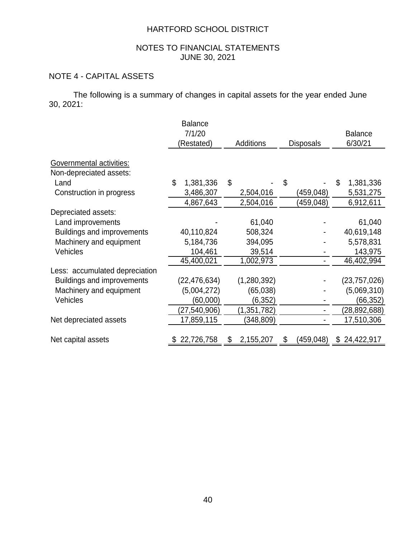## NOTES TO FINANCIAL STATEMENTS JUNE 30, 2021

# NOTE 4 - CAPITAL ASSETS

The following is a summary of changes in capital assets for the year ended June 30, 2021:

|                                   | <b>Balance</b>  |                  |                  |                 |
|-----------------------------------|-----------------|------------------|------------------|-----------------|
|                                   | 7/1/20          |                  |                  | <b>Balance</b>  |
|                                   | (Restated)      | <b>Additions</b> | <b>Disposals</b> | 6/30/21         |
| Governmental activities:          |                 |                  |                  |                 |
| Non-depreciated assets:           |                 |                  |                  |                 |
| Land                              | \$<br>1,381,336 | \$               | \$               | \$<br>1,381,336 |
| Construction in progress          | 3,486,307       | 2,504,016        | (459,048)        | 5,531,275       |
|                                   | 4,867,643       | 2,504,016        | (459, 048)       | 6,912,611       |
| Depreciated assets:               |                 |                  |                  |                 |
| Land improvements                 |                 | 61,040           |                  | 61,040          |
| <b>Buildings and improvements</b> | 40,110,824      | 508,324          |                  | 40,619,148      |
| Machinery and equipment           | 5,184,736       | 394,095          |                  | 5,578,831       |
| Vehicles                          | 104,461         | 39,514           |                  | 143,975         |
|                                   | 45,400,021      | 1,002,973        |                  | 46,402,994      |
| Less: accumulated depreciation    |                 |                  |                  |                 |
| <b>Buildings and improvements</b> | (22, 476, 634)  | (1,280,392)      |                  | (23, 757, 026)  |
| Machinery and equipment           | (5,004,272)     | (65,038)         |                  | (5,069,310)     |
| Vehicles                          | (60,000)        | (6, 352)         |                  | (66,352)        |
|                                   | (27, 540, 906)  | (1,351,782)      |                  | (28, 892, 688)  |
| Net depreciated assets            | 17,859,115      | (348,809)        |                  | 17,510,306      |
|                                   |                 |                  |                  |                 |
| Net capital assets                | 22,726,758      | 2,155,207        | \$<br>(459,048)  | \$24,422,917    |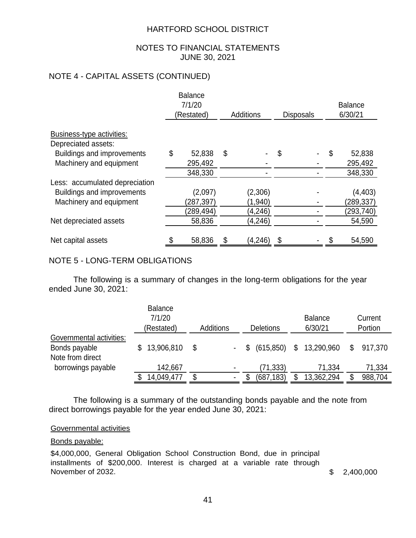## NOTES TO FINANCIAL STATEMENTS JUNE 30, 2021

## NOTE 4 - CAPITAL ASSETS (CONTINUED)

|                                | <b>Balance</b><br>7/1/20<br>(Restated) |           |    | <b>Additions</b> | <b>Disposals</b> | <b>Balance</b><br>6/30/21 |           |  |
|--------------------------------|----------------------------------------|-----------|----|------------------|------------------|---------------------------|-----------|--|
| Business-type activities:      |                                        |           |    |                  |                  |                           |           |  |
| Depreciated assets:            |                                        |           |    |                  |                  |                           |           |  |
| Buildings and improvements     | \$                                     | 52,838    | \$ |                  | \$               | \$                        | 52,838    |  |
| Machinery and equipment        |                                        | 295,492   |    |                  |                  |                           | 295,492   |  |
|                                |                                        | 348,330   |    |                  |                  |                           | 348,330   |  |
| Less: accumulated depreciation |                                        |           |    |                  |                  |                           |           |  |
| Buildings and improvements     |                                        | (2,097)   |    | (2,306)          |                  |                           | (4, 403)  |  |
| Machinery and equipment        |                                        | (287,397) |    | (1,940)          |                  |                           | (289,337) |  |
|                                |                                        | (289,494) |    | (4, 246)         |                  |                           | (293,740) |  |
| Net depreciated assets         |                                        | 58,836    |    | (4, 246)         |                  |                           | 54,590    |  |
| Net capital assets             |                                        | 58,836    | \$ | (4, 246)         | \$               |                           | 54,590    |  |

## NOTE 5 - LONG-TERM OBLIGATIONS

The following is a summary of changes in the long-term obligations for the year ended June 30, 2021:

| 7/1/20<br>(Restated) |            |   |           |           |                                              | <b>Balance</b><br>6/30/21 |                            | Current<br>Portion |
|----------------------|------------|---|-----------|-----------|----------------------------------------------|---------------------------|----------------------------|--------------------|
| 13,906,810           | S          |   | \$        |           |                                              |                           |                            | \$917,370          |
| 142,667              |            | ۰ |           | (71, 333) |                                              | 71,334                    |                            | 71,334<br>988,704  |
|                      | 14,049,477 | S | Additions |           | <b>Deletions</b><br>(615, 850)<br>(687, 183) |                           | \$13,290,960<br>13,362,294 | \$                 |

The following is a summary of the outstanding bonds payable and the note from direct borrowings payable for the year ended June 30, 2021:

#### Governmental activities

#### Bonds payable:

\$4,000,000, General Obligation School Construction Bond, due in principal installments of \$200,000. Interest is charged at a variable rate through November of 2032. <br>
Solution 1980. <br>
Solution 1980. <br>
Solution 1980. <br>
Solution 1980. <br>
Solution 1980. <br>
Solution 1980. <br>
Solution 1980. <br>
Solution 1980. <br>
Solution 1980. <br>
Solution 1980. <br>
Solution 1980. <br>
Solution 1980.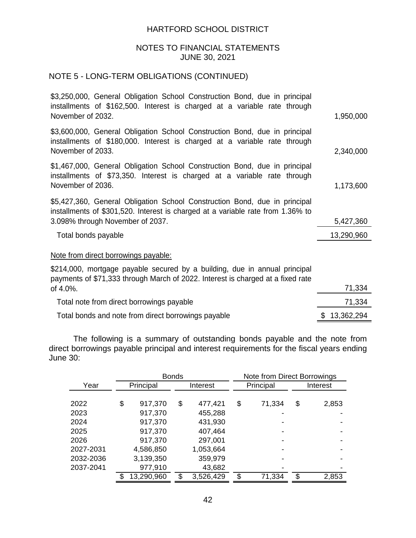### NOTES TO FINANCIAL STATEMENTS JUNE 30, 2021

# NOTE 5 - LONG-TERM OBLIGATIONS (CONTINUED)

| \$3,250,000, General Obligation School Construction Bond, due in principal<br>installments of \$162,500. Interest is charged at a variable rate through<br>November of 2032.                      | 1,950,000  |
|---------------------------------------------------------------------------------------------------------------------------------------------------------------------------------------------------|------------|
| \$3,600,000, General Obligation School Construction Bond, due in principal<br>installments of \$180,000. Interest is charged at a variable rate through<br>November of 2033.                      | 2,340,000  |
| \$1,467,000, General Obligation School Construction Bond, due in principal<br>installments of \$73,350. Interest is charged at a variable rate through<br>November of 2036.                       | 1,173,600  |
| \$5,427,360, General Obligation School Construction Bond, due in principal<br>installments of \$301,520. Interest is charged at a variable rate from 1.36% to<br>3.098% through November of 2037. | 5,427,360  |
| Total bonds payable                                                                                                                                                                               | 13,290,960 |
| Note from direct borrowings payable:                                                                                                                                                              |            |
| \$214,000, mortgage payable secured by a building, due in annual principal<br>payments of \$71,333 through March of 2022. Interest is charged at a fixed rate<br>of 4.0%.                         | 71,334     |
| Total note from direct borrowings payable                                                                                                                                                         | 71,334     |
|                                                                                                                                                                                                   |            |

Total bonds and note from direct borrowings payable  $$ 13,362,294$ 

The following is a summary of outstanding bonds payable and the note from direct borrowings payable principal and interest requirements for the fiscal years ending June 30:

|           | <b>Bonds</b><br>Note from Direct Borrowings |    |           |    |           |    |          |
|-----------|---------------------------------------------|----|-----------|----|-----------|----|----------|
| Year      | Principal                                   |    | Interest  |    | Principal |    | Interest |
|           |                                             |    |           |    |           |    |          |
| 2022      | \$<br>917,370                               | \$ | 477,421   | \$ | 71,334    | \$ | 2,853    |
| 2023      | 917,370                                     |    | 455,288   |    |           |    |          |
| 2024      | 917,370                                     |    | 431,930   |    |           |    |          |
| 2025      | 917,370                                     |    | 407,464   |    |           |    |          |
| 2026      | 917,370                                     |    | 297,001   |    |           |    |          |
| 2027-2031 | 4,586,850                                   |    | 1,053,664 |    |           |    |          |
| 2032-2036 | 3,139,350                                   |    | 359,979   |    |           |    |          |
| 2037-2041 | 977,910                                     |    | 43,682    |    |           |    |          |
|           | 13,290,960                                  | \$ | 3,526,429 | S  | 71,334    | \$ | 2,853    |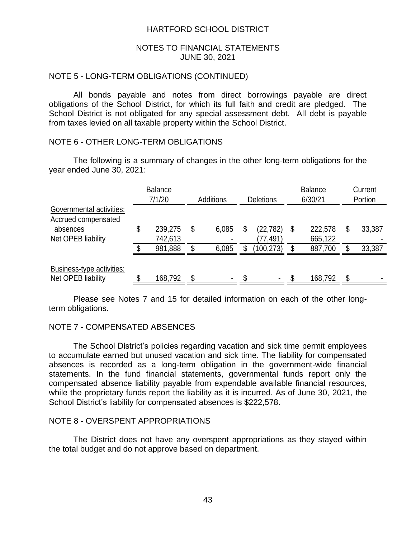#### NOTES TO FINANCIAL STATEMENTS JUNE 30, 2021

## NOTE 5 - LONG-TERM OBLIGATIONS (CONTINUED)

All bonds payable and notes from direct borrowings payable are direct obligations of the School District, for which its full faith and credit are pledged. The School District is not obligated for any special assessment debt. All debt is payable from taxes levied on all taxable property within the School District.

### NOTE 6 - OTHER LONG-TERM OBLIGATIONS

The following is a summary of changes in the other long-term obligations for the year ended June 30, 2021:

|                                                 | <b>Balance</b><br>7/1/20 | Additions      | <b>Deletions</b> |    | <b>Balance</b><br>6/30/21 | Current<br>Portion |
|-------------------------------------------------|--------------------------|----------------|------------------|----|---------------------------|--------------------|
| Governmental activities:<br>Accrued compensated |                          |                |                  |    |                           |                    |
| absences                                        | \$<br>239,275            | \$<br>6,085    | (22,782)         | \$ | 222,578                   | \$<br>33,387       |
| Net OPEB liability                              | 742,613                  | $\blacksquare$ | (77,491)         |    | 665,122                   |                    |
|                                                 | 981,888                  | \$<br>6,085    | (100, 273)       | S  | 887,700                   | \$<br>33,387       |
| Business-type activities:<br>Net OPEB liability | 168,792                  | \$<br>۰        |                  |    | 168,792                   | \$                 |

Please see Notes 7 and 15 for detailed information on each of the other longterm obligations.

#### NOTE 7 - COMPENSATED ABSENCES

The School District's policies regarding vacation and sick time permit employees to accumulate earned but unused vacation and sick time. The liability for compensated absences is recorded as a long-term obligation in the government-wide financial statements. In the fund financial statements, governmental funds report only the compensated absence liability payable from expendable available financial resources, while the proprietary funds report the liability as it is incurred. As of June 30, 2021, the School District's liability for compensated absences is \$222,578.

#### NOTE 8 - OVERSPENT APPROPRIATIONS

The District does not have any overspent appropriations as they stayed within the total budget and do not approve based on department.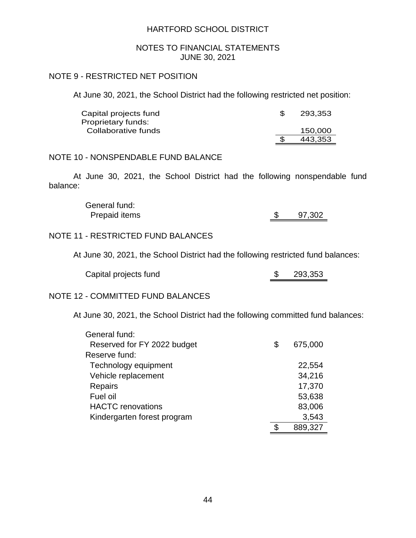#### NOTES TO FINANCIAL STATEMENTS JUNE 30, 2021

### NOTE 9 - RESTRICTED NET POSITION

At June 30, 2021, the School District had the following restricted net position:

| Capital projects fund | 293.353 |
|-----------------------|---------|
| Proprietary funds:    |         |
| Collaborative funds   | 150.000 |
|                       | 443.353 |

## NOTE 10 - NONSPENDABLE FUND BALANCE

At June 30, 2021, the School District had the following nonspendable fund balance:

> General fund: Prepaid items 5 97,302

## NOTE 11 - RESTRICTED FUND BALANCES

At June 30, 2021, the School District had the following restricted fund balances:

| Capital projects fund |  | 293,353 |
|-----------------------|--|---------|
|-----------------------|--|---------|

#### NOTE 12 - COMMITTED FUND BALANCES

At June 30, 2021, the School District had the following committed fund balances:

| General fund:               |               |
|-----------------------------|---------------|
| Reserved for FY 2022 budget | \$<br>675,000 |
| Reserve fund:               |               |
| Technology equipment        | 22,554        |
| Vehicle replacement         | 34,216        |
| <b>Repairs</b>              | 17,370        |
| Fuel oil                    | 53,638        |
| <b>HACTC</b> renovations    | 83,006        |
| Kindergarten forest program | 3,543         |
|                             | 889,327       |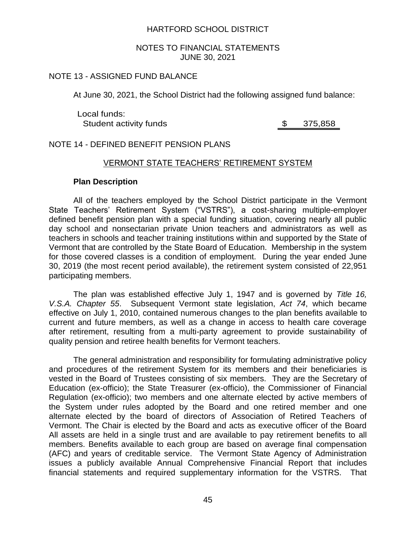#### NOTES TO FINANCIAL STATEMENTS JUNE 30, 2021

## NOTE 13 - ASSIGNED FUND BALANCE

At June 30, 2021, the School District had the following assigned fund balance:

Local funds: Student activity funds by the student activity funds by the student student student students of  $\frac{1}{2}$ 

#### NOTE 14 - DEFINED BENEFIT PENSION PLANS

### VERMONT STATE TEACHERS' RETIREMENT SYSTEM

#### **Plan Description**

All of the teachers employed by the School District participate in the Vermont State Teachers' Retirement System ("VSTRS"), a cost-sharing multiple-employer defined benefit pension plan with a special funding situation, covering nearly all public day school and nonsectarian private Union teachers and administrators as well as teachers in schools and teacher training institutions within and supported by the State of Vermont that are controlled by the State Board of Education. Membership in the system for those covered classes is a condition of employment. During the year ended June 30, 2019 (the most recent period available), the retirement system consisted of 22,951 participating members.

The plan was established effective July 1, 1947 and is governed by *Title 16, V.S.A. Chapter 55*. Subsequent Vermont state legislation, *Act 74*, which became effective on July 1, 2010, contained numerous changes to the plan benefits available to current and future members, as well as a change in access to health care coverage after retirement, resulting from a multi-party agreement to provide sustainability of quality pension and retiree health benefits for Vermont teachers.

The general administration and responsibility for formulating administrative policy and procedures of the retirement System for its members and their beneficiaries is vested in the Board of Trustees consisting of six members. They are the Secretary of Education (ex-officio); the State Treasurer (ex-officio), the Commissioner of Financial Regulation (ex-officio); two members and one alternate elected by active members of the System under rules adopted by the Board and one retired member and one alternate elected by the board of directors of Association of Retired Teachers of Vermont. The Chair is elected by the Board and acts as executive officer of the Board All assets are held in a single trust and are available to pay retirement benefits to all members. Benefits available to each group are based on average final compensation (AFC) and years of creditable service. The Vermont State Agency of Administration issues a publicly available Annual Comprehensive Financial Report that includes financial statements and required supplementary information for the VSTRS. That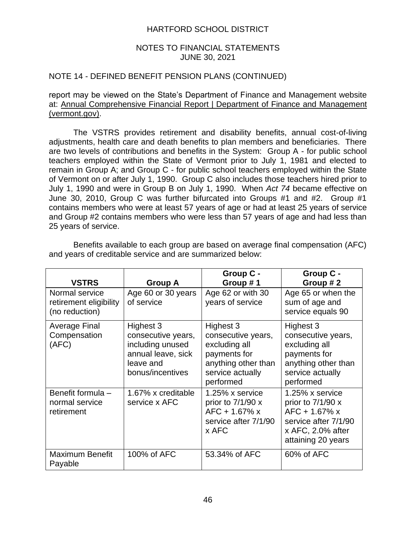### NOTES TO FINANCIAL STATEMENTS JUNE 30, 2021

### NOTE 14 - DEFINED BENEFIT PENSION PLANS (CONTINUED)

report may be viewed on the State's Department of Finance and Management website at: Annual Comprehensive Financial Report | Department of Finance and Management (vermont.gov).

The VSTRS provides retirement and disability benefits, annual cost-of-living adjustments, health care and death benefits to plan members and beneficiaries. There are two levels of contributions and benefits in the System: Group A - for public school teachers employed within the State of Vermont prior to July 1, 1981 and elected to remain in Group A; and Group C - for public school teachers employed within the State of Vermont on or after July 1, 1990. Group C also includes those teachers hired prior to July 1, 1990 and were in Group B on July 1, 1990. When *Act 74* became effective on June 30, 2010, Group C was further bifurcated into Groups #1 and #2. Group #1 contains members who were at least 57 years of age or had at least 25 years of service and Group #2 contains members who were less than 57 years of age and had less than 25 years of service.

| <b>VSTRS</b>                                               | Group A                                                                                                    | Group C -<br>Group #1                                                                                                    | Group C -<br>Group #2                                                                                                      |
|------------------------------------------------------------|------------------------------------------------------------------------------------------------------------|--------------------------------------------------------------------------------------------------------------------------|----------------------------------------------------------------------------------------------------------------------------|
| Normal service<br>retirement eligibility<br>(no reduction) | Age 60 or 30 years<br>of service                                                                           | Age 62 or with 30<br>years of service                                                                                    | Age 65 or when the<br>sum of age and<br>service equals 90                                                                  |
| Average Final<br>Compensation<br>(AFC)                     | Highest 3<br>consecutive years,<br>including unused<br>annual leave, sick<br>leave and<br>bonus/incentives | Highest 3<br>consecutive years,<br>excluding all<br>payments for<br>anything other than<br>service actually<br>performed | Highest 3<br>consecutive years,<br>excluding all<br>payments for<br>anything other than<br>service actually<br>performed   |
| Benefit formula -<br>normal service<br>retirement          | 1.67% x creditable<br>service x AFC                                                                        | 1.25% x service<br>prior to $7/1/90 x$<br>$AFC + 1.67% x$<br>service after 7/1/90<br>x AFC                               | 1.25% x service<br>prior to $7/1/90 x$<br>AFC + 1.67% x<br>service after 7/1/90<br>x AFC, 2.0% after<br>attaining 20 years |
| <b>Maximum Benefit</b><br>Payable                          | 100% of AFC                                                                                                | 53.34% of AFC                                                                                                            | 60% of AFC                                                                                                                 |

Benefits available to each group are based on average final compensation (AFC) and years of creditable service and are summarized below: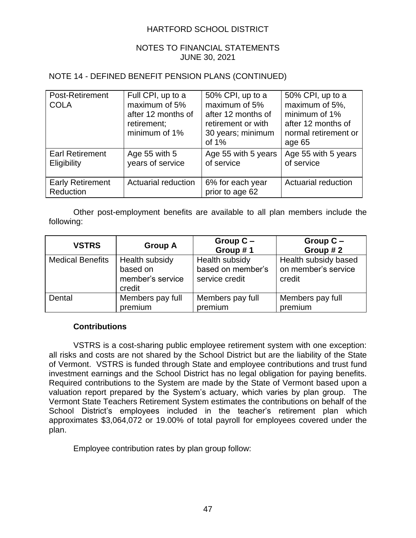## NOTES TO FINANCIAL STATEMENTS JUNE 30, 2021

## NOTE 14 - DEFINED BENEFIT PENSION PLANS (CONTINUED)

| Post-Retirement<br><b>COLA</b>        | Full CPI, up to a<br>maximum of 5%<br>after 12 months of<br>retirement;<br>minimum of 1% | 50% CPI, up to a<br>maximum of 5%<br>after 12 months of<br>retirement or with<br>30 years; minimum<br>of $1\%$ | 50% CPI, up to a<br>maximum of 5%,<br>minimum of 1%<br>after 12 months of<br>normal retirement or<br>age 65 |
|---------------------------------------|------------------------------------------------------------------------------------------|----------------------------------------------------------------------------------------------------------------|-------------------------------------------------------------------------------------------------------------|
| <b>Earl Retirement</b><br>Eligibility | Age 55 with 5<br>years of service                                                        | Age 55 with 5 years<br>of service                                                                              | Age 55 with 5 years<br>of service                                                                           |
| <b>Early Retirement</b><br>Reduction  | Actuarial reduction                                                                      | 6% for each year<br>prior to age 62                                                                            | <b>Actuarial reduction</b>                                                                                  |

Other post-employment benefits are available to all plan members include the following:

| <b>VSTRS</b>            | <b>Group A</b>                                           | Group $C -$<br>Group #1                               | Group $C -$<br>Group #2                               |
|-------------------------|----------------------------------------------------------|-------------------------------------------------------|-------------------------------------------------------|
| <b>Medical Benefits</b> | Health subsidy<br>based on<br>member's service<br>credit | Health subsidy<br>based on member's<br>service credit | Health subsidy based<br>on member's service<br>credit |
| Dental                  | Members pay full<br>premium                              | Members pay full<br>premium                           | Members pay full<br>premium                           |

## **Contributions**

VSTRS is a cost-sharing public employee retirement system with one exception: all risks and costs are not shared by the School District but are the liability of the State of Vermont. VSTRS is funded through State and employee contributions and trust fund investment earnings and the School District has no legal obligation for paying benefits. Required contributions to the System are made by the State of Vermont based upon a valuation report prepared by the System's actuary, which varies by plan group. The Vermont State Teachers Retirement System estimates the contributions on behalf of the School District's employees included in the teacher's retirement plan which approximates \$3,064,072 or 19.00% of total payroll for employees covered under the plan.

Employee contribution rates by plan group follow: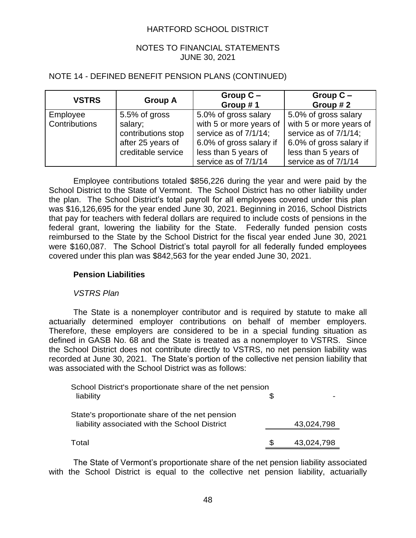## NOTES TO FINANCIAL STATEMENTS JUNE 30, 2021

## NOTE 14 - DEFINED BENEFIT PENSION PLANS (CONTINUED)

| <b>VSTRS</b>  | <b>Group A</b>     | Group $C -$<br>Group #1 | Group $C -$<br>Group #2 |
|---------------|--------------------|-------------------------|-------------------------|
| Employee      | 5.5% of gross      | 5.0% of gross salary    | 5.0% of gross salary    |
| Contributions | salary;            | with 5 or more years of | with 5 or more years of |
|               | contributions stop | service as of 7/1/14;   | service as of 7/1/14;   |
|               | after 25 years of  | 6.0% of gross salary if | 6.0% of gross salary if |
|               | creditable service | less than 5 years of    | less than 5 years of    |
|               |                    | service as of 7/1/14    | service as of 7/1/14    |

Employee contributions totaled \$856,226 during the year and were paid by the School District to the State of Vermont. The School District has no other liability under the plan. The School District's total payroll for all employees covered under this plan was \$16,126,695 for the year ended June 30, 2021. Beginning in 2016, School Districts that pay for teachers with federal dollars are required to include costs of pensions in the federal grant, lowering the liability for the State. Federally funded pension costs reimbursed to the State by the School District for the fiscal year ended June 30, 2021 were \$160,087. The School District's total payroll for all federally funded employees covered under this plan was \$842,563 for the year ended June 30, 2021.

## **Pension Liabilities**

#### *VSTRS Plan*

The State is a nonemployer contributor and is required by statute to make all actuarially determined employer contributions on behalf of member employers. Therefore, these employers are considered to be in a special funding situation as defined in GASB No. 68 and the State is treated as a nonemployer to VSTRS. Since the School District does not contribute directly to VSTRS, no net pension liability was recorded at June 30, 2021. The State's portion of the collective net pension liability that was associated with the School District was as follows:

| School District's proportionate share of the net pension |  |            |  |
|----------------------------------------------------------|--|------------|--|
| liability                                                |  |            |  |
|                                                          |  |            |  |
| State's proportionate share of the net pension           |  |            |  |
| liability associated with the School District            |  | 43,024,798 |  |
|                                                          |  |            |  |
| Total                                                    |  | 43,024,798 |  |
|                                                          |  |            |  |

The State of Vermont's proportionate share of the net pension liability associated with the School District is equal to the collective net pension liability, actuarially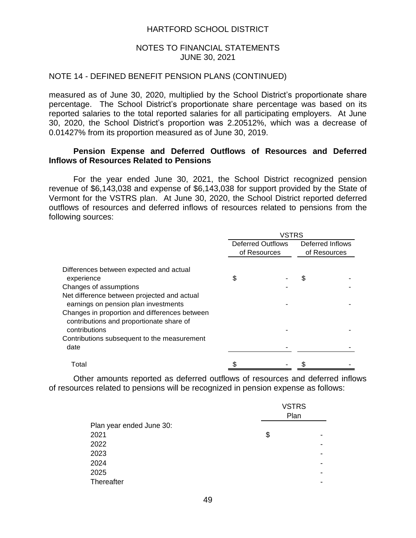### NOTES TO FINANCIAL STATEMENTS JUNE 30, 2021

#### NOTE 14 - DEFINED BENEFIT PENSION PLANS (CONTINUED)

measured as of June 30, 2020, multiplied by the School District's proportionate share percentage. The School District's proportionate share percentage was based on its reported salaries to the total reported salaries for all participating employers. At June 30, 2020, the School District's proportion was 2.20512%, which was a decrease of 0.01427% from its proportion measured as of June 30, 2019.

### **Pension Expense and Deferred Outflows of Resources and Deferred Inflows of Resources Related to Pensions**

For the year ended June 30, 2021, the School District recognized pension revenue of \$6,143,038 and expense of \$6,143,038 for support provided by the State of Vermont for the VSTRS plan. At June 30, 2020, the School District reported deferred outflows of resources and deferred inflows of resources related to pensions from the following sources:

|                                                                                                            | <b>VSTRS</b>             |              |                  |              |
|------------------------------------------------------------------------------------------------------------|--------------------------|--------------|------------------|--------------|
|                                                                                                            | <b>Deferred Outflows</b> |              | Deferred Inflows |              |
|                                                                                                            |                          | of Resources |                  | of Resources |
| Differences between expected and actual<br>experience                                                      | \$                       |              | \$               |              |
| Changes of assumptions                                                                                     |                          |              |                  |              |
| Net difference between projected and actual<br>earnings on pension plan investments                        |                          |              |                  |              |
| Changes in proportion and differences between<br>contributions and proportionate share of<br>contributions |                          |              |                  |              |
| Contributions subsequent to the measurement<br>date                                                        |                          |              |                  |              |
| Total                                                                                                      |                          |              |                  |              |

Other amounts reported as deferred outflows of resources and deferred inflows of resources related to pensions will be recognized in pension expense as follows:

|                          | <b>VSTRS</b><br>Plan |  |
|--------------------------|----------------------|--|
| Plan year ended June 30: |                      |  |
| 2021                     | \$                   |  |
| 2022                     |                      |  |
| 2023                     |                      |  |
| 2024                     |                      |  |
| 2025                     |                      |  |
| <b>Thereafter</b>        |                      |  |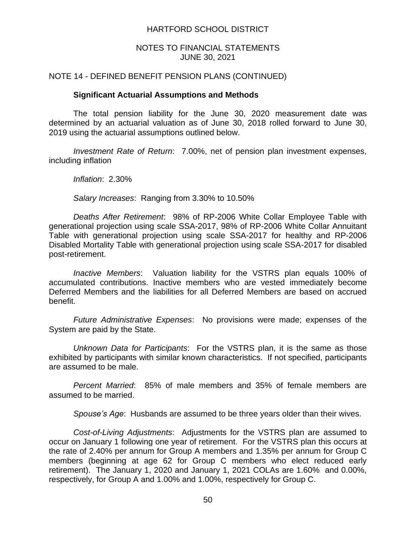### NOTES TO FINANCIAL STATEMENTS JUNE 30, 2021

### NOTE 14 - DEFINED BENEFIT PENSION PLANS (CONTINUED)

#### **Significant Actuarial Assumptions and Methods**

The total pension liability for the June 30, 2020 measurement date was determined by an actuarial valuation as of June 30, 2018 rolled forward to June 30, 2019 using the actuarial assumptions outlined below.

*Investment Rate of Return*: 7.00%, net of pension plan investment expenses, including inflation

*Inflation*: 2.30%

*Salary Increases*: Ranging from 3.30% to 10.50%

*Deaths After Retirement*: 98% of RP-2006 White Collar Employee Table with generational projection using scale SSA-2017, 98% of RP-2006 White Collar Annuitant Table with generational projection using scale SSA-2017 for healthy and RP-2006 Disabled Mortality Table with generational projection using scale SSA-2017 for disabled post-retirement.

*Inactive Members*: Valuation liability for the VSTRS plan equals 100% of accumulated contributions. Inactive members who are vested immediately become Deferred Members and the liabilities for all Deferred Members are based on accrued benefit.

*Future Administrative Expenses*: No provisions were made; expenses of the System are paid by the State.

*Unknown Data for Participants*: For the VSTRS plan, it is the same as those exhibited by participants with similar known characteristics. If not specified, participants are assumed to be male.

*Percent Married*: 85% of male members and 35% of female members are assumed to be married.

*Spouse's Age*: Husbands are assumed to be three years older than their wives.

*Cost-of-Living Adjustments*: Adjustments for the VSTRS plan are assumed to occur on January 1 following one year of retirement. For the VSTRS plan this occurs at the rate of 2.40% per annum for Group A members and 1.35% per annum for Group C members (beginning at age 62 for Group C members who elect reduced early retirement). The January 1, 2020 and January 1, 2021 COLAs are 1.60% and 0.00%, respectively, for Group A and 1.00% and 1.00%, respectively for Group C.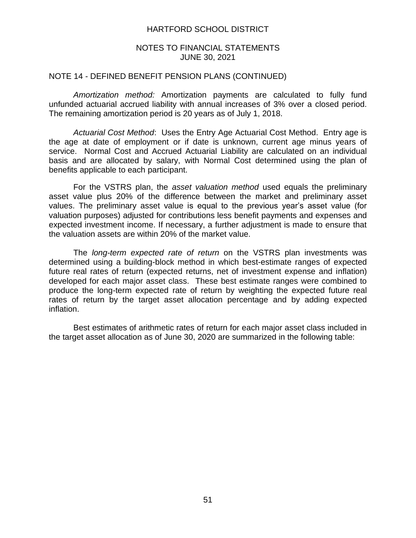#### NOTES TO FINANCIAL STATEMENTS JUNE 30, 2021

#### NOTE 14 - DEFINED BENEFIT PENSION PLANS (CONTINUED)

*Amortization method:* Amortization payments are calculated to fully fund unfunded actuarial accrued liability with annual increases of 3% over a closed period. The remaining amortization period is 20 years as of July 1, 2018.

*Actuarial Cost Method*: Uses the Entry Age Actuarial Cost Method. Entry age is the age at date of employment or if date is unknown, current age minus years of service. Normal Cost and Accrued Actuarial Liability are calculated on an individual basis and are allocated by salary, with Normal Cost determined using the plan of benefits applicable to each participant.

For the VSTRS plan, the *asset valuation method* used equals the preliminary asset value plus 20% of the difference between the market and preliminary asset values. The preliminary asset value is equal to the previous year's asset value (for valuation purposes) adjusted for contributions less benefit payments and expenses and expected investment income. If necessary, a further adjustment is made to ensure that the valuation assets are within 20% of the market value.

The *long-term expected rate of return* on the VSTRS plan investments was determined using a building-block method in which best-estimate ranges of expected future real rates of return (expected returns, net of investment expense and inflation) developed for each major asset class. These best estimate ranges were combined to produce the long-term expected rate of return by weighting the expected future real rates of return by the target asset allocation percentage and by adding expected inflation.

Best estimates of arithmetic rates of return for each major asset class included in the target asset allocation as of June 30, 2020 are summarized in the following table: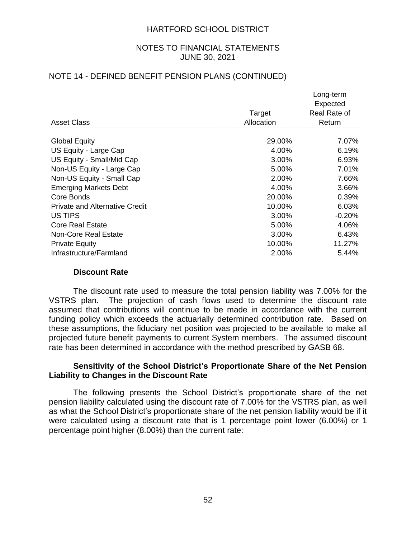#### NOTES TO FINANCIAL STATEMENTS JUNE 30, 2021

## NOTE 14 - DEFINED BENEFIT PENSION PLANS (CONTINUED)

|                                       |            | Long-term    |
|---------------------------------------|------------|--------------|
|                                       |            | Expected     |
|                                       | Target     | Real Rate of |
| Asset Class                           | Allocation | Return       |
| <b>Global Equity</b>                  | 29.00%     | 7.07%        |
| US Equity - Large Cap                 | 4.00%      | 6.19%        |
| US Equity - Small/Mid Cap             | 3.00%      | 6.93%        |
| Non-US Equity - Large Cap             | 5.00%      | 7.01%        |
| Non-US Equity - Small Cap             | 2.00%      | 7.66%        |
| <b>Emerging Markets Debt</b>          | 4.00%      | 3.66%        |
| Core Bonds                            | 20.00%     | 0.39%        |
| <b>Private and Alternative Credit</b> | 10.00%     | 6.03%        |
| US TIPS                               | 3.00%      | $-0.20%$     |
| <b>Core Real Estate</b>               | 5.00%      | 4.06%        |
| <b>Non-Core Real Estate</b>           | 3.00%      | 6.43%        |
| <b>Private Equity</b>                 | 10.00%     | 11.27%       |
| Infrastructure/Farmland               | 2.00%      | 5.44%        |

#### **Discount Rate**

The discount rate used to measure the total pension liability was 7.00% for the VSTRS plan. The projection of cash flows used to determine the discount rate assumed that contributions will continue to be made in accordance with the current funding policy which exceeds the actuarially determined contribution rate. Based on these assumptions, the fiduciary net position was projected to be available to make all projected future benefit payments to current System members. The assumed discount rate has been determined in accordance with the method prescribed by GASB 68.

### **Sensitivity of the School District's Proportionate Share of the Net Pension Liability to Changes in the Discount Rate**

The following presents the School District's proportionate share of the net pension liability calculated using the discount rate of 7.00% for the VSTRS plan, as well as what the School District's proportionate share of the net pension liability would be if it were calculated using a discount rate that is 1 percentage point lower (6.00%) or 1 percentage point higher (8.00%) than the current rate: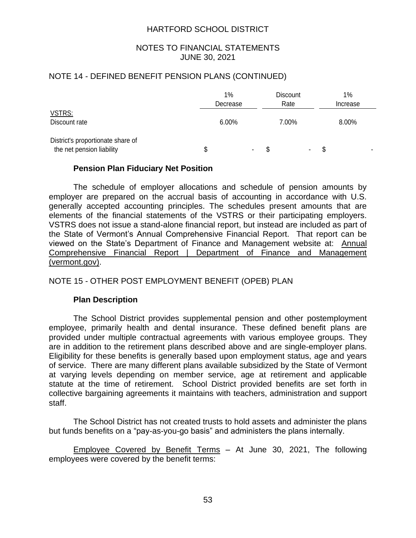### NOTES TO FINANCIAL STATEMENTS JUNE 30, 2021

## NOTE 14 - DEFINED BENEFIT PENSION PLANS (CONTINUED)

|                                                                |   | 1%<br>Decrease |   | <b>Discount</b><br>Rate |                |   | 1%<br>Increase |  |
|----------------------------------------------------------------|---|----------------|---|-------------------------|----------------|---|----------------|--|
| VSTRS:<br>Discount rate                                        |   | $6.00\%$       |   | 7.00%                   |                |   | 8.00%          |  |
| District's proportionate share of<br>the net pension liability | S | $\blacksquare$ | S |                         | $\blacksquare$ | S | -              |  |

### **Pension Plan Fiduciary Net Position**

The schedule of employer allocations and schedule of pension amounts by employer are prepared on the accrual basis of accounting in accordance with U.S. generally accepted accounting principles. The schedules present amounts that are elements of the financial statements of the VSTRS or their participating employers. VSTRS does not issue a stand-alone financial report, but instead are included as part of the State of Vermont's Annual Comprehensive Financial Report. That report can be viewed on the State's Department of Finance and Management website at: Annual Comprehensive Financial Report | Department of Finance and Management (vermont.gov).

## NOTE 15 - OTHER POST EMPLOYMENT BENEFIT (OPEB) PLAN

#### **Plan Description**

The School District provides supplemental pension and other postemployment employee, primarily health and dental insurance. These defined benefit plans are provided under multiple contractual agreements with various employee groups. They are in addition to the retirement plans described above and are single-employer plans. Eligibility for these benefits is generally based upon employment status, age and years of service. There are many different plans available subsidized by the State of Vermont at varying levels depending on member service, age at retirement and applicable statute at the time of retirement. School District provided benefits are set forth in collective bargaining agreements it maintains with teachers, administration and support staff.

The School District has not created trusts to hold assets and administer the plans but funds benefits on a "pay-as-you-go basis" and administers the plans internally.

Employee Covered by Benefit Terms – At June 30, 2021, The following employees were covered by the benefit terms: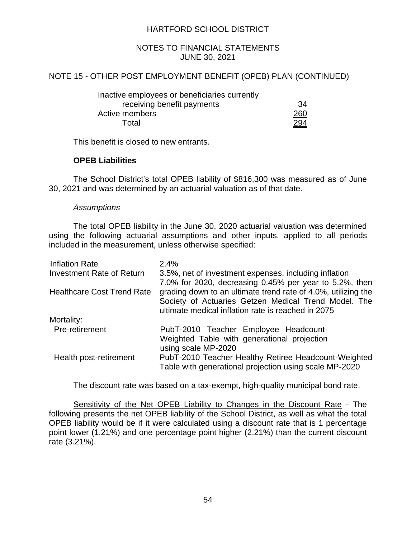### NOTES TO FINANCIAL STATEMENTS JUNE 30, 2021

## NOTE 15 - OTHER POST EMPLOYMENT BENEFIT (OPEB) PLAN (CONTINUED)

| Inactive employees or beneficiaries currently |     |
|-----------------------------------------------|-----|
| receiving benefit payments                    | 34  |
| Active members                                | 260 |
| Total                                         | 294 |

This benefit is closed to new entrants.

## **OPEB Liabilities**

The School District's total OPEB liability of \$816,300 was measured as of June 30, 2021 and was determined by an actuarial valuation as of that date.

#### *Assumptions*

The total OPEB liability in the June 30, 2020 actuarial valuation was determined using the following actuarial assumptions and other inputs, applied to all periods included in the measurement, unless otherwise specified:

| <b>Inflation Rate</b>             | 2.4%                                                          |
|-----------------------------------|---------------------------------------------------------------|
| <b>Investment Rate of Return</b>  | 3.5%, net of investment expenses, including inflation         |
|                                   | 7.0% for 2020, decreasing 0.45% per year to 5.2%, then        |
| <b>Healthcare Cost Trend Rate</b> | grading down to an ultimate trend rate of 4.0%, utilizing the |
|                                   | Society of Actuaries Getzen Medical Trend Model. The          |
|                                   | ultimate medical inflation rate is reached in 2075            |
| Mortality:                        |                                                               |
| Pre-retirement                    | PubT-2010 Teacher Employee Headcount-                         |
|                                   | Weighted Table with generational projection                   |
|                                   | using scale MP-2020                                           |
| Health post-retirement            | PubT-2010 Teacher Healthy Retiree Headcount-Weighted          |
|                                   | Table with generational projection using scale MP-2020        |

The discount rate was based on a tax-exempt, high-quality municipal bond rate.

Sensitivity of the Net OPEB Liability to Changes in the Discount Rate - The following presents the net OPEB liability of the School District, as well as what the total OPEB liability would be if it were calculated using a discount rate that is 1 percentage point lower (1.21%) and one percentage point higher (2.21%) than the current discount rate (3.21%).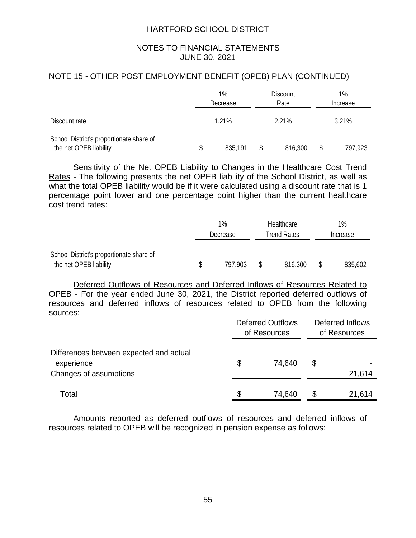## NOTES TO FINANCIAL STATEMENTS JUNE 30, 2021

## NOTE 15 - OTHER POST EMPLOYMENT BENEFIT (OPEB) PLAN (CONTINUED)

|                                                                    |   | $1\%$<br>Decrease | <b>Discount</b><br>Rate | 1%<br>Increase |         |  |  |  |
|--------------------------------------------------------------------|---|-------------------|-------------------------|----------------|---------|--|--|--|
| Discount rate                                                      |   | 1.21%             | 2.21%                   | 3.21%          |         |  |  |  |
| School District's proportionate share of<br>the net OPEB liability | S | 835,191           | \$<br>816,300           | S              | 797,923 |  |  |  |

Sensitivity of the Net OPEB Liability to Changes in the Healthcare Cost Trend Rates - The following presents the net OPEB liability of the School District, as well as what the total OPEB liability would be if it were calculated using a discount rate that is 1 percentage point lower and one percentage point higher than the current healthcare cost trend rates:

|                                          |          | 1%      | Healthcare  |          | 1%      |  |
|------------------------------------------|----------|---------|-------------|----------|---------|--|
|                                          | Decrease |         | Trend Rates | Increase |         |  |
| School District's proportionate share of |          |         |             |          |         |  |
| the net OPEB liability                   |          | 797,903 | 816,300     |          | 835,602 |  |

Deferred Outflows of Resources and Deferred Inflows of Resources Related to OPEB - For the year ended June 30, 2021, the District reported deferred outflows of resources and deferred inflows of resources related to OPEB from the following sources:

|                                                                                 | <b>Deferred Outflows</b><br>of Resources | Deferred Inflows<br>of Resources |        |  |  |  |
|---------------------------------------------------------------------------------|------------------------------------------|----------------------------------|--------|--|--|--|
| Differences between expected and actual<br>experience<br>Changes of assumptions | \$<br>74,640<br>$\blacksquare$           | \$                               | 21,614 |  |  |  |
| Total                                                                           | 74,640                                   | S                                | 21,614 |  |  |  |

Amounts reported as deferred outflows of resources and deferred inflows of resources related to OPEB will be recognized in pension expense as follows: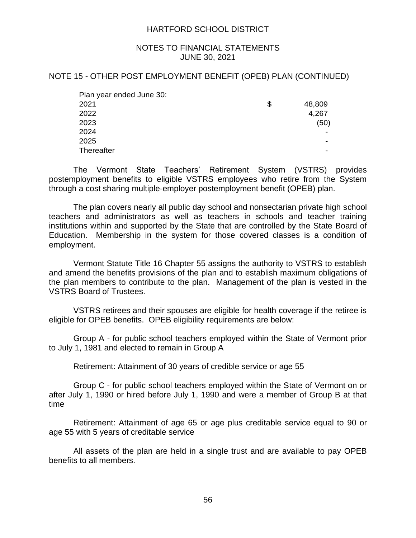#### NOTES TO FINANCIAL STATEMENTS JUNE 30, 2021

#### NOTE 15 - OTHER POST EMPLOYMENT BENEFIT (OPEB) PLAN (CONTINUED)

| Plan year ended June 30: |              |
|--------------------------|--------------|
| 2021                     | \$<br>48,809 |
| 2022                     | 4,267        |
| 2023                     | (50)         |
| 2024                     |              |
| 2025                     |              |
| <b>Thereafter</b>        |              |

The Vermont State Teachers' Retirement System (VSTRS) provides postemployment benefits to eligible VSTRS employees who retire from the System through a cost sharing multiple-employer postemployment benefit (OPEB) plan.

The plan covers nearly all public day school and nonsectarian private high school teachers and administrators as well as teachers in schools and teacher training institutions within and supported by the State that are controlled by the State Board of Education. Membership in the system for those covered classes is a condition of employment.

Vermont Statute Title 16 Chapter 55 assigns the authority to VSTRS to establish and amend the benefits provisions of the plan and to establish maximum obligations of the plan members to contribute to the plan. Management of the plan is vested in the VSTRS Board of Trustees.

VSTRS retirees and their spouses are eligible for health coverage if the retiree is eligible for OPEB benefits. OPEB eligibility requirements are below:

Group A - for public school teachers employed within the State of Vermont prior to July 1, 1981 and elected to remain in Group A

Retirement: Attainment of 30 years of credible service or age 55

Group C - for public school teachers employed within the State of Vermont on or after July 1, 1990 or hired before July 1, 1990 and were a member of Group B at that time

Retirement: Attainment of age 65 or age plus creditable service equal to 90 or age 55 with 5 years of creditable service

All assets of the plan are held in a single trust and are available to pay OPEB benefits to all members.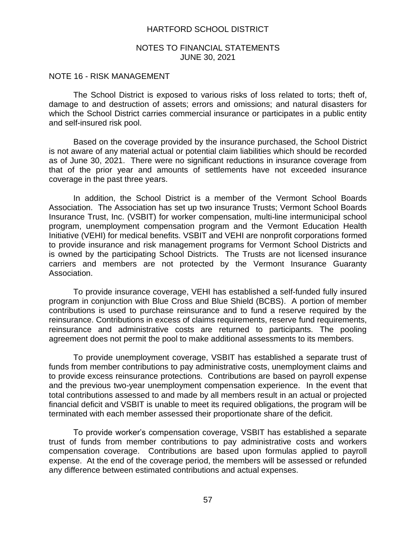#### NOTES TO FINANCIAL STATEMENTS JUNE 30, 2021

#### NOTE 16 - RISK MANAGEMENT

The School District is exposed to various risks of loss related to torts; theft of, damage to and destruction of assets; errors and omissions; and natural disasters for which the School District carries commercial insurance or participates in a public entity and self-insured risk pool.

Based on the coverage provided by the insurance purchased, the School District is not aware of any material actual or potential claim liabilities which should be recorded as of June 30, 2021. There were no significant reductions in insurance coverage from that of the prior year and amounts of settlements have not exceeded insurance coverage in the past three years.

In addition, the School District is a member of the Vermont School Boards Association. The Association has set up two insurance Trusts; Vermont School Boards Insurance Trust, Inc. (VSBIT) for worker compensation, multi-line intermunicipal school program, unemployment compensation program and the Vermont Education Health Initiative (VEHI) for medical benefits. VSBIT and VEHI are nonprofit corporations formed to provide insurance and risk management programs for Vermont School Districts and is owned by the participating School Districts. The Trusts are not licensed insurance carriers and members are not protected by the Vermont Insurance Guaranty Association.

To provide insurance coverage, VEHI has established a self-funded fully insured program in conjunction with Blue Cross and Blue Shield (BCBS). A portion of member contributions is used to purchase reinsurance and to fund a reserve required by the reinsurance. Contributions in excess of claims requirements, reserve fund requirements, reinsurance and administrative costs are returned to participants. The pooling agreement does not permit the pool to make additional assessments to its members.

To provide unemployment coverage, VSBIT has established a separate trust of funds from member contributions to pay administrative costs, unemployment claims and to provide excess reinsurance protections. Contributions are based on payroll expense and the previous two-year unemployment compensation experience. In the event that total contributions assessed to and made by all members result in an actual or projected financial deficit and VSBIT is unable to meet its required obligations, the program will be terminated with each member assessed their proportionate share of the deficit.

To provide worker's compensation coverage, VSBIT has established a separate trust of funds from member contributions to pay administrative costs and workers compensation coverage. Contributions are based upon formulas applied to payroll expense. At the end of the coverage period, the members will be assessed or refunded any difference between estimated contributions and actual expenses.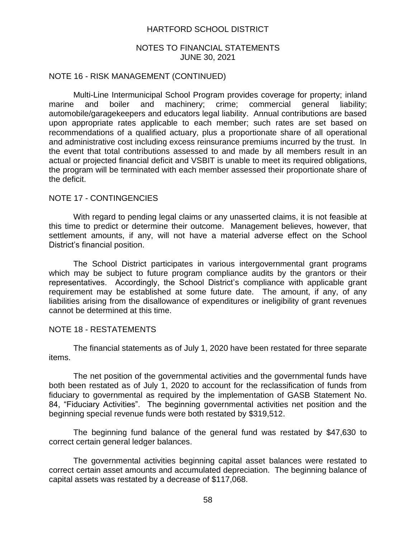#### NOTES TO FINANCIAL STATEMENTS JUNE 30, 2021

#### NOTE 16 - RISK MANAGEMENT (CONTINUED)

Multi-Line Intermunicipal School Program provides coverage for property; inland marine and boiler and machinery; crime; commercial general liability; automobile/garagekeepers and educators legal liability. Annual contributions are based upon appropriate rates applicable to each member; such rates are set based on recommendations of a qualified actuary, plus a proportionate share of all operational and administrative cost including excess reinsurance premiums incurred by the trust. In the event that total contributions assessed to and made by all members result in an actual or projected financial deficit and VSBIT is unable to meet its required obligations, the program will be terminated with each member assessed their proportionate share of the deficit.

#### NOTE 17 - CONTINGENCIES

With regard to pending legal claims or any unasserted claims, it is not feasible at this time to predict or determine their outcome. Management believes, however, that settlement amounts, if any, will not have a material adverse effect on the School District's financial position.

The School District participates in various intergovernmental grant programs which may be subject to future program compliance audits by the grantors or their representatives. Accordingly, the School District's compliance with applicable grant requirement may be established at some future date. The amount, if any, of any liabilities arising from the disallowance of expenditures or ineligibility of grant revenues cannot be determined at this time.

#### NOTE 18 - RESTATEMENTS

The financial statements as of July 1, 2020 have been restated for three separate items.

The net position of the governmental activities and the governmental funds have both been restated as of July 1, 2020 to account for the reclassification of funds from fiduciary to governmental as required by the implementation of GASB Statement No. 84, "Fiduciary Activities". The beginning governmental activities net position and the beginning special revenue funds were both restated by \$319,512.

The beginning fund balance of the general fund was restated by \$47,630 to correct certain general ledger balances.

The governmental activities beginning capital asset balances were restated to correct certain asset amounts and accumulated depreciation. The beginning balance of capital assets was restated by a decrease of \$117,068.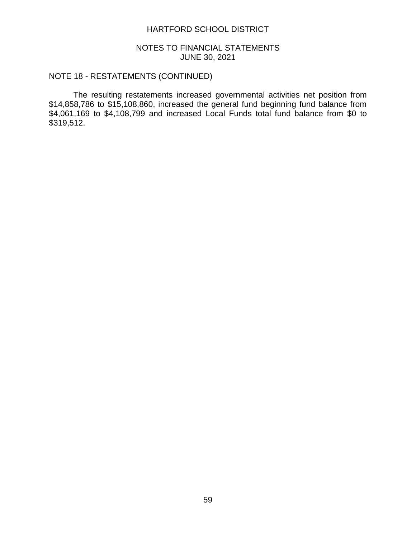### NOTES TO FINANCIAL STATEMENTS JUNE 30, 2021

# NOTE 18 - RESTATEMENTS (CONTINUED)

The resulting restatements increased governmental activities net position from \$14,858,786 to \$15,108,860, increased the general fund beginning fund balance from \$4,061,169 to \$4,108,799 and increased Local Funds total fund balance from \$0 to \$319,512.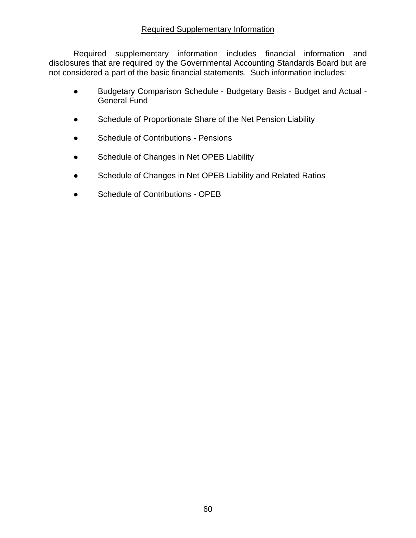## Required Supplementary Information

Required supplementary information includes financial information and disclosures that are required by the Governmental Accounting Standards Board but are not considered a part of the basic financial statements. Such information includes:

- Budgetary Comparison Schedule Budgetary Basis Budget and Actual General Fund
- **•** Schedule of Proportionate Share of the Net Pension Liability
- Schedule of Contributions Pensions
- Schedule of Changes in Net OPEB Liability
- Schedule of Changes in Net OPEB Liability and Related Ratios
- Schedule of Contributions OPEB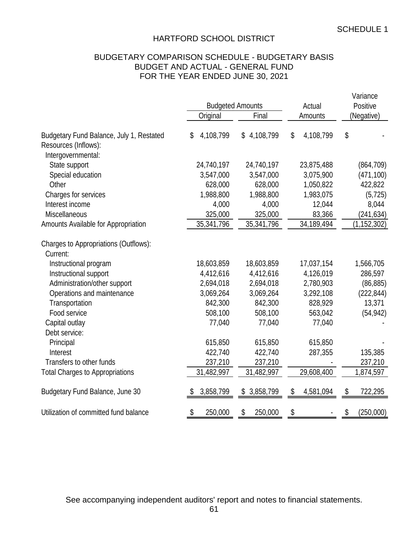# BUDGETARY COMPARISON SCHEDULE - BUDGETARY BASIS BUDGET AND ACTUAL - GENERAL FUND FOR THE YEAR ENDED JUNE 30, 2021

|                                                                                        | <b>Budgeted Amounts</b> |                 | Actual          | Variance<br>Positive |
|----------------------------------------------------------------------------------------|-------------------------|-----------------|-----------------|----------------------|
|                                                                                        | Original                | Final           | Amounts         | (Negative)           |
| Budgetary Fund Balance, July 1, Restated<br>Resources (Inflows):<br>Intergovernmental: | 4,108,799<br>\$         | 4,108,799<br>\$ | \$<br>4,108,799 | \$                   |
| State support                                                                          | 24,740,197              | 24,740,197      | 23,875,488      | (864, 709)           |
| Special education                                                                      | 3,547,000               | 3,547,000       | 3,075,900       | (471, 100)           |
| Other                                                                                  | 628,000                 | 628,000         | 1,050,822       | 422,822              |
| Charges for services                                                                   | 1,988,800               | 1,988,800       | 1,983,075       | (5, 725)             |
| Interest income                                                                        | 4,000                   | 4,000           | 12,044          | 8,044                |
| Miscellaneous                                                                          | 325,000                 | 325,000         | 83,366          | (241, 634)           |
| Amounts Available for Appropriation                                                    | 35,341,796              | 35,341,796      | 34,189,494      | (1, 152, 302)        |
| Charges to Appropriations (Outflows):<br>Current:                                      |                         |                 |                 |                      |
| Instructional program                                                                  | 18,603,859              | 18,603,859      | 17,037,154      | 1,566,705            |
| Instructional support                                                                  | 4,412,616               | 4,412,616       | 4,126,019       | 286,597              |
| Administration/other support                                                           | 2,694,018               | 2,694,018       | 2,780,903       | (86, 885)            |
| Operations and maintenance                                                             | 3,069,264               | 3,069,264       | 3,292,108       | (222, 844)           |
| Transportation                                                                         | 842,300                 | 842,300         | 828,929         | 13,371               |
| Food service                                                                           | 508,100                 | 508,100         | 563,042         | (54, 942)            |
| Capital outlay                                                                         | 77,040                  | 77,040          | 77,040          |                      |
| Debt service:                                                                          |                         |                 |                 |                      |
| Principal                                                                              | 615,850                 | 615,850         | 615,850         |                      |
| Interest                                                                               | 422,740                 | 422,740         | 287,355         | 135,385              |
| Transfers to other funds                                                               | 237,210                 | 237,210         |                 | 237,210              |
| <b>Total Charges to Appropriations</b>                                                 | 31,482,997              | 31,482,997      | 29,608,400      | 1,874,597            |
| Budgetary Fund Balance, June 30                                                        | 3,858,799               | 3,858,799<br>S  | \$<br>4,581,094 | \$<br>722,295        |
| Utilization of committed fund balance                                                  | \$<br>250,000           | 250,000<br>\$   | \$              | \$<br>(250,000)      |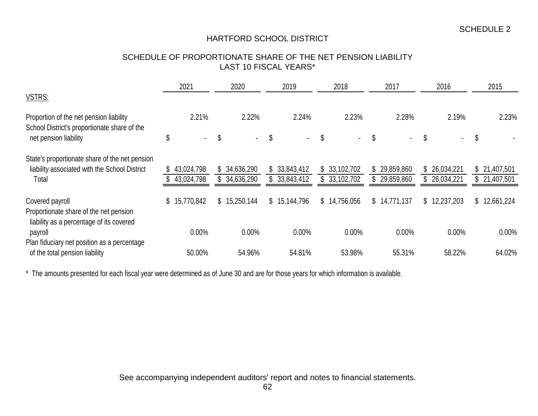## SCHEDULE OF PROPORTIONATE SHARE OF THE NET PENSION LIABILITY LAST 10 FISCAL YEARS\*

|                                                     | 2021                 | 2020             | 2019         | 2018             | 2017         | 2016                 | 2015             |
|-----------------------------------------------------|----------------------|------------------|--------------|------------------|--------------|----------------------|------------------|
| VSTRS:                                              |                      |                  |              |                  |              |                      |                  |
| Proportion of the net pension liability             | 2.21%                | 2.22%            | 2.24%        | 2.23%            | 2.28%        | 2.19%                | 2.23%            |
| School District's proportionate share of the        |                      |                  |              |                  |              |                      |                  |
| net pension liability                               | \$<br>$\blacksquare$ | \$<br>$\sim$     | \$<br>$\sim$ | \$<br>$\sim$     | \$<br>$\sim$ | \$<br>$\blacksquare$ | \$               |
| State's proportionate share of the net pension      |                      |                  |              |                  |              |                      |                  |
| liability associated with the School District       | 43,024,798           | \$34,636,290     | \$33,843,412 | \$33,102,702     | \$29,859,860 | \$26,034,221         | \$21,407,501     |
| Total                                               | 43,024,798           | \$34,636,290     | \$33,843,412 | \$33,102,702     | \$29,859,860 | \$26,034,221         | \$21,407,501     |
| Covered payroll                                     | \$15,770,842         | \$<br>15,250,144 | \$15,144,796 | \$<br>14,756,056 | \$14,771,137 | \$<br>12,237,203     | \$<br>12,661,224 |
| Proportionate share of the net pension              |                      |                  |              |                  |              |                      |                  |
| liability as a percentage of its covered<br>payroll | 0.00%                | 0.00%            | 0.00%        | 0.00%            | 0.00%        | 0.00%                | $0.00\%$         |
| Plan fiduciary net position as a percentage         |                      |                  |              |                  |              |                      |                  |
| of the total pension liability                      | 50.00%               | 54.96%           | 54.81%       | 53.98%           | 55.31%       | 58.22%               | 64.02%           |

\* The amounts presented for each fiscal year were determined as of June 30 and are for those years for which information is available.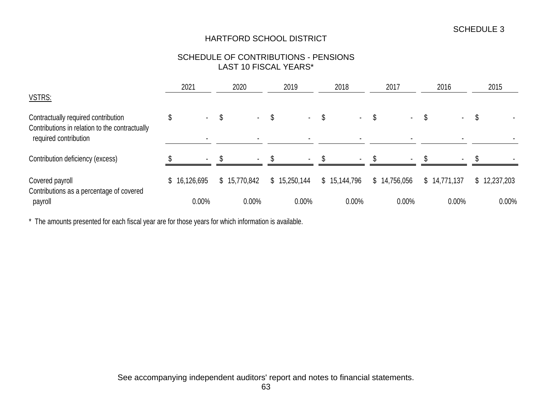## SCHEDULE OF CONTRIBUTIONS - PENSIONS LAST 10 FISCAL YEARS\*

|                                                                         | 2021                     | 2020         | 2019         | 2018                 | 2017         | 2016         | 2015         |
|-------------------------------------------------------------------------|--------------------------|--------------|--------------|----------------------|--------------|--------------|--------------|
| VSTRS:                                                                  |                          |              |              |                      |              |              |              |
| Contractually required contribution                                     | $\sim$                   | \$<br>$\sim$ | \$<br>$\sim$ | \$<br><b>Service</b> | ۰.           | $\sim$       | \$           |
| Contributions in relation to the contractually<br>required contribution | $\overline{\phantom{a}}$ |              |              |                      |              |              |              |
| Contribution deficiency (excess)                                        | $\sim$                   | $\sim$       | $\sim$       | $\sim$               | $\sim$       | $\sim$       |              |
| Covered payroll                                                         | \$16,126,695             | \$15,770,842 | \$15,250,144 | \$15,144,796         | \$14,756,056 | \$14,771,137 | \$12,237,203 |
| Contributions as a percentage of covered<br>payroll                     | 0.00%                    | 0.00%        | 0.00%        | 0.00%                | 0.00%        | 0.00%        | 0.00%        |

\* The amounts presented for each fiscal year are for those years for which information is available.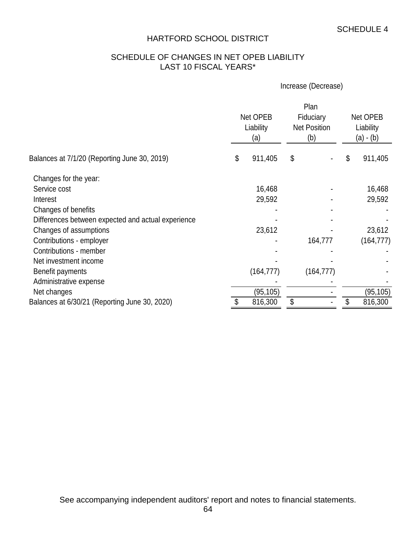# SCHEDULE OF CHANGES IN NET OPEB LIABILITY LAST 10 FISCAL YEARS\*

### Increase (Decrease)

|                                                    |    | Net OPEB<br>Liability<br>(a) | Plan<br>Fiduciary<br><b>Net Position</b><br>(b) | Net OPEB<br>Liability<br>(a) - (b) |           |  |
|----------------------------------------------------|----|------------------------------|-------------------------------------------------|------------------------------------|-----------|--|
| Balances at 7/1/20 (Reporting June 30, 2019)       | \$ | 911,405                      | \$                                              | \$                                 | 911,405   |  |
| Changes for the year:                              |    |                              |                                                 |                                    |           |  |
| Service cost                                       |    | 16,468                       |                                                 |                                    | 16,468    |  |
| Interest                                           |    | 29,592                       |                                                 |                                    | 29,592    |  |
| Changes of benefits                                |    |                              |                                                 |                                    |           |  |
| Differences between expected and actual experience |    |                              |                                                 |                                    |           |  |
| Changes of assumptions                             |    | 23,612                       |                                                 |                                    | 23,612    |  |
| Contributions - employer                           |    |                              | 164,777                                         |                                    | (164,777) |  |
| Contributions - member                             |    |                              |                                                 |                                    |           |  |
| Net investment income                              |    |                              |                                                 |                                    |           |  |
| Benefit payments                                   |    | (164, 777)                   | (164, 777)                                      |                                    |           |  |
| Administrative expense                             |    |                              |                                                 |                                    |           |  |
| Net changes                                        |    | (95, 105)                    |                                                 |                                    | (95, 105) |  |
| Balances at 6/30/21 (Reporting June 30, 2020)      |    | 816,300                      | \$                                              |                                    | 816,300   |  |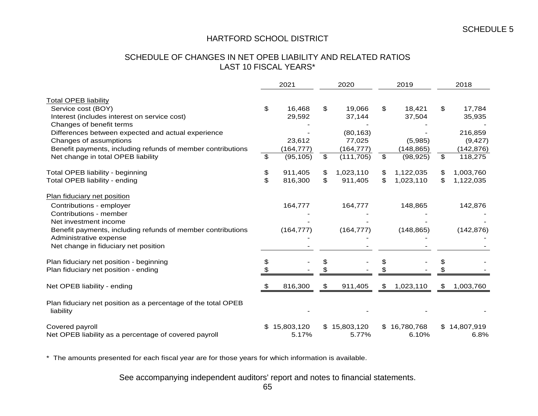## SCHEDULE OF CHANGES IN NET OPEB LIABILITY AND RELATED RATIOS LAST 10 FISCAL YEARS\*

|                                                                            |    | 2021       |                | 2020         |                | 2019         | 2018            |
|----------------------------------------------------------------------------|----|------------|----------------|--------------|----------------|--------------|-----------------|
| <b>Total OPEB liability</b>                                                |    |            |                |              |                |              |                 |
| Service cost (BOY)                                                         | \$ | 16,468     | \$             | 19,066       | \$             | 18,421       | \$<br>17,784    |
| Interest (includes interest on service cost)                               |    | 29,592     |                | 37,144       |                | 37,504       | 35,935          |
| Changes of benefit terms                                                   |    |            |                |              |                |              |                 |
| Differences between expected and actual experience                         |    |            |                | (80, 163)    |                |              | 216,859         |
| Changes of assumptions                                                     |    | 23,612     |                | 77,025       |                | (5,985)      | (9, 427)        |
| Benefit payments, including refunds of member contributions                |    | (164, 777) |                | (164, 777)   |                | (148, 865)   | (142, 876)      |
| Net change in total OPEB liability                                         | \$ | (95, 105)  | $\mathfrak{P}$ | (111, 705)   | $\mathfrak{S}$ | (98, 925)    | \$<br>118,275   |
| Total OPEB liability - beginning                                           | \$ | 911,405    | \$             | 1,023,110    | \$             | 1,122,035    | \$<br>1,003,760 |
| Total OPEB liability - ending                                              | \$ | 816,300    | \$             | 911,405      | \$             | 1,023,110    | \$<br>1,122,035 |
| Plan fiduciary net position                                                |    |            |                |              |                |              |                 |
| Contributions - employer                                                   |    | 164,777    |                | 164,777      |                | 148,865      | 142,876         |
| Contributions - member                                                     |    |            |                |              |                |              |                 |
| Net investment income                                                      |    |            |                |              |                |              |                 |
| Benefit payments, including refunds of member contributions                |    | (164, 777) |                | (164, 777)   |                | (148, 865)   | (142, 876)      |
| Administrative expense                                                     |    |            |                |              |                |              |                 |
| Net change in fiduciary net position                                       |    |            |                |              |                |              |                 |
| Plan fiduciary net position - beginning                                    | S  |            |                |              |                |              |                 |
| Plan fiduciary net position - ending                                       |    |            |                |              |                |              |                 |
| Net OPEB liability - ending                                                | \$ | 816,300    | \$             | 911,405      | \$             | 1,023,110    | \$<br>1,003,760 |
| Plan fiduciary net position as a percentage of the total OPEB<br>liability |    |            |                |              |                |              |                 |
| Covered payroll                                                            | \$ | 15,803,120 |                | \$15,803,120 |                | \$16,780,768 | \$14,807,919    |
| Net OPEB liability as a percentage of covered payroll                      |    | 5.17%      |                | 5.77%        |                | 6.10%        | 6.8%            |

\* The amounts presented for each fiscal year are for those years for which information is available.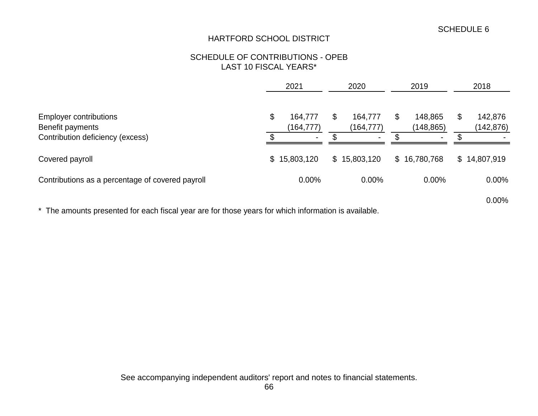## SCHEDULE OF CONTRIBUTIONS - OPEB LAST 10 FISCAL YEARS\*

|                                                                                       | 2021                                          | 2020                                   |   | 2019                                    | 2018                        |  |
|---------------------------------------------------------------------------------------|-----------------------------------------------|----------------------------------------|---|-----------------------------------------|-----------------------------|--|
| <b>Employer contributions</b><br>Benefit payments<br>Contribution deficiency (excess) | \$<br>164,777<br>(164, 777)<br>$\blacksquare$ | 164,777<br>(164,777)<br>$\blacksquare$ | S | 148,865<br>(148, 865)<br>$\blacksquare$ | \$<br>142,876<br>(142, 876) |  |
| Covered payroll                                                                       | \$15,803,120                                  | \$15,803,120                           |   | \$16,780,768                            | \$14,807,919                |  |
| Contributions as a percentage of covered payroll                                      | 0.00%                                         | 0.00%                                  |   | $0.00\%$                                | 0.00%                       |  |
|                                                                                       |                                               |                                        |   |                                         | 0.00%                       |  |

\* The amounts presented for each fiscal year are for those years for which information is available.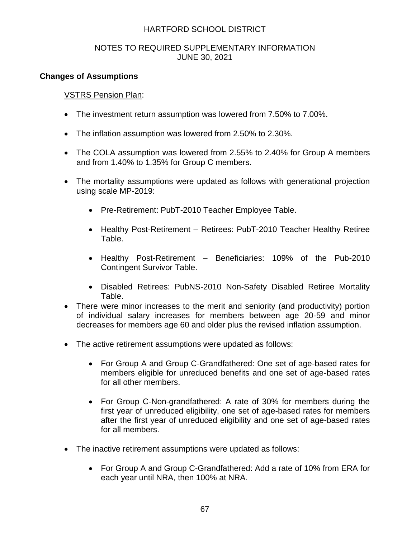## NOTES TO REQUIRED SUPPLEMENTARY INFORMATION JUNE 30, 2021

## **Changes of Assumptions**

## VSTRS Pension Plan:

- The investment return assumption was lowered from 7.50% to 7.00%.
- The inflation assumption was lowered from 2.50% to 2.30%.
- The COLA assumption was lowered from 2.55% to 2.40% for Group A members and from 1.40% to 1.35% for Group C members.
- The mortality assumptions were updated as follows with generational projection using scale MP-2019:
	- Pre-Retirement: PubT-2010 Teacher Employee Table.
	- Healthy Post-Retirement Retirees: PubT-2010 Teacher Healthy Retiree Table.
	- Healthy Post-Retirement Beneficiaries: 109% of the Pub-2010 Contingent Survivor Table.
	- Disabled Retirees: PubNS-2010 Non-Safety Disabled Retiree Mortality Table.
- There were minor increases to the merit and seniority (and productivity) portion of individual salary increases for members between age 20-59 and minor decreases for members age 60 and older plus the revised inflation assumption.
- The active retirement assumptions were updated as follows:
	- For Group A and Group C-Grandfathered: One set of age-based rates for members eligible for unreduced benefits and one set of age-based rates for all other members.
	- For Group C-Non-grandfathered: A rate of 30% for members during the first year of unreduced eligibility, one set of age-based rates for members after the first year of unreduced eligibility and one set of age-based rates for all members.
- The inactive retirement assumptions were updated as follows:
	- For Group A and Group C-Grandfathered: Add a rate of 10% from ERA for each year until NRA, then 100% at NRA.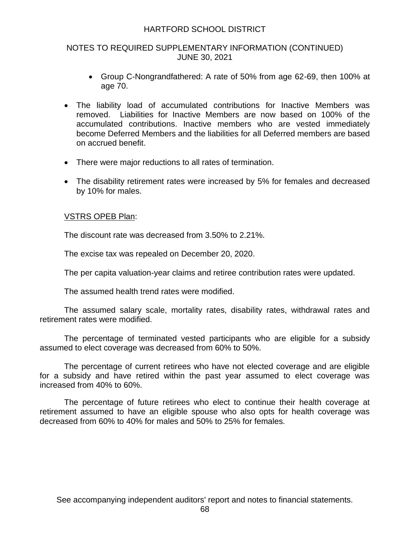## NOTES TO REQUIRED SUPPLEMENTARY INFORMATION (CONTINUED) JUNE 30, 2021

- Group C-Nongrandfathered: A rate of 50% from age 62-69, then 100% at age 70.
- The liability load of accumulated contributions for Inactive Members was removed. Liabilities for Inactive Members are now based on 100% of the accumulated contributions. Inactive members who are vested immediately become Deferred Members and the liabilities for all Deferred members are based on accrued benefit.
- There were major reductions to all rates of termination.
- The disability retirement rates were increased by 5% for females and decreased by 10% for males.

## VSTRS OPEB Plan:

The discount rate was decreased from 3.50% to 2.21%.

The excise tax was repealed on December 20, 2020.

The per capita valuation-year claims and retiree contribution rates were updated.

The assumed health trend rates were modified.

The assumed salary scale, mortality rates, disability rates, withdrawal rates and retirement rates were modified.

The percentage of terminated vested participants who are eligible for a subsidy assumed to elect coverage was decreased from 60% to 50%.

The percentage of current retirees who have not elected coverage and are eligible for a subsidy and have retired within the past year assumed to elect coverage was increased from 40% to 60%.

The percentage of future retirees who elect to continue their health coverage at retirement assumed to have an eligible spouse who also opts for health coverage was decreased from 60% to 40% for males and 50% to 25% for females.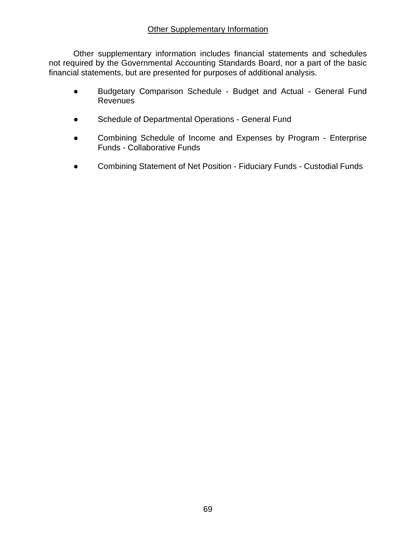## **Other Supplementary Information**

Other supplementary information includes financial statements and schedules not required by the Governmental Accounting Standards Board, nor a part of the basic financial statements, but are presented for purposes of additional analysis.

- Budgetary Comparison Schedule Budget and Actual General Fund **Revenues**
- Schedule of Departmental Operations General Fund
- Combining Schedule of Income and Expenses by Program Enterprise Funds - Collaborative Funds
- Combining Statement of Net Position Fiduciary Funds Custodial Funds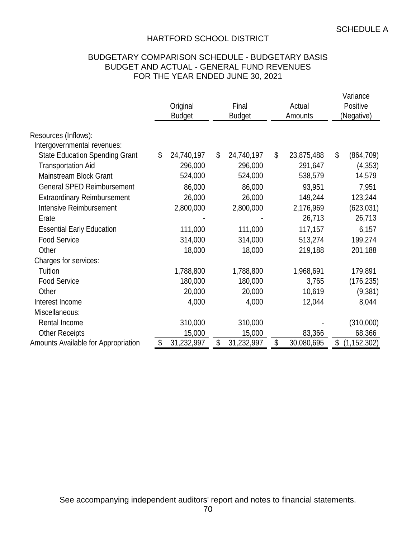## BUDGETARY COMPARISON SCHEDULE - BUDGETARY BASIS BUDGET AND ACTUAL - GENERAL FUND REVENUES FOR THE YEAR ENDED JUNE 30, 2021

|                                                                      | Original<br><b>Budget</b> | Final<br><b>Budget</b> |            | Actual<br>Amounts |            | Variance<br>Positive<br>(Negative) |               |
|----------------------------------------------------------------------|---------------------------|------------------------|------------|-------------------|------------|------------------------------------|---------------|
| Resources (Inflows):                                                 |                           |                        |            |                   |            |                                    |               |
| Intergovernmental revenues:<br><b>State Education Spending Grant</b> | \$<br>24,740,197          | \$                     | 24,740,197 | \$                | 23,875,488 | \$                                 | (864, 709)    |
| <b>Transportation Aid</b>                                            | 296,000                   |                        | 296,000    |                   | 291,647    |                                    | (4, 353)      |
| <b>Mainstream Block Grant</b>                                        | 524,000                   |                        | 524,000    |                   | 538,579    |                                    | 14,579        |
| <b>General SPED Reimbursement</b>                                    | 86,000                    |                        | 86,000     |                   | 93,951     |                                    | 7,951         |
| <b>Extraordinary Reimbursement</b>                                   | 26,000                    |                        | 26,000     |                   | 149,244    |                                    | 123,244       |
| <b>Intensive Reimbursement</b>                                       | 2,800,000                 |                        | 2,800,000  |                   | 2,176,969  |                                    | (623, 031)    |
| Erate                                                                |                           |                        |            |                   | 26,713     |                                    | 26,713        |
| <b>Essential Early Education</b>                                     | 111,000                   |                        | 111,000    |                   | 117,157    |                                    | 6,157         |
| <b>Food Service</b>                                                  | 314,000                   |                        | 314,000    |                   | 513,274    |                                    | 199,274       |
| Other                                                                | 18,000                    |                        | 18,000     |                   | 219,188    |                                    | 201,188       |
| Charges for services:                                                |                           |                        |            |                   |            |                                    |               |
| Tuition                                                              | 1,788,800                 |                        | 1,788,800  |                   | 1,968,691  |                                    | 179,891       |
| <b>Food Service</b>                                                  | 180,000                   |                        | 180,000    |                   | 3,765      |                                    | (176, 235)    |
| Other                                                                | 20,000                    |                        | 20,000     |                   | 10,619     |                                    | (9, 381)      |
| Interest Income                                                      | 4,000                     |                        | 4,000      |                   | 12,044     |                                    | 8,044         |
| Miscellaneous:                                                       |                           |                        |            |                   |            |                                    |               |
| Rental Income                                                        | 310,000                   |                        | 310,000    |                   |            |                                    | (310,000)     |
| <b>Other Receipts</b>                                                | 15,000                    |                        | 15,000     |                   | 83,366     |                                    | 68,366        |
| Amounts Available for Appropriation                                  | \$<br>31,232,997          | \$                     | 31,232,997 | \$                | 30,080,695 | \$                                 | (1, 152, 302) |

See accompanying independent auditors' report and notes to financial statements.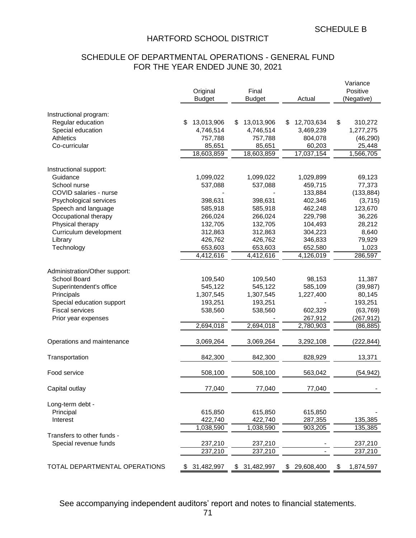# SCHEDULE OF DEPARTMENTAL OPERATIONS - GENERAL FUND FOR THE YEAR ENDED JUNE 30, 2021

|                               |                  |                   |                  | Variance        |
|-------------------------------|------------------|-------------------|------------------|-----------------|
|                               | Original         | Final             |                  | Positive        |
|                               | <b>Budget</b>    | <b>Budget</b>     | Actual           | (Negative)      |
| Instructional program:        |                  |                   |                  |                 |
| Regular education             | \$<br>13,013,906 | 13,013,906<br>\$. | 12,703,634<br>S  | \$<br>310,272   |
| Special education             | 4,746,514        | 4,746,514         | 3,469,239        | 1,277,275       |
| Athletics                     | 757,788          | 757,788           | 804,078          | (46, 290)       |
| Co-curricular                 | 85,651           | 85,651            | 60,203           | 25,448          |
|                               | 18,603,859       | 18,603,859        | 17,037,154       | 1,566,705       |
|                               |                  |                   |                  |                 |
| Instructional support:        |                  |                   |                  |                 |
| Guidance                      | 1,099,022        | 1,099,022         | 1,029,899        | 69,123          |
| School nurse                  | 537,088          | 537,088           | 459,715          | 77,373          |
| COVID salaries - nurse        |                  |                   | 133,884          | (133, 884)      |
| Psychological services        | 398,631          | 398,631           | 402,346          | (3,715)         |
| Speech and language           | 585,918          | 585,918           | 462,248          | 123,670         |
| Occupational therapy          | 266,024          | 266,024           | 229,798          | 36,226          |
| Physical therapy              | 132,705          | 132,705           | 104,493          | 28,212          |
| Curriculum development        | 312,863          | 312,863           | 304,223          | 8,640           |
| Library                       | 426,762          | 426,762           | 346,833          | 79,929          |
| Technology                    | 653,603          | 653,603           | 652,580          | 1,023           |
|                               | 4,412,616        | 4,412,616         | 4,126,019        | 286,597         |
| Administration/Other support: |                  |                   |                  |                 |
| School Board                  | 109,540          | 109,540           | 98,153           | 11,387          |
| Superintendent's office       | 545,122          | 545,122           | 585,109          | (39, 987)       |
| Principals                    | 1,307,545        | 1,307,545         | 1,227,400        | 80,145          |
| Special education support     | 193,251          | 193,251           |                  | 193,251         |
| <b>Fiscal services</b>        | 538,560          | 538,560           | 602,329          | (63, 769)       |
| Prior year expenses           |                  |                   | 267,912          | (267, 912)      |
|                               | 2,694,018        | 2,694,018         | 2,780,903        | (86, 885)       |
|                               |                  |                   |                  |                 |
| Operations and maintenance    | 3,069,264        | 3,069,264         | 3,292,108        | (222, 844)      |
| Transportation                | 842,300          | 842,300           | 828,929          | 13,371          |
|                               |                  |                   |                  |                 |
| Food service                  | 508,100          | 508,100           | 563,042          | (54, 942)       |
| Capital outlay                | 77,040           | 77,040            | 77,040           |                 |
|                               |                  |                   |                  |                 |
| Long-term debt -              |                  |                   |                  |                 |
| Principal                     | 615,850          | 615,850           | 615,850          |                 |
| Interest                      | 422,740          | 422,740           | 287,355          | 135,385         |
|                               | 1,038,590        | 1,038,590         | 903,205          | 135,385         |
| Transfers to other funds -    |                  |                   |                  |                 |
| Special revenue funds         | 237,210          | 237,210           |                  | 237,210         |
|                               | 237,210          | 237,210           |                  | 237,210         |
| TOTAL DEPARTMENTAL OPERATIONS | 31,482,997<br>\$ | \$ 31,482,997     | 29,608,400<br>\$ | 1,874,597<br>\$ |
|                               |                  |                   |                  |                 |

See accompanying independent auditors' report and notes to financial statements.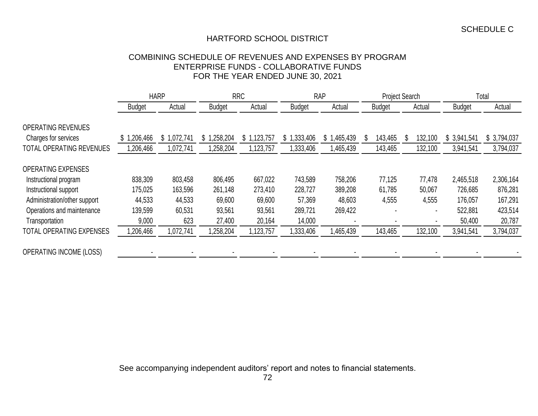### COMBINING SCHEDULE OF REVENUES AND EXPENSES BY PROGRAM ENTERPRISE FUNDS - COLLABORATIVE FUNDS FOR THE YEAR ENDED JUNE 30, 2021

|                                                   |               | <b>HARP</b>     |                         | <b>RRC</b>      |               | <b>RAP</b>     |               | <b>Project Search</b> |                | Total       |  |
|---------------------------------------------------|---------------|-----------------|-------------------------|-----------------|---------------|----------------|---------------|-----------------------|----------------|-------------|--|
|                                                   | <b>Budget</b> | Actual          | <b>Budget</b><br>Actual |                 | <b>Budget</b> | Actual         | <b>Budget</b> | Actual                | <b>Budget</b>  | Actual      |  |
| <b>OPERATING REVENUES</b><br>Charges for services | 1,206,466     | 1,072,741<br>\$ | \$1<br>,258,204         | \$<br>1,123,757 | \$1,333,406   | 1,465,439<br>ა | 143,465<br>\$ | 132,100<br>\$         | S<br>3,941,541 | \$3,794,037 |  |
| <b>TOTAL OPERATING REVENUES</b>                   | 1,206,466     | 1,072,741       | ,258,204                | 123,757         | 1,333,406     | 1,465,439      | 143,465       | 132,100               | 3,941,541      | 3,794,037   |  |
| <b>OPERATING EXPENSES</b>                         |               |                 |                         |                 |               |                |               |                       |                |             |  |
| Instructional program                             | 838,309       | 803,458         | 806,495                 | 667,022         | 743,589       | 758,206        | 77,125        | 77,478                | 2,465,518      | 2,306,164   |  |
| Instructional support                             | 175,025       | 163,596         | 261,148                 | 273,410         | 228,727       | 389,208        | 61,785        | 50,067                | 726,685        | 876,281     |  |
| Administration/other support                      | 44,533        | 44,533          | 69,600                  | 69,600          | 57,369        | 48,603         | 4,555         | 4,555                 | 176,057        | 167,291     |  |
| Operations and maintenance                        | 139,599       | 60,531          | 93,561                  | 93,561          | 289,721       | 269,422        |               |                       | 522,881        | 423,514     |  |
| Transportation                                    | 9,000         | 623             | 27,400                  | 20,164          | 14,000        |                |               |                       | 50,400         | 20,787      |  |
| <b>TOTAL OPERATING EXPENSES</b>                   | 1,206,466     | 1,072,741       | 1,258,204               | 1,123,757       | 1,333,406     | 1,465,439      | 143,465       | 132,100               | 3,941,541      | 3,794,037   |  |
| <b>OPERATING INCOME (LOSS)</b>                    |               |                 |                         |                 |               |                |               |                       |                |             |  |

See accompanying independent auditors' report and notes to financial statements.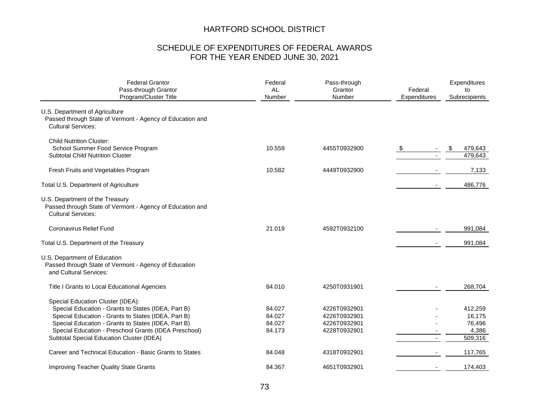## SCHEDULE OF EXPENDITURES OF FEDERAL AWARDS FOR THE YEAR ENDED JUNE 30, 2021

| <b>Federal Grantor</b><br>Pass-through Grantor<br>Program/Cluster Title                                                                                                                                                                                                                                      | Federal<br>AL<br>Number              | Pass-through<br>Grantor<br>Number                            | Federal<br>Expenditures | Expenditures<br>to<br>Subrecipients             |  |
|--------------------------------------------------------------------------------------------------------------------------------------------------------------------------------------------------------------------------------------------------------------------------------------------------------------|--------------------------------------|--------------------------------------------------------------|-------------------------|-------------------------------------------------|--|
| U.S. Department of Agriculture<br>Passed through State of Vermont - Agency of Education and<br><b>Cultural Services:</b>                                                                                                                                                                                     |                                      |                                                              |                         |                                                 |  |
| <b>Child Nutrition Cluster:</b><br>School Summer Food Service Program<br><b>Subtotal Child Nutrition Cluster</b>                                                                                                                                                                                             | 10.559                               | 4455T0932900                                                 | $\frac{1}{2}$           | 479,643<br>\$<br>479,643                        |  |
| Fresh Fruits and Vegetables Program                                                                                                                                                                                                                                                                          | 10.582                               | 4449T0932900                                                 |                         | 7,133                                           |  |
| Total U.S. Department of Agriculture                                                                                                                                                                                                                                                                         |                                      |                                                              |                         | 486,776                                         |  |
| U.S. Department of the Treasury<br>Passed through State of Vermont - Agency of Education and<br><b>Cultural Services:</b>                                                                                                                                                                                    |                                      |                                                              |                         |                                                 |  |
| <b>Coronavirus Relief Fund</b>                                                                                                                                                                                                                                                                               | 21.019                               | 4592T0932100                                                 |                         | 991,084                                         |  |
| Total U.S. Department of the Treasury                                                                                                                                                                                                                                                                        |                                      |                                                              |                         | 991,084                                         |  |
| U.S. Department of Education<br>Passed through State of Vermont - Agency of Education<br>and Cultural Services:                                                                                                                                                                                              |                                      |                                                              |                         |                                                 |  |
| Title I Grants to Local Educational Agencies                                                                                                                                                                                                                                                                 | 84.010                               | 4250T0931901                                                 |                         | 268,704                                         |  |
| Special Education Cluster (IDEA):<br>Special Education - Grants to States (IDEA, Part B)<br>Special Education - Grants to States (IDEA, Part B)<br>Special Education - Grants to States (IDEA, Part B)<br>Special Education - Preschool Grants (IDEA Preschool)<br>Subtotal Special Education Cluster (IDEA) | 84.027<br>84.027<br>84.027<br>84.173 | 4226T0932901<br>4226T0932901<br>4226T0932901<br>4228T0932901 | $\blacksquare$          | 412,259<br>16,175<br>76,496<br>4.386<br>509,316 |  |
| Career and Technical Education - Basic Grants to States                                                                                                                                                                                                                                                      | 84.048                               | 4318T0932901                                                 |                         | 117,765                                         |  |
| <b>Improving Teacher Quality State Grants</b>                                                                                                                                                                                                                                                                | 84.367                               | 4651T0932901                                                 |                         | 174,403                                         |  |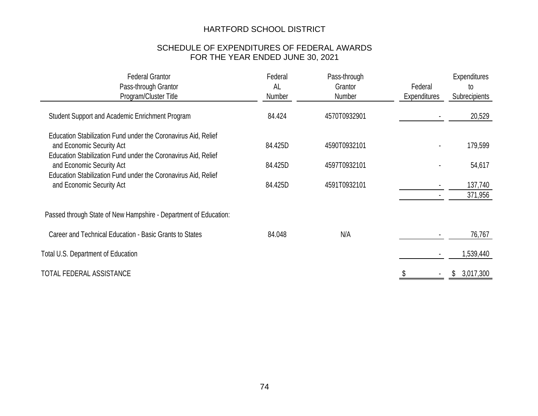## SCHEDULE OF EXPENDITURES OF FEDERAL AWARDS FOR THE YEAR ENDED JUNE 30, 2021

| <b>Federal Grantor</b><br>Pass-through Grantor<br>Program/Cluster Title                                                                                       | Federal<br>Pass-through<br>AL<br>Grantor<br>Number<br>Number |              | Federal<br><b>Expenditures</b> | <b>Expenditures</b><br>to<br>Subrecipients |  |
|---------------------------------------------------------------------------------------------------------------------------------------------------------------|--------------------------------------------------------------|--------------|--------------------------------|--------------------------------------------|--|
| Student Support and Academic Enrichment Program                                                                                                               | 84.424                                                       | 4570T0932901 |                                | 20,529                                     |  |
| Education Stabilization Fund under the Coronavirus Aid, Relief<br>and Economic Security Act<br>Education Stabilization Fund under the Coronavirus Aid, Relief | 84.425D                                                      | 4590T0932101 |                                | 179,599                                    |  |
| and Economic Security Act                                                                                                                                     | 84.425D                                                      | 4597T0932101 |                                | 54,617                                     |  |
| Education Stabilization Fund under the Coronavirus Aid, Relief<br>and Economic Security Act                                                                   | 84.425D                                                      | 4591T0932101 |                                | 137,740<br>371,956                         |  |
| Passed through State of New Hampshire - Department of Education:                                                                                              |                                                              |              |                                |                                            |  |
| Career and Technical Education - Basic Grants to States                                                                                                       | 84.048                                                       | N/A          |                                | 76,767                                     |  |
| <b>Total U.S. Department of Education</b>                                                                                                                     |                                                              |              |                                | 1,539,440                                  |  |
| TOTAL FEDERAL ASSISTANCE                                                                                                                                      |                                                              |              |                                | 3,017,300<br>S.                            |  |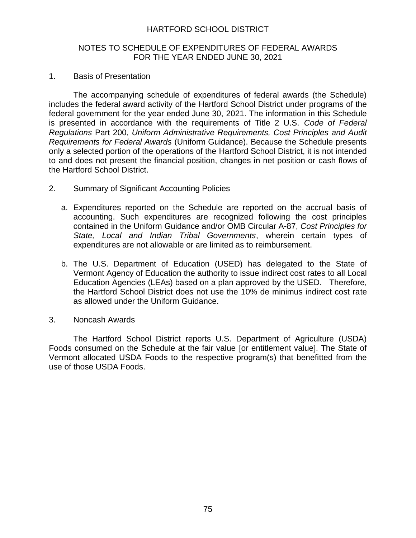## NOTES TO SCHEDULE OF EXPENDITURES OF FEDERAL AWARDS FOR THE YEAR ENDED JUNE 30, 2021

### 1. Basis of Presentation

The accompanying schedule of expenditures of federal awards (the Schedule) includes the federal award activity of the Hartford School District under programs of the federal government for the year ended June 30, 2021. The information in this Schedule is presented in accordance with the requirements of Title 2 U.S. *Code of Federal Regulations* Part 200, *Uniform Administrative Requirements, Cost Principles and Audit Requirements for Federal Awards* (Uniform Guidance). Because the Schedule presents only a selected portion of the operations of the Hartford School District, it is not intended to and does not present the financial position, changes in net position or cash flows of the Hartford School District.

- 2. Summary of Significant Accounting Policies
	- a. Expenditures reported on the Schedule are reported on the accrual basis of accounting. Such expenditures are recognized following the cost principles contained in the Uniform Guidance and/or OMB Circular A-87, *Cost Principles for State, Local and Indian Tribal Governments*, wherein certain types of expenditures are not allowable or are limited as to reimbursement.
	- b. The U.S. Department of Education (USED) has delegated to the State of Vermont Agency of Education the authority to issue indirect cost rates to all Local Education Agencies (LEAs) based on a plan approved by the USED. Therefore, the Hartford School District does not use the 10% de minimus indirect cost rate as allowed under the Uniform Guidance.
- 3. Noncash Awards

The Hartford School District reports U.S. Department of Agriculture (USDA) Foods consumed on the Schedule at the fair value [or entitlement value]. The State of Vermont allocated USDA Foods to the respective program(s) that benefitted from the use of those USDA Foods.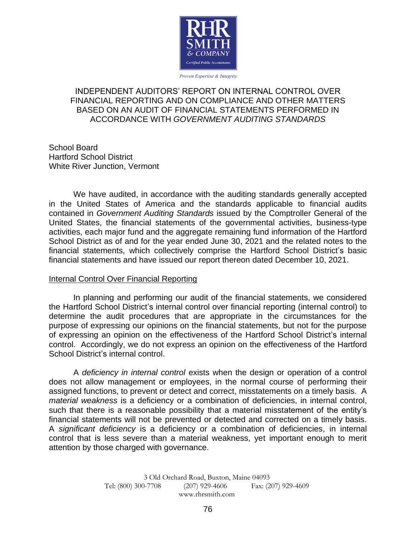

Proven Expertise & Integrity

## INDEPENDENT AUDITORS' REPORT ON INTERNAL CONTROL OVER FINANCIAL REPORTING AND ON COMPLIANCE AND OTHER MATTERS BASED ON AN AUDIT OF FINANCIAL STATEMENTS PERFORMED IN ACCORDANCE WITH *GOVERNMENT AUDITING STANDARDS*

School Board Hartford School District White River Junction, Vermont

We have audited, in accordance with the auditing standards generally accepted in the United States of America and the standards applicable to financial audits contained in *Government Auditing Standards* issued by the Comptroller General of the United States, the financial statements of the governmental activities, business-type activities, each major fund and the aggregate remaining fund information of the Hartford School District as of and for the year ended June 30, 2021 and the related notes to the financial statements, which collectively comprise the Hartford School District's basic financial statements and have issued our report thereon dated December 10, 2021.

## Internal Control Over Financial Reporting

In planning and performing our audit of the financial statements, we considered the Hartford School District's internal control over financial reporting (internal control) to determine the audit procedures that are appropriate in the circumstances for the purpose of expressing our opinions on the financial statements, but not for the purpose of expressing an opinion on the effectiveness of the Hartford School District's internal control. Accordingly, we do not express an opinion on the effectiveness of the Hartford School District's internal control.

A *deficiency in internal control* exists when the design or operation of a control does not allow management or employees, in the normal course of performing their assigned functions, to prevent or detect and correct, misstatements on a timely basis. A *material weakness* is a deficiency or a combination of deficiencies, in internal control, such that there is a reasonable possibility that a material misstatement of the entity's financial statements will not be prevented or detected and corrected on a timely basis. A *significant deficiency* is a deficiency or a combination of deficiencies, in internal control that is less severe than a material weakness, yet important enough to merit attention by those charged with governance.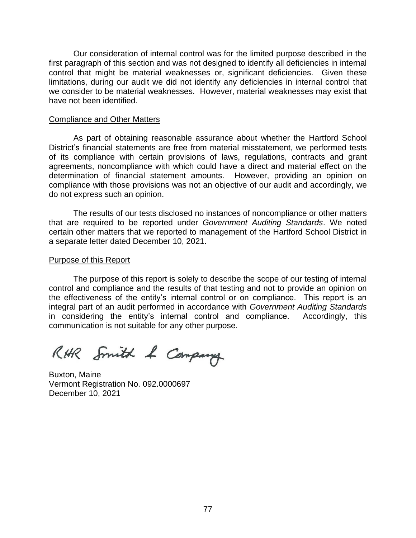Our consideration of internal control was for the limited purpose described in the first paragraph of this section and was not designed to identify all deficiencies in internal control that might be material weaknesses or, significant deficiencies. Given these limitations, during our audit we did not identify any deficiencies in internal control that we consider to be material weaknesses. However, material weaknesses may exist that have not been identified.

#### Compliance and Other Matters

As part of obtaining reasonable assurance about whether the Hartford School District's financial statements are free from material misstatement, we performed tests of its compliance with certain provisions of laws, regulations, contracts and grant agreements, noncompliance with which could have a direct and material effect on the determination of financial statement amounts. However, providing an opinion on compliance with those provisions was not an objective of our audit and accordingly, we do not express such an opinion.

The results of our tests disclosed no instances of noncompliance or other matters that are required to be reported under *Government Auditing Standards*. We noted certain other matters that we reported to management of the Hartford School District in a separate letter dated December 10, 2021.

#### Purpose of this Report

The purpose of this report is solely to describe the scope of our testing of internal control and compliance and the results of that testing and not to provide an opinion on the effectiveness of the entity's internal control or on compliance. This report is an integral part of an audit performed in accordance with *Government Auditing Standards* in considering the entity's internal control and compliance. Accordingly, this communication is not suitable for any other purpose.

RHR Smith & Company

Buxton, Maine Vermont Registration No. 092.0000697 December 10, 2021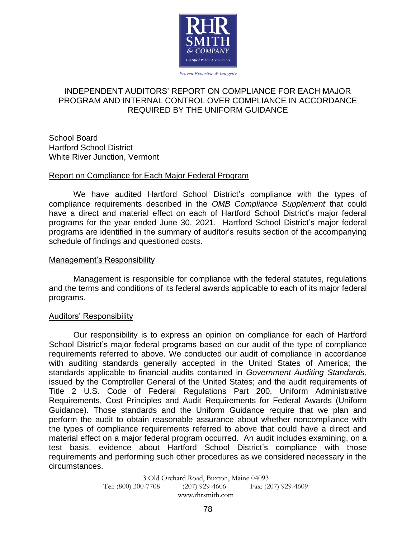

#### Proven Expertise & Integrity

## INDEPENDENT AUDITORS' REPORT ON COMPLIANCE FOR EACH MAJOR PROGRAM AND INTERNAL CONTROL OVER COMPLIANCE IN ACCORDANCE REQUIRED BY THE UNIFORM GUIDANCE

School Board Hartford School District White River Junction, Vermont

### Report on Compliance for Each Major Federal Program

We have audited Hartford School District's compliance with the types of compliance requirements described in the *OMB Compliance Supplement* that could have a direct and material effect on each of Hartford School District's major federal programs for the year ended June 30, 2021. Hartford School District's major federal programs are identified in the summary of auditor's results section of the accompanying schedule of findings and questioned costs.

#### Management's Responsibility

Management is responsible for compliance with the federal statutes, regulations and the terms and conditions of its federal awards applicable to each of its major federal programs.

#### Auditors' Responsibility

Our responsibility is to express an opinion on compliance for each of Hartford School District's major federal programs based on our audit of the type of compliance requirements referred to above. We conducted our audit of compliance in accordance with auditing standards generally accepted in the United States of America; the standards applicable to financial audits contained in *Government Auditing Standards*, issued by the Comptroller General of the United States; and the audit requirements of Title 2 U.S. Code of Federal Regulations Part 200, Uniform Administrative Requirements, Cost Principles and Audit Requirements for Federal Awards (Uniform Guidance). Those standards and the Uniform Guidance require that we plan and perform the audit to obtain reasonable assurance about whether noncompliance with the types of compliance requirements referred to above that could have a direct and material effect on a major federal program occurred. An audit includes examining, on a test basis, evidence about Hartford School District's compliance with those requirements and performing such other procedures as we considered necessary in the circumstances.

> 3 Old Orchard Road, Buxton, Maine 04093<br>Tel: (800) 300-7708 (207) 929-4606 Fax: (20  $(207)$  929-4606 Fax:  $(207)$  929-4609 www.rhrsmith.com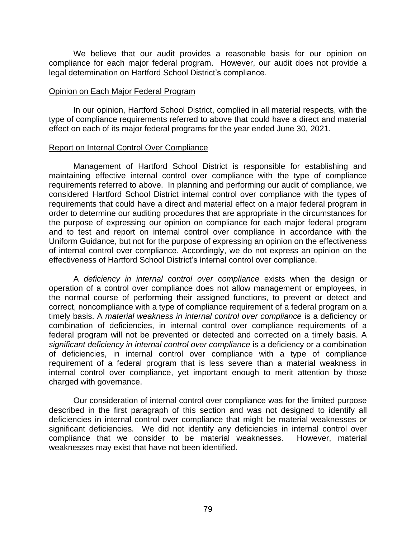We believe that our audit provides a reasonable basis for our opinion on compliance for each major federal program. However, our audit does not provide a legal determination on Hartford School District's compliance.

#### Opinion on Each Major Federal Program

In our opinion, Hartford School District, complied in all material respects, with the type of compliance requirements referred to above that could have a direct and material effect on each of its major federal programs for the year ended June 30, 2021.

### Report on Internal Control Over Compliance

Management of Hartford School District is responsible for establishing and maintaining effective internal control over compliance with the type of compliance requirements referred to above. In planning and performing our audit of compliance, we considered Hartford School District internal control over compliance with the types of requirements that could have a direct and material effect on a major federal program in order to determine our auditing procedures that are appropriate in the circumstances for the purpose of expressing our opinion on compliance for each major federal program and to test and report on internal control over compliance in accordance with the Uniform Guidance, but not for the purpose of expressing an opinion on the effectiveness of internal control over compliance. Accordingly, we do not express an opinion on the effectiveness of Hartford School District's internal control over compliance.

A *deficiency in internal control over compliance* exists when the design or operation of a control over compliance does not allow management or employees, in the normal course of performing their assigned functions, to prevent or detect and correct, noncompliance with a type of compliance requirement of a federal program on a timely basis. A *material weakness in internal control over compliance* is a deficiency or combination of deficiencies, in internal control over compliance requirements of a federal program will not be prevented or detected and corrected on a timely basis. A *significant deficiency in internal control over compliance* is a deficiency or a combination of deficiencies, in internal control over compliance with a type of compliance requirement of a federal program that is less severe than a material weakness in internal control over compliance, yet important enough to merit attention by those charged with governance.

Our consideration of internal control over compliance was for the limited purpose described in the first paragraph of this section and was not designed to identify all deficiencies in internal control over compliance that might be material weaknesses or significant deficiencies. We did not identify any deficiencies in internal control over compliance that we consider to be material weaknesses. However, material weaknesses may exist that have not been identified.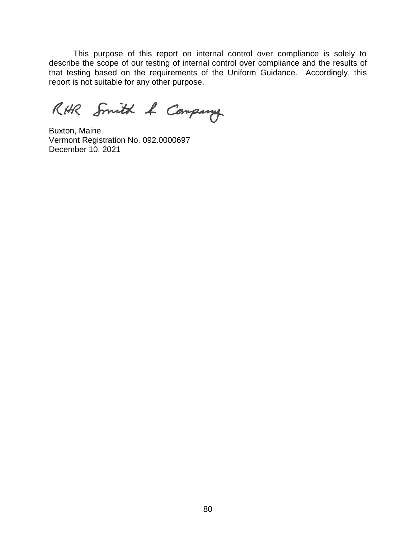This purpose of this report on internal control over compliance is solely to describe the scope of our testing of internal control over compliance and the results of that testing based on the requirements of the Uniform Guidance. Accordingly, this report is not suitable for any other purpose.

RHR Smith & Company

Buxton, Maine Vermont Registration No. 092.0000697 December 10, 2021